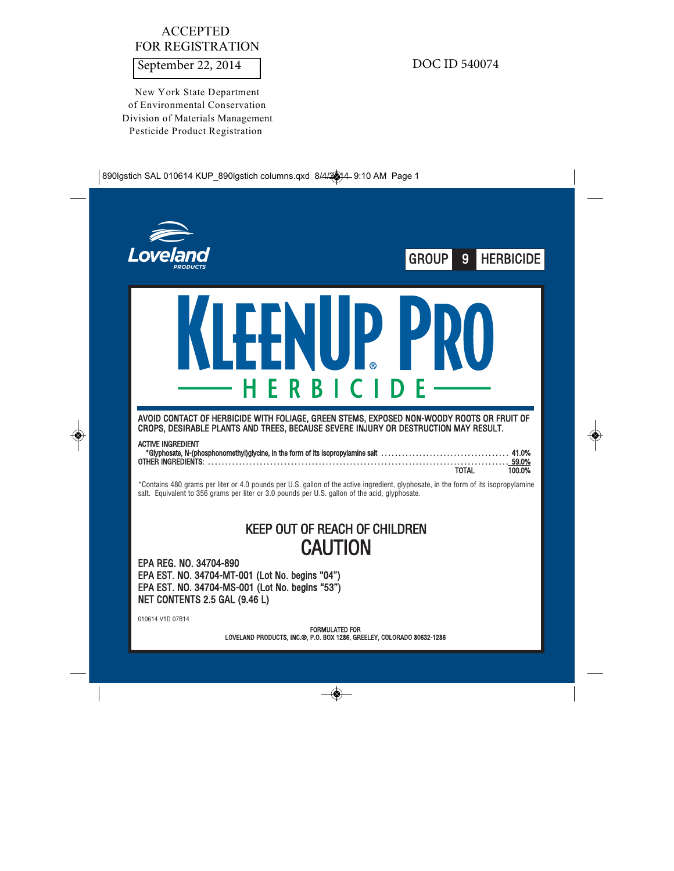# ACCEPTED FOR REGISTRATION

September 22, 2014 DOC ID 540074

New York State Department of Environmental Conservation Division of Materials Management Pesticide Product Registration

| Lovelar                                                                                                                                                                                                                                                                                                                                                                                                                                                          | GROUP<br>9<br><b>HERBICIDE</b> |
|------------------------------------------------------------------------------------------------------------------------------------------------------------------------------------------------------------------------------------------------------------------------------------------------------------------------------------------------------------------------------------------------------------------------------------------------------------------|--------------------------------|
| P PI<br><b>LLNIII</b><br>HERBICI<br>AVOID CONTACT OF HERBICIDE WITH FOLIAGE, GREEN STEMS, EXPOSED NON-WOODY ROOTS OR FRUIT OF<br>CROPS, DESIRABLE PLANTS AND TREES, BECAUSE SEVERE INJURY OR DESTRUCTION MAY RESULT.<br><b>ACTIVE INGREDIENT</b>                                                                                                                                                                                                                 |                                |
| *Contains 480 grams per liter or 4.0 pounds per U.S. gallon of the active ingredient, glyphosate, in the form of its isopropylamine<br>salt. Equivalent to 356 grams per liter or 3.0 pounds per U.S. gallon of the acid, glyphosate.<br><b>KEEP OUT OF REACH OF CHILDREN</b><br><b>CAUTION</b><br>EPA REG. NO. 34704-890<br>EPA EST. NO. 34704-MT-001 (Lot No. begins "04")<br>EPA EST. NO. 34704-MS-001 (Lot No. begins "53")<br>NET CONTENTS 2.5 GAL (9.46 L) | <b>TOTAL</b><br>100.0%         |
| 010614 V1D 07B14<br><b>FORMULATED FOR</b><br>LOVELAND PRODUCTS, INC.®, P.O. BOX 1286, GREELEY, COLORADO 80632-1286                                                                                                                                                                                                                                                                                                                                               |                                |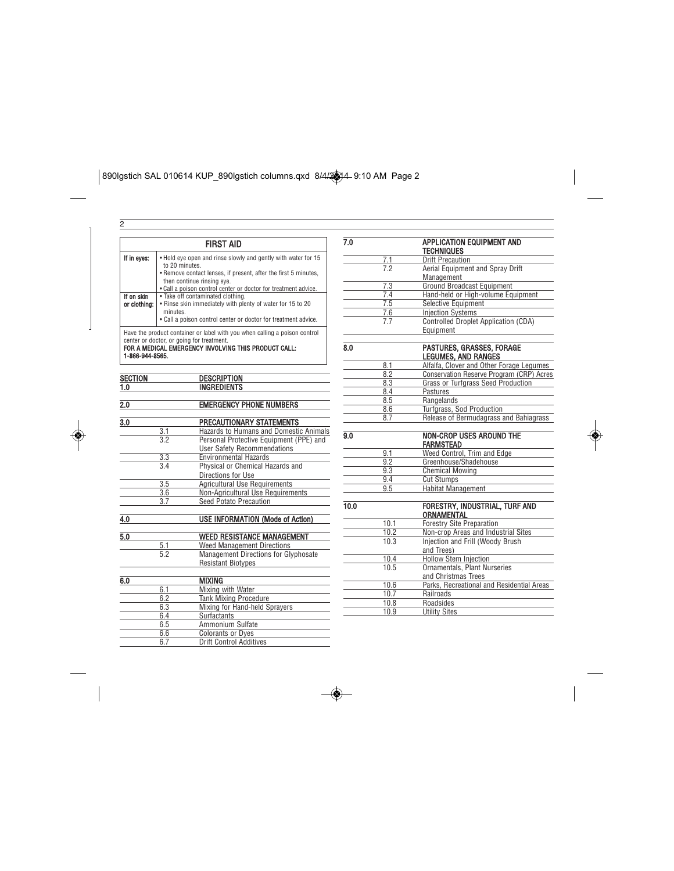|                                                                                                                                                                                                 | <b>FIRST AID</b>                                                       |  |  |  |
|-------------------------------------------------------------------------------------------------------------------------------------------------------------------------------------------------|------------------------------------------------------------------------|--|--|--|
| • Hold eye open and rinse slowly and gently with water for 15<br>If in eyes:<br>to 20 minutes.<br>. Remove contact lenses, if present, after the first 5 minutes,<br>then continue rinsing eye. |                                                                        |  |  |  |
|                                                                                                                                                                                                 | . Call a poison control center or doctor for treatment advice.         |  |  |  |
| If on skin                                                                                                                                                                                      | • Take off contaminated clothing.                                      |  |  |  |
| or clothing:                                                                                                                                                                                    | . Rinse skin immediately with plenty of water for 15 to 20<br>minutes. |  |  |  |
|                                                                                                                                                                                                 | • Call a poison control center or doctor for treatment advice.         |  |  |  |

2

Have the product container or label with you when calling a poison control<br>center or doctor, or going for treatment.<br>FOR A MEDICAL EMERGENCY INVOLVING THIS PRODUCT CALL:<br>1-866-944-8565.

| <b>SECTION</b> | <b>DESCRIPTION</b> |
|----------------|--------------------|
|                |                    |
| .0             | <b>INGREDIENTS</b> |
|                |                    |

| 2.0 | <b>EMERGENCY PHONE NUMBERS</b> |
|-----|--------------------------------|

| 3.0 |     | PRECAUTIONARY STATEMENTS                |
|-----|-----|-----------------------------------------|
|     | 3.1 | Hazards to Humans and Domestic Animals  |
|     | 3.2 | Personal Protective Equipment (PPE) and |
|     |     | <b>User Safety Recommendations</b>      |
|     | 3.3 | <b>Environmental Hazards</b>            |
|     | 34  | Physical or Chemical Hazards and        |
|     |     | Directions for Use                      |
|     | 3.5 | <b>Agricultural Use Requirements</b>    |
|     | 3.6 | Non-Agricultural Use Requirements       |
|     | 37  | Seed Potato Precaution                  |
|     |     |                                         |

| 4.0 |    | <b>USE INFORMATION (Mode of Action)</b>     |  |
|-----|----|---------------------------------------------|--|
|     |    |                                             |  |
| 5.0 |    | <b>WEED RESISTANCE MANAGEMENT</b>           |  |
|     | 51 | <b>Weed Management Directions</b>           |  |
|     | 52 | <b>Management Directions for Glyphosate</b> |  |
|     |    | <b>Resistant Biotypes</b>                   |  |

| 6.0 |     | <b>MIXING</b>                  |  |
|-----|-----|--------------------------------|--|
|     | 6.1 | Mixing with Water              |  |
|     | 62  | <b>Tank Mixing Procedure</b>   |  |
|     | 6.3 | Mixing for Hand-held Sprayers  |  |
|     | 6.4 | Surfactants                    |  |
|     | 6.5 | Ammonium Sulfate               |  |
|     | 6.6 | <b>Colorants or Dyes</b>       |  |
|     | հ 7 | <b>Drift Control Additives</b> |  |

| <b>APPLICATION EQUIPMENT AND</b><br><b>TECHNIQUES</b>   |
|---------------------------------------------------------|
| <b>Drift Precaution</b>                                 |
| Aerial Equipment and Spray Drift                        |
| Management                                              |
| <b>Ground Broadcast Equipment</b>                       |
| Hand-held or High-volume Equipment                      |
| Selective Equipment                                     |
| <b>Injection Systems</b>                                |
| <b>Controlled Droplet Application (CDA)</b>             |
| Equipment                                               |
| PASTURES, GRASSES, FORAGE<br><b>LEGUMES, AND RANGES</b> |
| Alfalfa, Clover and Other Forage Legumes                |
| Conservation Reserve Program (CRP) Acres                |
| Grass or Turfgrass Seed Production                      |
| Pastures                                                |
| Rangelands                                              |
| Turfgrass, Sod Production                               |
| Release of Bermudagrass and Bahiagrass                  |
| <b>NON-CROP USES AROUND THE</b><br><b>FARMSTEAD</b>     |
| Weed Control, Trim and Edge                             |
| Greenhouse/Shadehouse                                   |
| <b>Chemical Mowing</b>                                  |
| <b>Cut Stumps</b>                                       |
| Habitat Management                                      |
| FORESTRY, INDUSTRIAL, TURF AND<br>ORNAMENTAL            |
| <b>Forestry Site Preparation</b>                        |
| Non-crop Areas and Industrial Sites                     |
| Injection and Frill (Woody Brush                        |
| and Trees)                                              |
| Hollow Stem Injection                                   |
| <b>Ornamentals, Plant Nurseries</b>                     |
| and Christmas Trees                                     |
| Parks, Recreational and Residential Areas               |
| Railroads                                               |
| Roadsides                                               |
|                                                         |

10.9 Utility Sites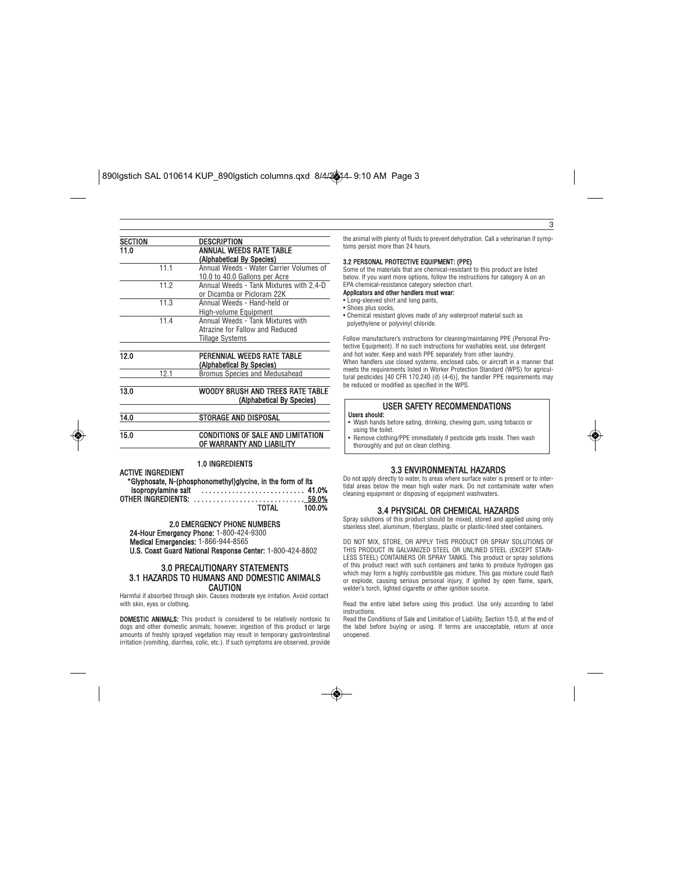

#### SECTION DESCRIPTION 11.0 ANNUAL WEEDS RATE TABLE (Alphabetical By Species) 11.1 Annual Weeds - Water Carrier Volumes of 10.0 to 40.0 Gallons per Acre 11.2 Annual Weeds - Tank Mixtures with 2,4-D or Dicamba or Picloram 22K 11.3 Annual Weeds - Hand-held or High-volume Equipment 11.4 Annual Weeds - Tank Mixtures with Atrazine for Fallow and Reduced Tillage Systems 12.0 PERENNIAL WEEDS RATE TABLE

## (Alphabetical By Species) 12.1 Bromus Species and Medusahead 13.0 WOODY BRUSH AND TREES RATE TABLE

# (Alphabetical By Species)

# 14.0 STORAGE AND DISPOSAL

## 15.0 CONDITIONS OF SALE AND LIMITATION OF WARRANTY AND LIABILITY

#### 1.0 INGREDIENTS

ACTIVE INGREDIENT

| *Glyphosate, N-(phosphonomethyl)glycine, in the form of its |       |        |
|-------------------------------------------------------------|-------|--------|
| isopropylamine salt  41.0%                                  |       |        |
| OTHER INGREDIENTS:  59.0%                                   |       |        |
|                                                             | TOTAL | 100.0% |

### 2.0 EMERGENCY PHONE NUMBERS

24-Hour Emergency Phone: 1-800-424-9300

Medical Emergencies: 1-866-944-8565

U.S. Coast Guard National Response Center: 1-800-424-8802

#### 3.0 PRECAUTIONARY STATEMENTS 3.1 HAZARDS TO HUMANS AND DOMESTIC ANIMALS **CAUTION**

Harmful if absorbed through skin. Causes moderate eye irritation. Avoid contact with skin, eyes or clothing.

DOMESTIC ANIMALS: This product is considered to be relatively nontoxic to dogs and other domestic animals; however, ingestion of this product or large amounts of freshly sprayed vegetation may result in temporary gastrointestinal irritation (vomiting, diarrhea, colic, etc.). If such symptoms are observed, provide

the animal with plenty of fluids to prevent dehydration. Call a veterinarian if symptoms persist more than 24 hours.

 $\overline{\overline{\overline{3}}}$ 

#### 3.2 PERSONAL PROTECTIVE EQUIPMENT: (PPE)

Some of the materials that are chemical-resistant to this product are listed below. If you want more options, follow the instructions for category A on an EPA chemical-resistance category selection chart. Applicators and other handlers must wear:

- Long-sleeved shirt and long pants,
- Shoes plus socks,

• Chemical resistant gloves made of any waterproof material such as polyethylene or polyvinyl chloride.

Follow manufacturer's instructions for cleaning/maintaining PPE (Personal Pro-tective Equipment). If no such instructions for washables exist, use detergent and hot water. Keep and wash PPE separately from other laundry. When handlers use closed systems, enclosed cabs, or aircraft in a manner that meets the requirements listed in Worker Protection Standard (WPS) for agricultural pesticides [40 CFR 170.240 (d) (4-6)], the handler PPE requirements may be reduced or modified as specified in the WPS.

### USER SAFETY RECOMMENDATIONS

Users should: • Wash hands before eating, drinking, chewing gum, using tobacco or using the toilet.

• Remove clothing/PPE immediately if pesticide gets inside. Then wash thoroughly and put on clean clothing.

#### 3.3 ENVIRONMENTAL HAZARDS

Do not apply directly to water, to areas where surface water is present or to intertidal areas below the mean high water mark. Do not contaminate water when cleaning equipment or disposing of equipment washwaters.

#### 3.4 PHYSICAL OR CHEMICAL HAZARDS

Spray solutions of this product should be mixed, stored and applied using only stainless steel, aluminum, fiberglass, plastic or plastic-lined steel containers.

DO NOT MIX, STORE, OR APPLY THIS PRODUCT OR SPRAY SOLUTIONS OF THIS PRODUCT IN GALVANIZED STEEL OR UNLINED STEEL (EXCEPT STAIN-LESS STEEL) CONTAINERS OR SPRAY TANKS. This product or spray solutions of this product react with such containers and tanks to produce hydrogen gas which may form a highly combustible gas mixture. This gas mixture could flash or explode, causing serious personal injury, if ignited by open flame, spark, welder's torch, lighted cigarette or other ignition source.

Read the entire label before using this product. Use only according to label instructions.

Read the Conditions of Sale and Limitation of Liability, Section 15.0, at the end of the label before buying or using. If terms are unacceptable, return at once unopened.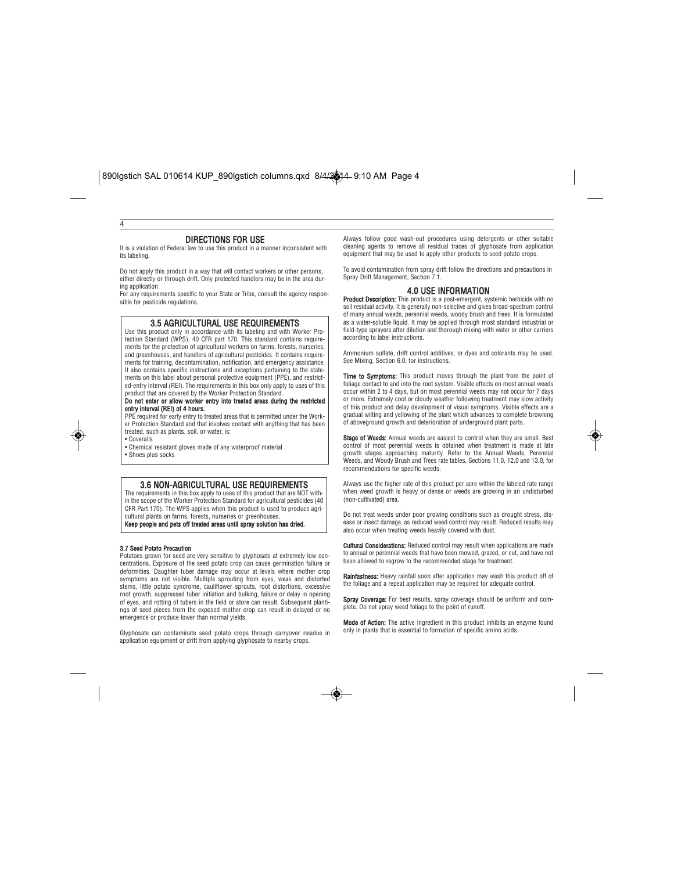### DIRECTIONS FOR USE

4

It is a violation of Federal law to use this product in a manner inconsistent with its labeling.

Do not apply this product in a way that will contact workers or other persons, either directly or through drift. Only protected handlers may be in the area during application.

For any requirements specific to your State or Tribe, consult the agency responsible for pesticide regulations.

#### 3.5 AGRICULTURAL USE REQUIREMENTS

Use this product only in accordance with its labeling and with Worker Protection Standard (WPS), 40 CFR part 170. This standard contains requirements for the protection of agricultural workers on farms, forests, nurseries, and greenhouses, and handlers of agricultural pesticides. It contains requirements for training, decontamination, notification, and emergency assistance. It also contains specific instructions and exceptions pertaining to the statements on this label about personal protective equipment (PPE), and restricted-entry interval (REI). The requirements in this box only apply to uses of this product that are covered by the Worker Protection Standard.<br>**Do not enter or allow worker entry into treated areas during the restricted** 

## entry interval (REI) of 4 hours.

PPE required for early entry to treated areas that is permitted under the Work-er Protection Standard and that involves contact with anything that has been treated, such as plants, soil, or water, is: • Coveralls

• Chemical resistant gloves made of any waterproof material • Shoes plus socks

#### 3.6 NON-AGRICULTURAL USE REQUIREMENTS

The requirements in this box apply to uses of this product that are NOT with-in the scope of the Worker Protection Standard for agricultural pesticides (40 CFR Part 170). The WPS applies when this product is used to produce agricultural plants on farms, forests, nurseries or greenh

Keep people and pets off treated areas until spray solution has dried.

### 3.7 Seed Potato Precaution

Potatoes grown for seed are very sensitive to glyphosate at extremely low con-centrations. Exposure of the seed potato crop can cause germination failure or deformities. Daughter tuber damage may occur at levels where mother crop symptoms are not visible. Multiple sprouting from eyes, weak and distorted stems, little potato syndrome, cauliflower sprouts, root distortions, excessive root growth, suppressed tuber initiation and bulking, failure or delay in opening of eyes, and rotting of tubers in the field or store can result. Subsequent plantings of seed pieces from the exposed mother crop can result in delayed or no emergence or produce lower than normal yields.

Glyphosate can contaminate seed potato crops through carryover residue in application equipment or drift from applying glyphosate to nearby crops.

Always follow good wash-out procedures using detergents or other suitable cleaning agents to remove all residual traces of glyphosate from application equipment that may be used to apply other products to seed potato crops.

To avoid contamination from spray drift follow the directions and precautions in Spray Drift Management, Section 7.1.

#### 4.0 USE INFORMATION

Product Description: This product is a post-emergent, systemic herbicide with no soil residual activity. It is generally non-selective and gives broad-spectrum control of many annual weeds, perennial weeds, woody brush and trees. It is formulated as a water-soluble liquid. It may be applied through most standard industrial or field-type sprayers after dilution and thorough mixing with water or other carriers according to label instructions.

Ammonium sulfate, drift control additives, or dyes and colorants may be used. See Mixing, Section 6.0, for instructions.

**Time to Symptoms:** This product moves through the plant from the point of<br>foliage contact to and into the root system. Visible effects on most annual weeds occur within 2 to 4 days, but on most perennial weeds may not occur for 7 days or more. Extremely cool or cloudy weather following treatment may slow activity of this product and delay development of visual symptoms. Visible effects are a gradual wilting and yellowing of the plant which advances to complete browning of aboveground growth and deterioration of underground plant parts.

Stage of Weeds: Annual weeds are easiest to control when they are small. Best control of most perennial weeds is obtained when treatment is made at late growth stages approaching maturity. Refer to the Annual Weeds, Perennial Weeds, and Woody Brush and Trees rate tables, Sections 11.0, 12.0 and 13.0, for recommendations for specific weeds.

Always use the higher rate of this product per acre within the labeled rate range when weed growth is heavy or dense or weeds are growing in an undisturbed (non-cultivated) area.

Do not treat weeds under poor growing conditions such as drought stress, disease or insect damage, as reduced weed control may result. Reduced results may also occur when treating weeds heavily covered with dust.

**Cultural Considerations:** Reduced control may result when applications are made to annual or perennial weeds that have been mowed, grazed, or cut, and have not been allowed to regrow to the recommended stage for treatment.

**Rainfastness:** Heavy rainfall soon after application may wash this product off of<br>the foliage and a repeat application may be required for adequate control.

**Spray Coverage:** For best results, spray coverage should be uniform and com-<br>plete. Do not spray weed foliage to the point of runoff.

**Mode of Action:** The active ingredient in this product inhibits an enzyme found<br>only in plants that is essential to formation of specific amino acids.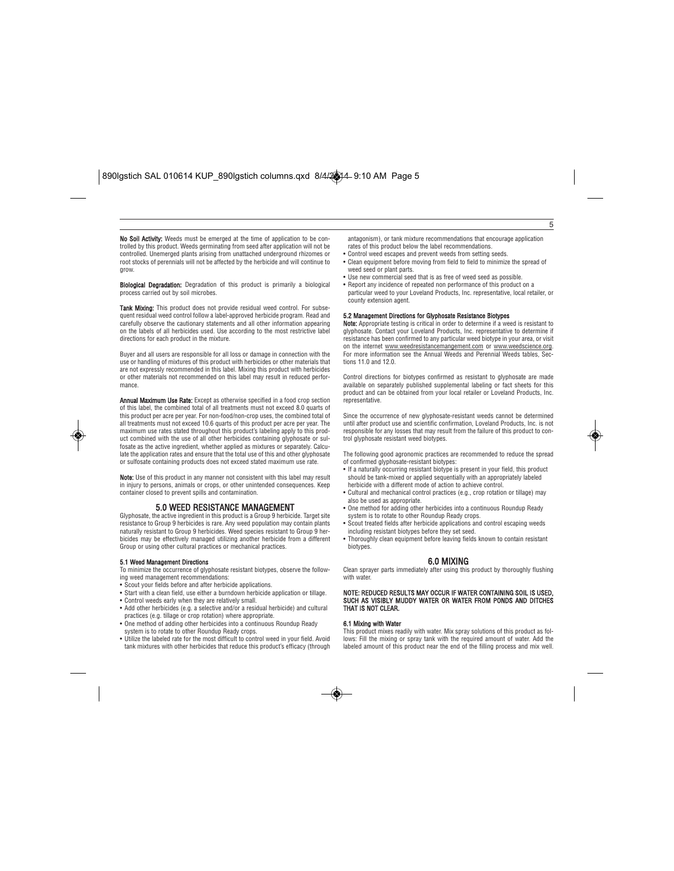No Soil Activity: Weeds must be emerged at the time of application to be controlled by this product. Weeds germinating from seed after application will not be controlled. Unemerged plants arising from unattached underground rhizomes or root stocks of perennials will not be affected by the herbicide and will continue to grow.

**Biological Degradation:** Degradation of this product is primarily a biological process carried out by soil microbes.

Tank Mixing: This product does not provide residual weed control. For subsequent residual weed control follow a label-approved herbicide program. Read and carefully observe the cautionary statements and all other information appearing on the labels of all herbicides used. Use according to the most restrictive label directions for each product in the mixture.

Buyer and all users are responsible for all loss or damage in connection with the use or handling of mixtures of this product with herbicides or other materials that are not expressly recommended in this label. Mixing this product with herbicides or other materials not recommended on this label may result in reduced performance.

Annual Maximum Use Rate: Except as otherwise specified in a food crop section of this label, the combined total of all treatments must not exceed 8.0 quarts of this product per acre per year. For non-food/non-crop uses, the combined total of all treatments must not exceed 10.6 quarts of this product per acre per year. The maximum use rates stated throughout this product's labeling apply to this prod-uct combined with the use of all other herbicides containing glyphosate or sulfosate as the active ingredient, whether applied as mixtures or separately. Calculate the application rates and ensure that the total use of this and other glyphosate or sulfosate containing products does not exceed stated maximum use rate.

**Note:** Use of this product in any manner not consistent with this label may result<br>in injury to persons, animals or crops, or other unintended consequences. Keep container closed to prevent spills and contamination.

#### 5.0 WEED RESISTANCE MANAGEMENT

Glyphosate, the active ingredient in this product is a Group 9 herbicide. Target site resistance to Group 9 herbicides is rare. Any weed population may contain plants naturally resistant to Group 9 herbicides. Weed species resistant to Group 9 herbicides may be effectively managed utilizing another herbicide from a different Group or using other cultural practices or mechanical practices.

#### 5.1 Weed Management Directions

- To minimize the occurrence of glyphosate resistant biotypes, observe the following weed management recommendations:
- Scout your fields before and after herbicide applications.
- Start with a clean field, use either a burndown herbicide application or tillage.
- Control weeds early when they are relatively small. • Add other herbicides (e.g. a selective and/or a residual herbicide) and cultural
- practices (e.g. tillage or crop rotation) where appropriate. • One method of adding other herbicides into a continuous Roundup Ready
- system is to rotate to other Roundup Ready crops. • Utilize the labeled rate for the most difficult to control weed in your field. Avoid
- tank mixtures with other herbicides that reduce this product's efficacy (through

antagonism), or tank mixture recommendations that encourage application rates of this product below the label recommendations.

5

- Control weed escapes and prevent weeds from setting seeds. • Clean equipment before moving from field to field to minimize the spread of weed seed or plant parts.
- Use new commercial seed that is as free of weed seed as possible.
- Report any incidence of repeated non performance of this product on a
- particular weed to your Loveland Products, Inc. representative, local retailer, or county extension agent.

**5.2 Management Directions for Glyphosate Resistance Biotypes**<br>**Note:** Appropriate testing is critical in order to determine if a weed is resistant to glyphosate. Contact your Loveland Products, Inc. representative to determine if resistance has been confirmed to any particular weed biotype in your area, or visit on the internet <u>www.weedresistancemangement.com</u> or <u>www.weedscience.org</u>.<br>For more information see the Annual Weeds and Perennial Weeds tables, Sections 11.0 and 12.0.

Control directions for biotypes confirmed as resistant to glyphosate are made available on separately published supplemental labeling or fact sheets for this product and can be obtained from your local retailer or Loveland Products, Inc. representative.

Since the occurrence of new glyphosate-resistant weeds cannot be determined until after product use and scientific confirmation, Loveland Products, Inc. is not responsible for any losses that may result from the failure of this product to control glyphosate resistant weed biotypes.

The following good agronomic practices are recommended to reduce the spread of confirmed glyphosate-resistant biotypes:

- If a naturally occurring resistant biotype is present in your field, this product should be tank-mixed or applied sequentially with an appropriately labeled herbicide with a different mode of action to achieve control.
- Cultural and mechanical control practices (e.g., crop rotation or tillage) may also be used as appropriate.
- One method for adding other herbicides into a continuous Roundup Ready system is to rotate to other Roundup Ready crops.
- Scout treated fields after herbicide applications and control escaping weeds including resistant biotypes before they set seed.
- Thoroughly clean equipment before leaving fields known to contain resistant biotypes.

#### 6.0 MIXING

Clean sprayer parts immediately after using this product by thoroughly flushing with water.

#### NOTE: REDUCED RESULTS MAY OCCUR IF WATER CONTAINING SOIL IS USED, SUCH AS VISIBLY MUDDY WATER OR WATER FROM PONDS AND DITCHES THAT IS NOT CLEAR.

#### 6.1 Mixing with Water

This product mixes readily with water. Mix spray solutions of this product as follows: Fill the mixing or spray tank with the required amount of water. Add the labeled amount of this product near the end of the filling process and mix well.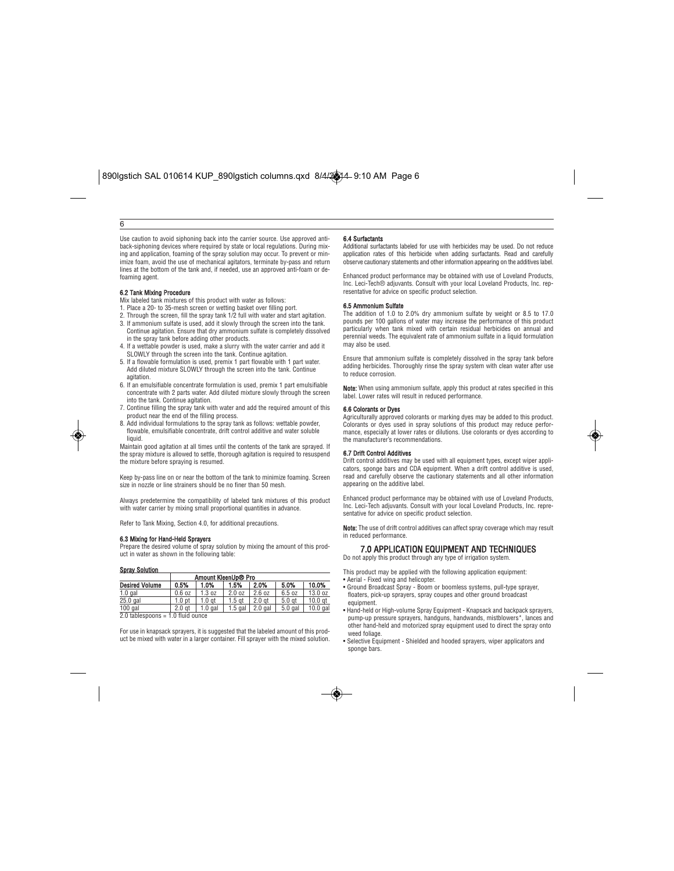### 6

Use caution to avoid siphoning back into the carrier source. Use approved antiback-siphoning devices where required by state or local regulations. During mixing and application, foaming of the spray solution may occur. To prevent or min-imize foam, avoid the use of mechanical agitators, terminate by-pass and return lines at the bottom of the tank and, if needed, use an approved anti-foam or defoaming agent.

- **6.2 Tank Mixing Procedure**<br>Mix labeled tank mixtures of this product with water as follows:
- 1. Place a 20- to 35-mesh screen or wetting basket over filling port.
- 2. Through the screen, fill the spray tank 1/2 full with water and start agitation. 3. If ammonium sulfate is used, add it slowly through the screen into the tank. Continue agitation. Ensure that dry ammonium sulfate is completely dissolved in the spray tank before adding other products.
- 4. If a wettable powder is used, make a slurry with the water carrier and add it SLOWLY through the screen into the tank. Continue agitation.
- 5. If a flowable formulation is used, premix 1 part flowable with 1 part water. Add diluted mixture SLOWLY through the screen into the tank. Continue agitation.
- 6. If an emulsifiable concentrate formulation is used, premix 1 part emulsifiable concentrate with 2 parts water. Add diluted mixture slowly through the screen into the tank. Continue agitation.
- 7. Continue filling the spray tank with water and add the required amount of this product near the end of the filling process.
- 8. Add individual formulations to the spray tank as follows: wettable powder, flowable, emulsifiable concentrate, drift control additive and water soluble liquid.

Maintain good agitation at all times until the contents of the tank are sprayed. If the spray mixture is allowed to settle, thorough agitation is required to resuspend the mixture before spraying is resumed.

Keep by-pass line on or near the bottom of the tank to minimize foaming. Screen size in nozzle or line strainers should be no finer than 50 mesh.

Always predetermine the compatibility of labeled tank mixtures of this product with water carrier by mixing small proportional quantities in advance.

Refer to Tank Mixing, Section 4.0, for additional precautions.

#### 6.3 Mixing for Hand-Held Sprayers

Prepare the desired volume of spray solution by mixing the amount of this product in water as shown in the following table:

#### Spray Solution

| Amount KleenUp® Pro                 |                   |                   |                   |                   |                   |                    |
|-------------------------------------|-------------------|-------------------|-------------------|-------------------|-------------------|--------------------|
| <b>Desired Volume</b>               | 0.5%              | 1.0%              | 1.5%              | 2.0%              | 5.0%              | 10.0%              |
| $1.0$ gal                           | 0.6 oz            | 1.3 oz            | 2.0 oz            | 2.6 oz            | 6.5 oz            | 13.0 oz            |
| $25.0$ gal                          | 1.0 <sub>pt</sub> | 1.0 <sub>at</sub> | 1.5 <sub>at</sub> | 2.0 <sub>gt</sub> | 5.0 <sub>at</sub> | 10.0 <sub>at</sub> |
| $100$ gal                           | 2.0 at            | $1.0$ gal         | $1.5$ gal         | $2.0$ gal         | $5.0$ gal         | $10.0$ gal         |
| $2.0$ tablespoons = 1.0 fluid ounce |                   |                   |                   |                   |                   |                    |

For use in knapsack sprayers, it is suggested that the labeled amount of this product be mixed with water in a larger container. Fill sprayer with the mixed solution.

#### 6.4 Surfactants

Additional surfactants labeled for use with herbicides may be used. Do not reduce application rates of this herbicide when adding surfactants. Read and carefully observe cautionary statements and other information appearing on the additives label.

Enhanced product performance may be obtained with use of Loveland Products, Inc. Leci-Tech® adjuvants. Consult with your local Loveland Products, Inc. representative for advice on specific product selection.

#### 6.5 Ammonium Sulfate

The addition of 1.0 to 2.0% dry ammonium sulfate by weight or 8.5 to 17.0 pounds per 100 gallons of water may increase the performance of this product particularly when tank mixed with certain residual herbicides on annual and perennial weeds. The equivalent rate of ammonium sulfate in a liquid formulation may also be used.

Ensure that ammonium sulfate is completely dissolved in the spray tank before adding herbicides. Thoroughly rinse the spray system with clean water after use to reduce corrosion.

Note: When using ammonium sulfate, apply this product at rates specified in this label. Lower rates will result in reduced performance.

#### 6.6 Colorants or Dyes

Agriculturally approved colorants or marking dyes may be added to this product. Colorants or dyes used in spray solutions of this product may reduce performance, especially at lower rates or dilutions. Use colorants or dyes according to the manufacturer's recommendations.

#### 6.7 Drift Control Additives

Drift control additives may be used with all equipment types, except wiper applicators, sponge bars and CDA equipment. When a drift control additive is used, read and carefully observe the cautionary statements and all other information appearing on the additive label.

Enhanced product performance may be obtained with use of Loveland Products, Inc. Leci-Tech adjuvants. Consult with your local Loveland Products, Inc. representative for advice on specific product selection.

Note: The use of drift control additives can affect spray coverage which may result in reduced performance.

#### 7.0 APPLICATION EQUIPMENT AND TECHNIQUES Do not apply this product through any type of irrigation system.

This product may be applied with the following application equipment:

- Aerial Fixed wing and helicopter.
- Ground Broadcast Spray Boom or boomless systems, pull-type sprayer, floaters, pick-up sprayers, spray coupes and other ground broadcast equipment.
- Hand-held or High-volume Spray Equipment Knapsack and backpack sprayers, pump-up pressure sprayers, handguns, handwands, mistblowers\*, lances and other hand-held and motorized spray equipment used to direct the spray onto weed foliage.
- Selective Equipment Shielded and hooded sprayers, wiper applicators and sponge bars.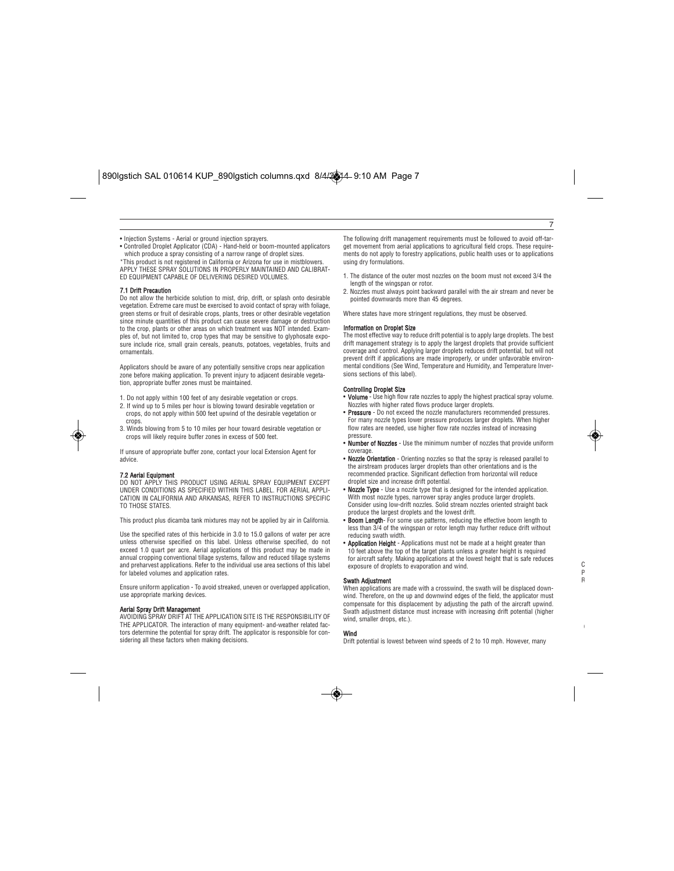• Injection Systems - Aerial or ground injection sprayers.

• Controlled Droplet Applicator (CDA) - Hand-held or boom-mounted applicators which produce a spray consisting of a narrow range of droplet sizes. \*This product is not registered in California or Arizona for use in mistblowers. APPLY THESE SPRAY SOLUTIONS IN PROPERLY MAINTAINED AND CALIBRAT-ED EQUIPMENT CAPABLE OF DELIVERING DESIRED VOLUMES.

#### 7.1 Drift Precaution

Do not allow the herbicide solution to mist, drip, drift, or splash onto desirable vegetation. Extreme care must be exercised to avoid contact of spray with foliage, green stems or fruit of desirable crops, plants, trees or other desirable vegetation since minute quantities of this product can cause severe damage or destruction to the crop, plants or other areas on which treatment was NOT intended. Examples of, but not limited to, crop types that may be sensitive to glyphosate exposure include rice, small grain cereals, peanuts, potatoes, vegetables, fruits and ornamentals.

Applicators should be aware of any potentially sensitive crops near application zone before making application. To prevent injury to adjacent desirable vegetation, appropriate buffer zones must be maintained.

1. Do not apply within 100 feet of any desirable vegetation or crops.

- 2. If wind up to 5 miles per hour is blowing toward desirable vegetation or crops, do not apply within 500 feet upwind of the desirable vegetation or crops.
- 3. Winds blowing from 5 to 10 miles per hour toward desirable vegetation or crops will likely require buffer zones in excess of 500 feet.

If unsure of appropriate buffer zone, contact your local Extension Agent for advice.

**7.2 Aerial Equipment**<br>DO NOT APPLY THIS PRODUCT USING AERIAL SPRAY EQUIPMENT EXCEPT UNDER CONDITIONS AS SPECIFIED WITHIN THIS LABEL. FOR AERIAL APPLI-CATION IN CALIFORNIA AND ARKANSAS, REFER TO INSTRUCTIONS SPECIFIC TO THOSE STATES.

This product plus dicamba tank mixtures may not be applied by air in California.

Use the specified rates of this herbicide in 3.0 to 15.0 gallons of water per acre unless otherwise specified on this label. Unless otherwise specified, do not exceed 1.0 quart per acre. Aerial applications of this product may be made in annual cropping conventional tillage systems, fallow and reduced tillage systems and preharvest applications. Refer to the individual use area sections of this label for labeled volumes and application rates.

Ensure uniform application - To avoid streaked, uneven or overlapped application, use appropriate marking devices.

#### Aerial Spray Drift Manage

AVOIDING SPRAY DRIFT AT THE APPLICATION SITE IS THE RESPONSIBILITY OF THE APPLICATOR. The interaction of many equipment- and-weather related factors determine the potential for spray drift. The applicator is responsible for considering all these factors when making decisions.

The following drift management requirements must be followed to avoid off-target movement from aerial applications to agricultural field crops. These requirements do not apply to forestry applications, public health uses or to applications using dry formulations.

7

C P R

G

- 1. The distance of the outer most nozzles on the boom must not exceed 3/4 the length of the wingspan or rotor.
- 2. Nozzles must always point backward parallel with the air stream and never be pointed downwards more than 45 degrees.

Where states have more stringent regulations, they must be observed.

#### Information on Droplet Size

The most effective way to reduce drift potential is to apply large droplets. The best drift management strategy is to apply the largest droplets that provide sufficient coverage and control. Applying larger droplets reduces drift potential, but will not prevent drift if applications are made improperly, or under unfavorable environ-mental conditions (See Wind, Temperature and Humidity, and Temperature Inversions sections of this label).

#### Controlling Droplet Size

- Volume Use high flow rate nozzles to apply the highest practical spray volume. Nozzles with higher rated flows produce larger droplets.
- **Pressure** Do not exceed the nozzle manufacturers recommended pressures. For many nozzle types lower pressure produces larger droplets. When higher flow rates are needed, use higher flow rate nozzles instead of increasing pressure.
- Number of Nozzles Use the minimum number of nozzles that provide uniform coverage.
- Nozzle Orientation Orienting nozzles so that the spray is released parallel to the airstream produces larger droplets than other orientations and is the recommended practice. Significant deflection from horizontal will reduce droplet size and increase drift potential.
- Nozzle Type Use a nozzle type that is designed for the intended application. With most nozzle types, narrower spray angles produce larger droplets. Consider using low-drift nozzles. Solid stream nozzles oriented straight back produce the largest droplets and the lowest drift.
- **Boom Length** For some use patterns, reducing the effective boom length to less than 3/4 of the wingspan or rotor length may further reduce drift without reducing swath width.
- **Application Height** Applications must not be made at a height greater than 10 feet above the top of the target plants unless a greater height is required for aircraft safety. Making applications at the lowest height that is safe reduces exposure of droplets to evaporation and wind.

#### Swath Adjustment

When applications are made with a crosswind, the swath will be displaced downwind. Therefore, on the up and downwind edges of the field, the applicator must compensate for this displacement by adjusting the path of the aircraft upwind. Swath adjustment distance must increase with increasing drift potential (higher wind, smaller drops, etc.).

#### Wind

Drift potential is lowest between wind speeds of 2 to 10 mph. However, many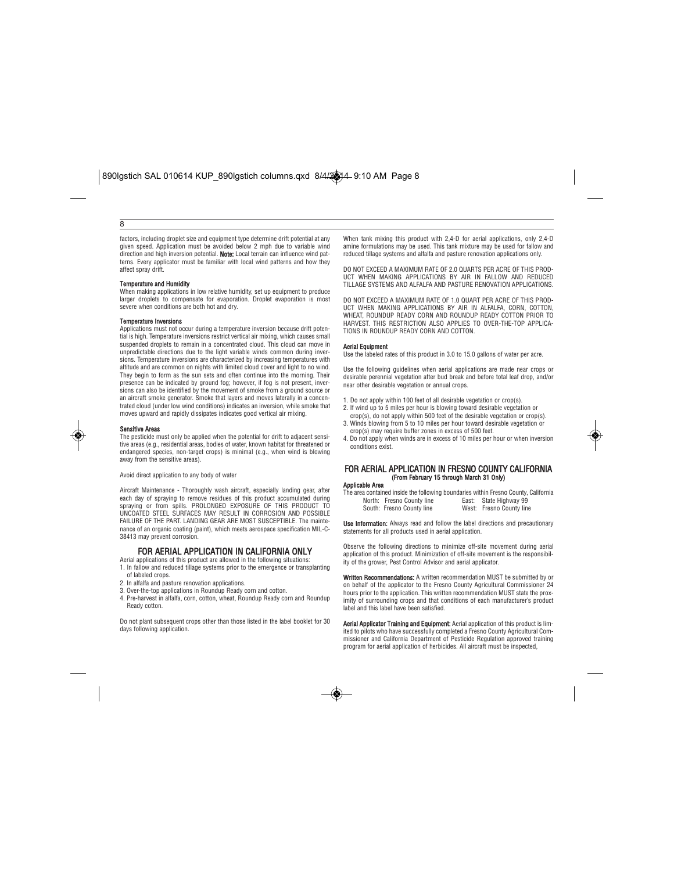#### 8

factors, including droplet size and equipment type determine drift potential at any given speed. Application must be avoided below 2 mph due to variable wind direction and high inversion potential. Note: Local terrain can influence wind patterns. Every applicator must be familiar with local wind patterns and how they affect spray drift.

**Temperature and Humidity**<br>When making applications in low relative humidity, set up equipment to produce larger droplets to compensate for evaporation. Droplet evaporation is most severe when conditions are both hot and dry.

#### Temperature Inversions

Applications must not occur during a temperature inversion because drift potential is high. Temperature inversions restrict vertical air mixing, which causes small suspended droplets to remain in a concentrated cloud. This cloud can move in unpredictable directions due to the light variable winds common during inversions. Temperature inversions are characterized by increasing temperatures with altitude and are common on nights with limited cloud cover and light to no wind. They begin to form as the sun sets and often continue into the morning. Their presence can be indicated by ground fog; however, if fog is not present, inversions can also be identified by the movement of smoke from a ground source or an aircraft smoke generator. Smoke that layers and moves laterally in a concentrated cloud (under low wind conditions) indicates an inversion, while smoke that moves upward and rapidly dissipates indicates good vertical air mixing.

### Sensitive Areas

The pesticide must only be applied when the potential for drift to adjacent sensitive areas (e.g., residential areas, bodies of water, known habitat for threatened or endangered species, non-target crops) is minimal (e.g., when wind is blowing away from the sensitive areas).

Avoid direct application to any body of water

Aircraft Maintenance - Thoroughly wash aircraft, especially landing gear, after each day of spraying to remove residues of this product accumulated during spraying or from spills. PROLONGED EXPOSURE OF THIS PRODUCT TO UNCOATED STEEL SURFACES MAY RESULT IN CORROSION AND POSSIBLE FAILURE OF THE PART. LANDING GEAR ARE MOST SUSCEPTIBLE. The maintenance of an organic coating (paint), which meets aerospace specification MIL-C-38413 may prevent corrosion.

#### FOR AERIAL APPLICATION IN CALIFORNIA ONLY

Aerial applications of this product are allowed in the following situation 1. In fallow and reduced tillage systems prior to the emergence or transplanting of labeled crops.

2. In alfalfa and pasture renovation applications.

3. Over-the-top applications in Roundup Ready corn and cotton.

4. Pre-harvest in alfalfa, corn, cotton, wheat, Roundup Ready corn and Roundup Ready cotton.

Do not plant subsequent crops other than those listed in the label booklet for 30 days following application.

When tank mixing this product with 2,4-D for aerial applications, only 2,4-D amine formulations may be used. This tank mixture may be used for fallow and reduced tillage systems and alfalfa and pasture renovation applications only.

DO NOT EXCEED A MAXIMUM RATE OF 2.0 QUARTS PER ACRE OF THIS PROD-UCT WHEN MAKING APPLICATIONS BY AIR IN FALLOW AND REDUCED TILLAGE SYSTEMS AND ALFALFA AND PASTURE RENOVATION APPLICATIONS.

DO NOT EXCEED A MAXIMUM RATE OF 1.0 QUART PER ACRE OF THIS PROD-UCT WHEN MAKING APPLICATIONS BY AIR IN ALFALFA, CORN, COTTON, WHEAT, ROUNDUP READY CORN AND ROUNDUP READY COTTON PRIOR TO HARVEST. THIS RESTRICTION ALSO APPLIES TO OVER-THE-TOP APPLICA-TIONS IN ROUNDUP READY CORN AND COTTON.

#### Aerial Equipment

Use the labeled rates of this product in 3.0 to 15.0 gallons of water per acre.

Use the following guidelines when aerial applications are made near crops or desirable perennial vegetation after bud break and before total leaf drop, and/or near other desirable vegetation or annual crops.

- 1. Do not apply within 100 feet of all desirable vegetation or crop(s).
- 2. If wind up to 5 miles per hour is blowing toward desirable vegetation or crop(s), do not apply within 500 feet of the desirable vegetation or crop(s). 3. Winds blowing from 5 to 10 miles per hour toward desirable vegetation or
- crop(s) may require buffer zones in excess of 500 feet. 4. Do not apply when winds are in excess of 10 miles per hour or when inversion
- conditions exist.

#### FOR AERIAL APPLICATION IN FRESNO COUNTY CALIFORNIA (From February 15 through March 31 Only) Applicable Area

The area contained inside the following boundaries within Fresno County, California North: Fresno County line East: State Highway 99<br>South: Fresno County line West: Fresno County line South: Fresno County line

Use Information: Always read and follow the label directions and precautionary statements for all products used in aerial application.

Observe the following directions to minimize off-site movement during aerial application of this product. Minimization of off-site movement is the responsibility of the grower, Pest Control Advisor and aerial applicator.

Written Recommendations: A written recommendation MUST be submitted by or on behalf of the applicator to the Fresno County Agricultural Commissioner 24 hours prior to the application. This written recommendation MUST state the proximity of surrounding crops and that conditions of each manufacturer's product label and this label have been satisfied.

Aerial Applicator Training and Equipment: Aerial application of this product is limited to pilots who have successfully completed a Fresno County Agricultural Com-missioner and California Department of Pesticide Regulation approved training program for aerial application of herbicides. All aircraft must be inspected,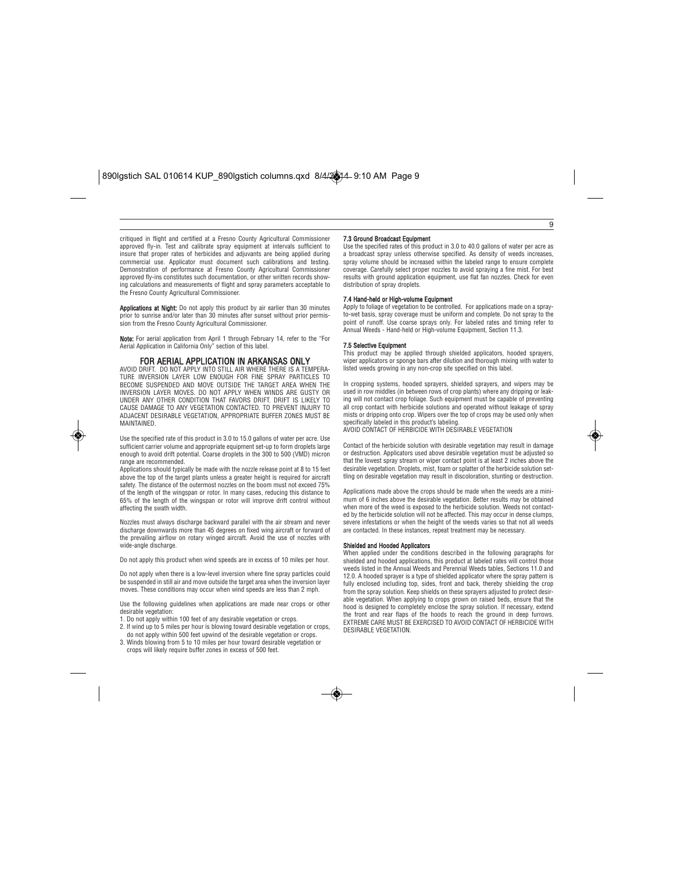critiqued in flight and certified at a Fresno County Agricultural Commissioner approved fly-in. Test and calibrate spray equipment at intervals sufficient to insure that proper rates of herbicides and adjuvants are being applied during commercial use. Applicator must document such calibrations and testing. Demonstration of performance at Fresno County Agricultural Commissioner approved fly-ins constitutes such documentation, or other written records showing calculations and measurements of flight and spray parameters acceptable to the Fresno County Agricultural Commissioner.

Applications at Night: Do not apply this product by air earlier than 30 minutes prior to sunrise and/or later than 30 minutes after sunset without prior permission from the Fresno County Agricultural Commissioner.

**Note:** For aerial application from April 1 through February 14, refer to the "For<br>Aerial Application in California Only" section of this label.

## FOR AERIAL APPLICATION IN ARKANSAS ONLY

AVOID DRIFT. DO NOT APPLY INTO STILL AIR WHERE THERE IS A TEMPERA-TURE INVERSION LAYER LOW ENOUGH FOR FINE SPRAY PARTICLES TO BECOME SUSPENDED AND MOVE OUTSIDE THE TARGET AREA WHEN THE INVERSION LAYER MOVES. DO NOT APPLY WHEN WINDS ARE GUSTY OR UNDER ANY OTHER CONDITION THAT FAVORS DRIFT. DRIFT IS LIKELY TO CAUSE DAMAGE TO ANY VEGETATION CONTACTED. TO PREVENT INJURY TO ADJACENT DESIRABLE VEGETATION, APPROPRIATE BUFFER ZONES MUST BE MAINTAINED.

Use the specified rate of this product in 3.0 to 15.0 gallons of water per acre. Use sufficient carrier volume and appropriate equipment set-up to form droplets large enough to avoid drift potential. Coarse droplets in the 300 to 500 (VMD) micron range are recommended.

Applications should typically be made with the nozzle release point at 8 to 15 feet above the top of the target plants unless a greater height is required for aircraft safety. The distance of the outermost nozzles on the boom must not exceed 75% of the length of the wingspan or rotor. In many cases, reducing this distance to 65% of the length of the wingspan or rotor will improve drift control without affecting the swath width.

Nozzles must always discharge backward parallel with the air stream and never discharge downwards more than 45 degrees on fixed wing aircraft or forward of the prevailing airflow on rotary winged aircraft. Avoid the use of nozzles with wide-angle discharge

Do not apply this product when wind speeds are in excess of 10 miles per hour.

Do not apply when there is a low-level inversion where fine spray particles could be suspended in still air and move outside the target area when the inversion layer moves. These conditions may occur when wind speeds are less than 2 mph.

Use the following guidelines when applications are made near crops or other desirable vegetation:

- 1. Do not apply within 100 feet of any desirable vegetation or crops. 2. If wind up to 5 miles per hour is blowing toward desirable vegetation or crops,
- do not apply within 500 feet upwind of the desirable vegetation or crops. 3. Winds blowing from 5 to 10 miles per hour toward desirable vegetation or
- crops will likely require buffer zones in excess of 500 feet.

#### 7.3 Ground Broadcast Equipment

Use the specified rates of this product in 3.0 to 40.0 gallons of water per acre as a broadcast spray unless otherwise specified. As density of weeds increases spray volume should be increased within the labeled range to ensure complete coverage. Carefully select proper nozzles to avoid spraying a fine mist. For best results with ground application equipment, use flat fan nozzles. Check for even distribution of spray droplets.

9

#### 7.4 Hand-held or High-volume Equipment

Apply to foliage of vegetation to be controlled. For applications made on a spray-to-wet basis, spray coverage must be uniform and complete. Do not spray to the point of runoff. Use coarse sprays only. For labeled rates and timing refer to Annual Weeds - Hand-held or High-volume Equipment, Section 11.3.

#### 7.5 Selective Equipment

This product may be applied through shielded applicators, hooded sprayers, wiper applicators or sponge bars after dilution and thorough mixing with water to listed weeds growing in any non-crop site specified on this label.

In cropping systems, hooded sprayers, shielded sprayers, and wipers may be used in row middles (in between rows of crop plants) where any dripping or leaking will not contact crop foliage. Such equipment must be capable of preventing all crop contact with herbicide solutions and operated without leakage of spray mists or dripping onto crop. Wipers over the top of crops may be used only when specifically labeled in this product's labeling. AVOID CONTACT OF HERBICIDE WITH DESIRABLE VEGETATION

Contact of the herbicide solution with desirable vegetation may result in damage or destruction. Applicators used above desirable vegetation must be adjusted so that the lowest spray stream or wiper contact point is at least 2 inches above the desirable vegetation. Droplets, mist, foam or splatter of the herbicide solution settling on desirable vegetation may result in discoloration, stunting or destruction.

Applications made above the crops should be made when the weeds are a minimum of 6 inches above the desirable vegetation. Better results may be obtained when more of the weed is exposed to the herbicide solution. Weeds not contact-ed by the herbicide solution will not be affected. This may occur in dense clumps, severe infestations or when the height of the weeds varies so that not all weeds are contacted. In these instances, repeat treatment may be necessary.

#### Shielded and Hooded Applicators

When applied under the conditions described in the following paragraphs for shielded and hooded applications, this product at labeled rates will control those weeds listed in the Annual Weeds and Perennial Weeds tables, Sections 11.0 and 12.0. A hooded sprayer is a type of shielded applicator where the spray pattern is fully enclosed including top, sides, front and back, thereby shielding the crop from the spray solution. Keep shields on these sprayers adjusted to protect desirable vegetation. When applying to crops grown on raised beds, ensure that the hood is designed to completely enclose the spray solution. If necessary, extend the front and rear flaps of the hoods to reach the ground in deep furrows. EXTREME CARE MUST BE EXERCISED TO AVOID CONTACT OF HERBICIDE WITH DESIRABLE VEGETATION.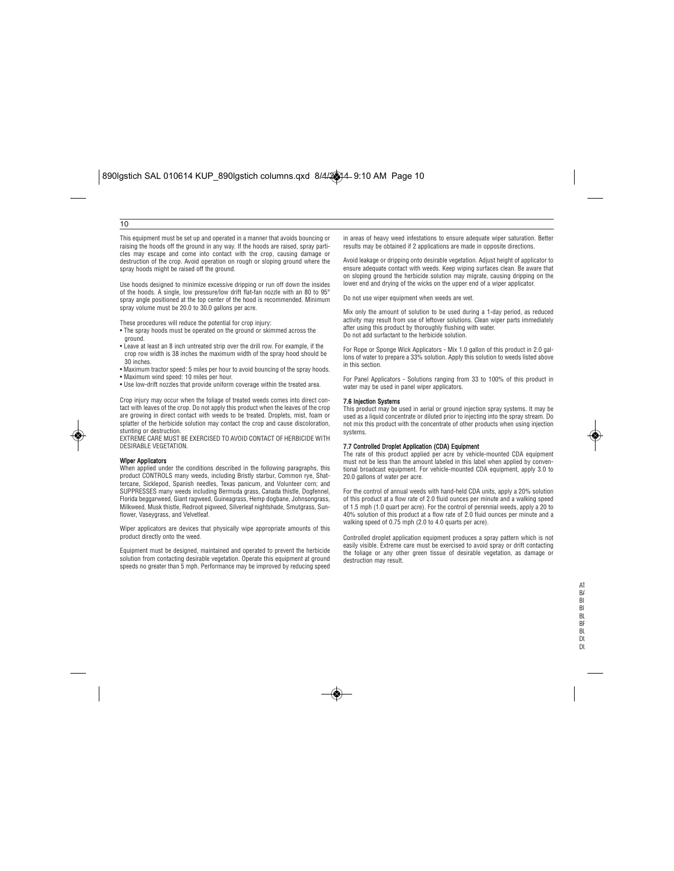#### 10

This equipment must be set up and operated in a manner that avoids bouncing or raising the hoods off the ground in any way. If the hoods are raised, spray particles may escape and come into contact with the crop, causing damage or destruction of the crop. Avoid operation on rough or sloping ground where the spray hoods might be raised off the ground.

Use hoods designed to minimize excessive dripping or run off down the insides of the hoods. A single, low pressure/low drift flat-fan nozzle with an 80 to 95° spray angle positioned at the top center of the hood is recommended. Minimum spray volume must be 20.0 to 30.0 gallons per acre.

These procedures will reduce the potential for crop injury:

- The spray hoods must be operated on the ground or skimmed across the ground.
- Leave at least an 8 inch untreated strip over the drill row. For example, if the crop row width is 38 inches the maximum width of the spray hood should be 30 inches.
- Maximum tractor speed: 5 miles per hour to avoid bouncing of the spray hoods. • Maximum wind speed: 10 miles per hour.
- Use low-drift nozzles that provide uniform coverage within the treated area.

Crop injury may occur when the foliage of treated weeds comes into direct contact with leaves of the crop. Do not apply this product when the leaves of the crop are growing in direct contact with weeds to be treated. Droplets, mist, foam or splatter of the herbicide solution may contact the crop and cause discoloration, stunting or destruction.

EXTREME CARE MUST BE EXERCISED TO AVOID CONTACT OF HERBICIDE WITH DESIRABLE VEGETATION.

#### Wiper Applicators

When applied under the conditions described in the following paragraphs, this product CONTROLS many weeds, including Bristly starbur, Common rye, Shattercane, Sicklepod, Spanish needles, Texas panicum, and Volunteer corn; and SUPPRESSES many weeds including Bermuda grass, Canada thistle, Dogfennel, Florida beggarweed, Giant ragweed, Guineagrass, Hemp dogbane, Johnsongrass, Milkweed, Musk thistle, Redroot pigweed, Silverleaf nightshade, Smutgrass, Sunflower, Vaseygrass, and Velvetleaf.

Wiper applicators are devices that physically wipe appropriate amounts of this product directly onto the weed.

Equipment must be designed, maintained and operated to prevent the herbicide solution from contacting desirable vegetation. Operate this equipment at ground speeds no greater than 5 mph. Performance may be improved by reducing speed in areas of heavy weed infestations to ensure adequate wiper saturation. Better results may be obtained if 2 applications are made in opposite directions.

Avoid leakage or dripping onto desirable vegetation. Adjust height of applicator to ensure adequate contact with weeds. Keep wiping surfaces clean. Be aware that on sloping ground the herbicide solution may migrate, causing dripping on the lower end and drying of the wicks on the upper end of a wiper applicator.

Do not use wiper equipment when weeds are wet.

Mix only the amount of solution to be used during a 1-day period, as reduced activity may result from use of leftover solutions. Clean wiper parts immediately after using this product by thoroughly flushing with water. Do not add surfactant to the herbicide solution.

For Rope or Sponge Wick Applicators - Mix 1.0 gallon of this product in 2.0 gal-lons of water to prepare a 33% solution. Apply this solution to weeds listed above in this section.

For Panel Applicators - Solutions ranging from 33 to 100% of this product in water may be used in panel wiper applicators.

#### 7.6 Injection Systems

◈

This product may be used in aerial or ground injection spray systems. It may be used as a liquid concentrate or diluted prior to injecting into the spray stream. Do not mix this product with the concentrate of other products when using injection systems.

**7.7 Controlled Droplet Application (CDA) Equipment**<br>The rate of this product applied per acre by vehicle-mounted CDA equipment must not be less than the amount labeled in this label when applied by conventional broadcast equipment. For vehicle-mounted CDA equipment, apply 3.0 to 20.0 gallons of water per acre.

For the control of annual weeds with hand-held CDA units, apply a 20% solution of this product at a flow rate of 2.0 fluid ounces per minute and a walking speed of 1.5 mph (1.0 quart per acre). For the control of perennial weeds, apply a 20 to 40% solution of this product at a flow rate of 2.0 fluid ounces per minute and a walking speed of 0.75 mph (2.0 to 4.0 quarts per acre).

Controlled droplet application equipment produces a spray pattern which is not easily visible. Extreme care must be exercised to avoid spray or drift contacting the foliage or any other green tissue of desirable vegetation, as damage or destruction may result.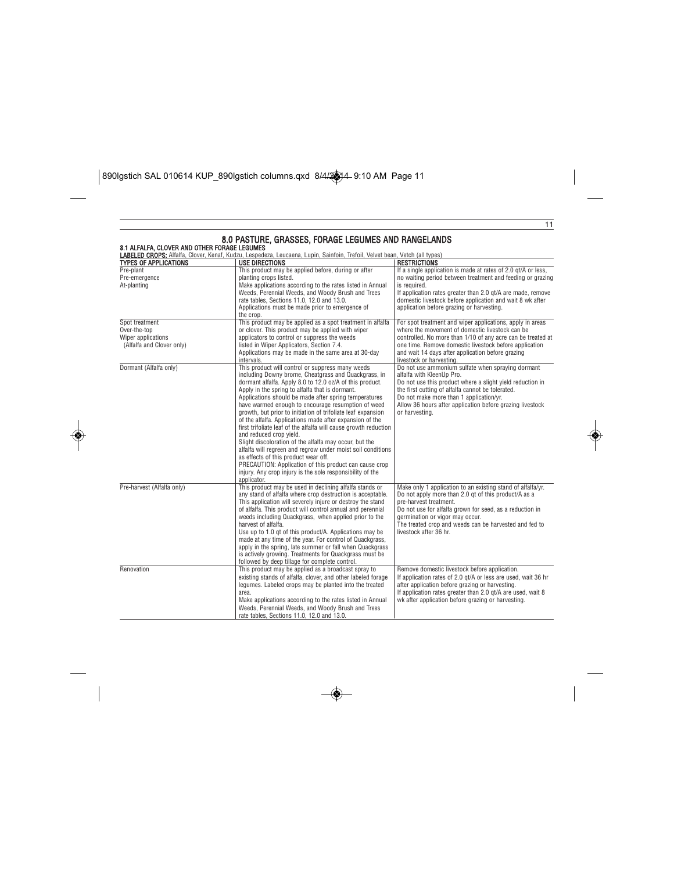$\boxed{\text{890I}\text{g}\text{stich SAL 010614 KUP\_890I}\text{g}\text{stich columns.} \text{qxd } \frac{8}{4\sqrt{2}}\text{A} - 9:10 \text{ AM} \text{ Page 11}}$ 

 $\bigcirc$ 

| 8.1 ALFALFA, CLOVER AND OTHER FORAGE LEGUMES                                      | LABELED CROPS: Alfalfa, Clover, Kenaf, Kudzu, Lespedeza, Leucaena, Lupin, Sainfoin, Trefoil, Velvet bean, Vetch (all types)                                                                                                                                                                                                                                                                                                                                                                                                                                                                                                                                                                                                                                                                                                                                              |                                                                                                                                                                                                                                                                                                                                  |
|-----------------------------------------------------------------------------------|--------------------------------------------------------------------------------------------------------------------------------------------------------------------------------------------------------------------------------------------------------------------------------------------------------------------------------------------------------------------------------------------------------------------------------------------------------------------------------------------------------------------------------------------------------------------------------------------------------------------------------------------------------------------------------------------------------------------------------------------------------------------------------------------------------------------------------------------------------------------------|----------------------------------------------------------------------------------------------------------------------------------------------------------------------------------------------------------------------------------------------------------------------------------------------------------------------------------|
| <b>TYPES OF APPLICATIONS</b>                                                      | <b>USE DIRECTIONS</b>                                                                                                                                                                                                                                                                                                                                                                                                                                                                                                                                                                                                                                                                                                                                                                                                                                                    | <b>RESTRICTIONS</b>                                                                                                                                                                                                                                                                                                              |
| Pre-plant<br>Pre-emergence<br>At-planting                                         | This product may be applied before, during or after<br>planting crops listed.<br>Make applications according to the rates listed in Annual<br>Weeds, Perennial Weeds, and Woody Brush and Trees<br>rate tables, Sections 11.0, 12.0 and 13.0.<br>Applications must be made prior to emergence of<br>the crop.                                                                                                                                                                                                                                                                                                                                                                                                                                                                                                                                                            | If a single application is made at rates of 2.0 gt/A or less,<br>no waiting period between treatment and feeding or grazing<br>is required.<br>If application rates greater than 2.0 qt/A are made, remove<br>domestic livestock before application and wait 8 wk after<br>application before grazing or harvesting.             |
| Spot treatment<br>Over-the-top<br>Wiper applications<br>(Alfalfa and Clover only) | This product may be applied as a spot treatment in alfalfa.<br>or clover. This product may be applied with wiper<br>applicators to control or suppress the weeds<br>listed in Wiper Applicators, Section 7.4.<br>Applications may be made in the same area at 30-day<br>intervals.                                                                                                                                                                                                                                                                                                                                                                                                                                                                                                                                                                                       | For spot treatment and wiper applications, apply in areas<br>where the movement of domestic livestock can be<br>controlled. No more than 1/10 of any acre can be treated at<br>one time. Remove domestic livestock before application<br>and wait 14 days after application before grazing<br>livestock or harvesting.           |
| Dormant (Alfalfa only)                                                            | This product will control or suppress many weeds<br>including Downy brome, Cheatgrass and Quackgrass, in<br>dormant alfalfa. Apply 8.0 to 12.0 oz/A of this product.<br>Apply in the spring to alfalfa that is dormant.<br>Applications should be made after spring temperatures<br>have warmed enough to encourage resumption of weed<br>growth, but prior to initiation of trifoliate leaf expansion<br>of the alfalfa. Applications made after expansion of the<br>first trifoliate leaf of the alfalfa will cause growth reduction<br>and reduced crop yield.<br>Slight discoloration of the alfalfa may occur, but the<br>alfalfa will regreen and regrow under moist soil conditions<br>as effects of this product wear off.<br>PRECAUTION: Application of this product can cause crop<br>injury. Any crop injury is the sole responsibility of the<br>applicator. | Do not use ammonium sulfate when spraying dormant<br>alfalfa with KleenUp Pro.<br>Do not use this product where a slight yield reduction in<br>the first cutting of alfalfa cannot be tolerated.<br>Do not make more than 1 application/yr.<br>Allow 36 hours after application before grazing livestock<br>or harvesting.       |
| Pre-harvest (Alfalfa only)                                                        | This product may be used in declining alfalfa stands or<br>any stand of alfalfa where crop destruction is acceptable.<br>This application will severely injure or destroy the stand<br>of alfalfa. This product will control annual and perennial<br>weeds including Quackgrass, when applied prior to the<br>harvest of alfalfa.<br>Use up to 1.0 gt of this product/A. Applications may be<br>made at any time of the year. For control of Quackgrass,<br>apply in the spring, late summer or fall when Quackgrass<br>is actively growing. Treatments for Quackgrass must be<br>followed by deep tillage for complete control.                                                                                                                                                                                                                                         | Make only 1 application to an existing stand of alfalfa/yr.<br>Do not apply more than 2.0 gt of this product/A as a<br>pre-harvest treatment.<br>Do not use for alfalfa grown for seed, as a reduction in<br>germination or vigor may occur.<br>The treated crop and weeds can be harvested and fed to<br>livestock after 36 hr. |
| Renovation                                                                        | This product may be applied as a broadcast spray to<br>existing stands of alfalfa, clover, and other labeled forage<br>legumes. Labeled crops may be planted into the treated<br>area.<br>Make applications according to the rates listed in Annual<br>Weeds, Perennial Weeds, and Woody Brush and Trees<br>rate tables. Sections 11.0, 12.0 and 13.0.                                                                                                                                                                                                                                                                                                                                                                                                                                                                                                                   | Remove domestic livestock before application.<br>If application rates of 2.0 qt/A or less are used, wait 36 hr<br>after application before grazing or harvesting.<br>If application rates greater than 2.0 gt/A are used, wait 8<br>wk after application before grazing or harvesting.                                           |

◈

 $\overline{\bullet}$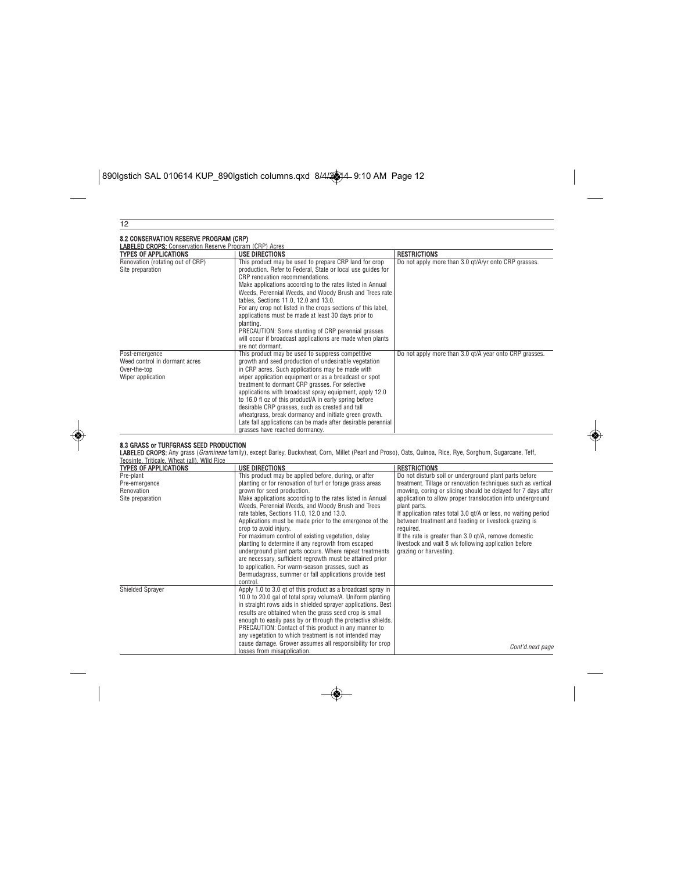$\boxed{\text{890I}\text{g}\text{stich SAL 010614 KUP\_890I}\text{g}\text{stich columns.} \text{qxd } \frac{8}{4\sqrt{2}}\text{A-9:10 AM Page 12}}$ 

◈

| 12                                                                                    |                                                                                                                                                                                                                                                                                                                                                                                                                                                                                                                                                                                                                                                                                                                                                                 |                                                                                                                                                                                                                                                                                                                                                                                                                                                                                                                                                        |
|---------------------------------------------------------------------------------------|-----------------------------------------------------------------------------------------------------------------------------------------------------------------------------------------------------------------------------------------------------------------------------------------------------------------------------------------------------------------------------------------------------------------------------------------------------------------------------------------------------------------------------------------------------------------------------------------------------------------------------------------------------------------------------------------------------------------------------------------------------------------|--------------------------------------------------------------------------------------------------------------------------------------------------------------------------------------------------------------------------------------------------------------------------------------------------------------------------------------------------------------------------------------------------------------------------------------------------------------------------------------------------------------------------------------------------------|
| 8.2 CONSERVATION RESERVE PROGRAM (CRP)                                                |                                                                                                                                                                                                                                                                                                                                                                                                                                                                                                                                                                                                                                                                                                                                                                 |                                                                                                                                                                                                                                                                                                                                                                                                                                                                                                                                                        |
| <b>LABELED CROPS:</b> Conservation Reserve Program (CRP) Acres                        |                                                                                                                                                                                                                                                                                                                                                                                                                                                                                                                                                                                                                                                                                                                                                                 |                                                                                                                                                                                                                                                                                                                                                                                                                                                                                                                                                        |
| <b>TYPES OF APPLICATIONS</b>                                                          | <b>USE DIRECTIONS</b>                                                                                                                                                                                                                                                                                                                                                                                                                                                                                                                                                                                                                                                                                                                                           | <b>RESTRICTIONS</b>                                                                                                                                                                                                                                                                                                                                                                                                                                                                                                                                    |
| Renovation (rotating out of CRP)<br>Site preparation                                  | This product may be used to prepare CRP land for crop<br>production. Refer to Federal, State or local use guides for<br>CRP renovation recommendations.<br>Make applications according to the rates listed in Annual<br>Weeds, Perennial Weeds, and Woody Brush and Trees rate<br>tables, Sections 11.0, 12.0 and 13.0.<br>For any crop not listed in the crops sections of this label,<br>applications must be made at least 30 days prior to<br>planting.<br>PRECAUTION: Some stunting of CRP perennial grasses<br>will occur if broadcast applications are made when plants<br>are not dormant.                                                                                                                                                              | Do not apply more than 3.0 gt/A/yr onto CRP grasses.                                                                                                                                                                                                                                                                                                                                                                                                                                                                                                   |
| Post-emergence<br>Weed control in dormant acres<br>Over-the-top<br>Wiper application  | This product may be used to suppress competitive<br>growth and seed production of undesirable vegetation<br>in CRP acres. Such applications may be made with<br>wiper application equipment or as a broadcast or spot<br>treatment to dormant CRP grasses. For selective<br>applications with broadcast spray equipment, apply 12.0<br>to 16.0 fl oz of this product/A in early spring before<br>desirable CRP grasses, such as crested and tall<br>wheatgrass, break dormancy and initiate green growth.<br>Late fall applications can be made after desirable perennial<br>grasses have reached dormancy.                                                                                                                                                     | Do not apply more than 3.0 qt/A year onto CRP grasses.                                                                                                                                                                                                                                                                                                                                                                                                                                                                                                 |
| 8.3 GRASS or TURFGRASS SEED PRODUCTION<br>Teosinte, Triticale, Wheat (all), Wild Rice | LABELED CROPS: Any grass (Gramineae family), except Barley, Buckwheat, Corn, Millet (Pearl and Proso), Oats, Quinoa, Rice, Rye, Sorghum, Sugarcane, Teff,                                                                                                                                                                                                                                                                                                                                                                                                                                                                                                                                                                                                       |                                                                                                                                                                                                                                                                                                                                                                                                                                                                                                                                                        |
| <b>TYPES OF APPLICATIONS</b>                                                          | <b>USE DIRECTIONS</b>                                                                                                                                                                                                                                                                                                                                                                                                                                                                                                                                                                                                                                                                                                                                           | <b>RESTRICTIONS</b>                                                                                                                                                                                                                                                                                                                                                                                                                                                                                                                                    |
| Pre-plant<br>Pre-emergence<br>Renovation<br>Site preparation                          | This product may be applied before, during, or after<br>planting or for renovation of turf or forage grass areas<br>grown for seed production.<br>Make applications according to the rates listed in Annual<br>Weeds, Perennial Weeds, and Woody Brush and Trees<br>rate tables, Sections 11.0, 12.0 and 13.0.<br>Applications must be made prior to the emergence of the<br>crop to avoid injury.<br>For maximum control of existing vegetation, delay<br>planting to determine if any regrowth from escaped<br>underground plant parts occurs. Where repeat treatments<br>are necessary, sufficient regrowth must be attained prior<br>to application. For warm-season grasses, such as<br>Bermudagrass, summer or fall applications provide best<br>control. | Do not disturb soil or underground plant parts before<br>treatment. Tillage or renovation techniques such as vertical<br>mowing, coring or slicing should be delayed for 7 days after<br>application to allow proper translocation into underground<br>plant parts.<br>If application rates total 3.0 qt/A or less, no waiting period<br>between treatment and feeding or livestock grazing is<br>required.<br>If the rate is greater than 3.0 gt/A, remove domestic<br>livestock and wait 8 wk following application before<br>grazing or harvesting. |
| <b>Shielded Sprayer</b>                                                               | Apply 1.0 to 3.0 gt of this product as a broadcast spray in<br>10.0 to 20.0 gal of total spray volume/A. Uniform planting<br>in straight rows aids in shielded sprayer applications. Best<br>results are obtained when the grass seed crop is small<br>enough to easily pass by or through the protective shields.<br>PRECAUTION: Contact of this product in any manner to<br>any vegetation to which treatment is not intended may<br>cause damage. Grower assumes all responsibility for crop<br>losses from misapplication.                                                                                                                                                                                                                                  | Cont'd.next page                                                                                                                                                                                                                                                                                                                                                                                                                                                                                                                                       |

 $\overline{\bullet}$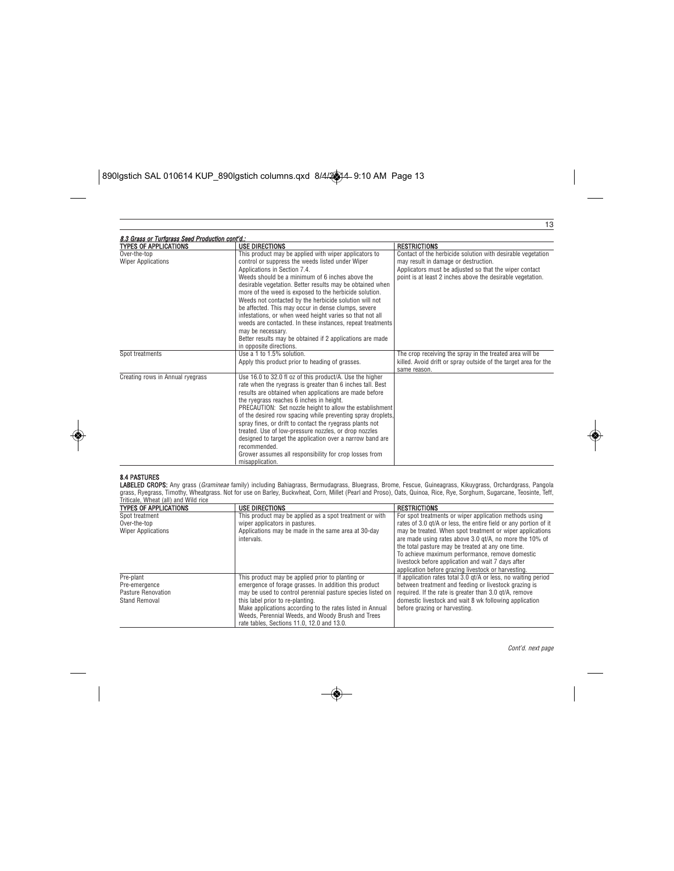| 8.3 Grass or Turfgrass Seed Production cont'd.:                           |                                                                                                                                                                                                                                                                                                                                                                                                                                                                                                                                                                                                                                                                                                      |                                                                                                                                                                                                                                                    |
|---------------------------------------------------------------------------|------------------------------------------------------------------------------------------------------------------------------------------------------------------------------------------------------------------------------------------------------------------------------------------------------------------------------------------------------------------------------------------------------------------------------------------------------------------------------------------------------------------------------------------------------------------------------------------------------------------------------------------------------------------------------------------------------|----------------------------------------------------------------------------------------------------------------------------------------------------------------------------------------------------------------------------------------------------|
| <b>TYPES OF APPLICATIONS</b><br>Over-the-top<br><b>Wiper Applications</b> | <b>USE DIRECTIONS</b><br>This product may be applied with wiper applicators to<br>control or suppress the weeds listed under Wiper<br>Applications in Section 7.4.<br>Weeds should be a minimum of 6 inches above the<br>desirable vegetation. Better results may be obtained when<br>more of the weed is exposed to the herbicide solution.<br>Weeds not contacted by the herbicide solution will not<br>be affected. This may occur in dense clumps, severe<br>infestations, or when weed height varies so that not all<br>weeds are contacted. In these instances, repeat treatments<br>may be necessary.<br>Better results may be obtained if 2 applications are made<br>in opposite directions. | <b>RESTRICTIONS</b><br>Contact of the herbicide solution with desirable vegetation<br>may result in damage or destruction.<br>Applicators must be adjusted so that the wiper contact<br>point is at least 2 inches above the desirable vegetation. |
| Spot treatments                                                           | Use a 1 to 1.5% solution.<br>Apply this product prior to heading of grasses.                                                                                                                                                                                                                                                                                                                                                                                                                                                                                                                                                                                                                         | The crop receiving the spray in the treated area will be<br>killed. Avoid drift or spray outside of the target area for the<br>same reason.                                                                                                        |
| Creating rows in Annual ryegrass                                          | Use 16.0 to 32.0 fl oz of this product/A. Use the higher<br>rate when the ryegrass is greater than 6 inches tall. Best<br>results are obtained when applications are made before<br>the ryegrass reaches 6 inches in height.<br>PRECAUTION: Set nozzle height to allow the establishment<br>of the desired row spacing while preventing spray droplets.<br>spray fines, or drift to contact the ryegrass plants not<br>treated. Use of low-pressure nozzles, or drop nozzles<br>designed to target the application over a narrow band are<br>recommended.<br>Grower assumes all responsibility for crop losses from<br>misapplication.                                                               |                                                                                                                                                                                                                                                    |

**8.4 PASTURES**<br>**LABELED CROPS:** Any grass (*Gramineae* family) including Bahiagrass, Bermudagrass, Bluegrass, Brome, Fescue, Guineagrass, Vikuygrass, Orchardgrass, Pangola<br>grass, Ryegrass, Timothy, Wheatgrass. Not for use

| inucale. Wheat (ail) and Who nce<br><b>TYPES OF APPLICATIONS</b>  | <b>USE DIRECTIONS</b>                                                                                                                                                                                                                                                                                                                                                       | <b>RESTRICTIONS</b>                                                                                                                                                                                                                                                                                                                       |
|-------------------------------------------------------------------|-----------------------------------------------------------------------------------------------------------------------------------------------------------------------------------------------------------------------------------------------------------------------------------------------------------------------------------------------------------------------------|-------------------------------------------------------------------------------------------------------------------------------------------------------------------------------------------------------------------------------------------------------------------------------------------------------------------------------------------|
| Spot treatment                                                    | This product may be applied as a spot treatment or with                                                                                                                                                                                                                                                                                                                     | For spot treatments or wiper application methods using                                                                                                                                                                                                                                                                                    |
| Over-the-top                                                      | wiper applicators in pastures.                                                                                                                                                                                                                                                                                                                                              | rates of 3.0 gt/A or less, the entire field or any portion of it                                                                                                                                                                                                                                                                          |
| <b>Wiper Applications</b>                                         | Applications may be made in the same area at 30-day<br>intervals.                                                                                                                                                                                                                                                                                                           | may be treated. When spot treatment or wiper applications<br>are made using rates above 3.0 gt/A, no more the 10% of<br>the total pasture may be treated at any one time.<br>To achieve maximum performance, remove domestic<br>livestock before application and wait 7 days after<br>application before grazing livestock or harvesting. |
| Pre-plant<br>Pre-emergence<br>Pasture Renovation<br>Stand Removal | This product may be applied prior to planting or<br>emergence of forage grasses. In addition this product<br>may be used to control perennial pasture species listed on<br>this label prior to re-planting.<br>Make applications according to the rates listed in Annual<br>Weeds, Perennial Weeds, and Woody Brush and Trees<br>rate tables, Sections 11.0, 12.0 and 13.0. | If application rates total 3.0 gt/A or less, no waiting period<br>between treatment and feeding or livestock grazing is<br>required. If the rate is greater than 3.0 gt/A, remove<br>domestic livestock and wait 8 wk following application<br>before grazing or harvesting.                                                              |

Cont'd. next page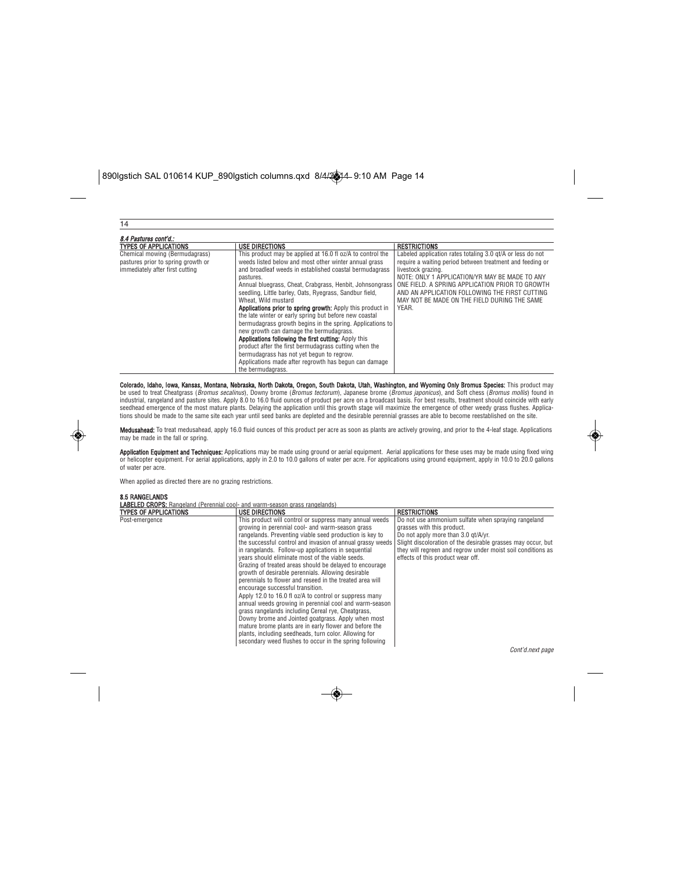| 14                                 |                                                                   |                                                            |  |  |
|------------------------------------|-------------------------------------------------------------------|------------------------------------------------------------|--|--|
| 8.4 Pastures cont'd.:              |                                                                   |                                                            |  |  |
| <b>TYPES OF APPLICATIONS</b>       | <b>USE DIRECTIONS</b>                                             | <b>RESTRICTIONS</b>                                        |  |  |
| Chemical mowing (Bermudagrass)     | This product may be applied at 16.0 fl oz/A to control the        | Labeled application rates totaling 3.0 gt/A or less do not |  |  |
| pastures prior to spring growth or | weeds listed below and most other winter annual grass             | require a waiting period between treatment and feeding or  |  |  |
| immediately after first cutting    | and broadleaf weeds in established coastal bermudagrass           | livestock grazing.                                         |  |  |
|                                    | pastures.                                                         | NOTE: ONLY 1 APPLICATION/YR MAY BE MADE TO ANY             |  |  |
|                                    | Annual bluegrass, Cheat, Crabgrass, Henbit, Johnsongrass          | ONE FIELD. A SPRING APPLICATION PRIOR TO GROWTH            |  |  |
|                                    | seedling, Little barley, Oats, Ryegrass, Sandbur field,           | AND AN APPLICATION FOLLOWING THE FIRST CUTTING             |  |  |
|                                    | Wheat. Wild mustard                                               | MAY NOT BE MADE ON THE FIELD DURING THE SAME               |  |  |
|                                    | <b>Applications prior to spring growth:</b> Apply this product in | YEAR.                                                      |  |  |
|                                    | the late winter or early spring but before new coastal            |                                                            |  |  |
|                                    | bermudagrass growth begins in the spring. Applications to         |                                                            |  |  |
|                                    | new growth can damage the bermudagrass.                           |                                                            |  |  |
|                                    | Applications following the first cutting: Apply this              |                                                            |  |  |
|                                    | product after the first bermudagrass cutting when the             |                                                            |  |  |
|                                    | bermudagrass has not yet begun to regrow.                         |                                                            |  |  |
|                                    | Applications made after regrowth has begun can damage             |                                                            |  |  |
|                                    | the bermudagrass.                                                 |                                                            |  |  |

**Colorado, Idaho, Iowa, Kansas, Montana, Nebraska, North Dakota, Oregon, South Dakota, Utah, Washington, and Wyoming Only Bromus Species:** This product may<br>be used to treat Cheatgrass (*Bromus secalinus*), Downy brome in t seedhead emergence of the most mature plants. Delaying the application until this growth stage will maximize the emergence of other weedy grass flushes. Applica-<br>tions should be made to the same site each year until seed b

Medusahead: To treat medusahead, apply 16.0 fluid ounces of this product per acre as soon as plants are actively growing, and prior to the 4-leaf stage. Applications may be made in the fall or spring.

**Application Equipment and Techniques:** Applications may be made using ground or aerial equipment. Aerial applications for these uses may be made using fixed wing<br>or helicopter equipment. For aerial applications, apply in of water per acre.

When applied as directed there are no grazing restrictions.

# 8.5 RANGELANDS<br>LABELED CROPS: Rang

| <b>LABELED CROPS:</b> Rangeland (Perennial cool- and warm-season grass rangelands) |                                                                                                                                                                                                                                                                                                                                                                                                                                                                                                                                                                                                                                                                                                                                                                                                                                                                                                                                                                                |                                                                                                                                                                                                                                                                                              |
|------------------------------------------------------------------------------------|--------------------------------------------------------------------------------------------------------------------------------------------------------------------------------------------------------------------------------------------------------------------------------------------------------------------------------------------------------------------------------------------------------------------------------------------------------------------------------------------------------------------------------------------------------------------------------------------------------------------------------------------------------------------------------------------------------------------------------------------------------------------------------------------------------------------------------------------------------------------------------------------------------------------------------------------------------------------------------|----------------------------------------------------------------------------------------------------------------------------------------------------------------------------------------------------------------------------------------------------------------------------------------------|
| TYPES OF APPLICATIONS                                                              | <b>USE DIRECTIONS</b>                                                                                                                                                                                                                                                                                                                                                                                                                                                                                                                                                                                                                                                                                                                                                                                                                                                                                                                                                          | <b>RESTRICTIONS</b>                                                                                                                                                                                                                                                                          |
| Post-emergence                                                                     | This product will control or suppress many annual weeds<br>growing in perennial cool- and warm-season grass<br>rangelands. Preventing viable seed production is key to<br>the successful control and invasion of annual grassy weeds<br>in rangelands. Follow-up applications in sequential<br>years should eliminate most of the viable seeds.<br>Grazing of treated areas should be delayed to encourage<br>growth of desirable perennials. Allowing desirable<br>perennials to flower and reseed in the treated area will<br>encourage successful transition.<br>Apply 12.0 to 16.0 fl oz/A to control or suppress many<br>annual weeds growing in perennial cool and warm-season<br>grass rangelands including Cereal rve. Cheatgrass.<br>Downy brome and Jointed goatgrass. Apply when most<br>mature brome plants are in early flower and before the<br>plants, including seedheads, turn color. Allowing for<br>secondary weed flushes to occur in the spring following | Do not use ammonium sulfate when spraving rangeland<br>grasses with this product.<br>Do not apply more than 3.0 qt/A/yr.<br>Slight discoloration of the desirable grasses may occur, but<br>they will regreen and regrow under moist soil conditions as<br>effects of this product wear off. |

Cont'd.next page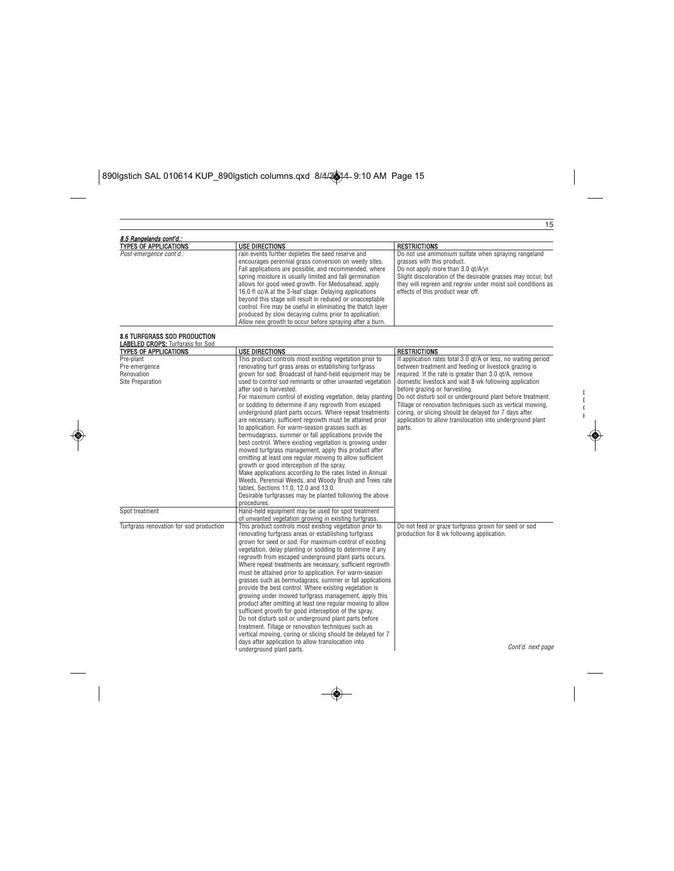# $\boxed{\text{890I}\text{g}\text{stich SAL 010614 KUP\_890I}\text{g}\text{stich columns.qxd } \frac{8}{4\sqrt{3}}\text{4-9:10 AM Page 15}}$

◈

|                                                                                                                                                                                                                                                                                                                                                                                                                                                                                                                                                                                                                                                                                                                                                                                                                                                                                                                                                                                 | <b>RESTRICTIONS</b>                                                                                                                                                                                                                                                                                                                                                                                                                                                                                                                     |
|---------------------------------------------------------------------------------------------------------------------------------------------------------------------------------------------------------------------------------------------------------------------------------------------------------------------------------------------------------------------------------------------------------------------------------------------------------------------------------------------------------------------------------------------------------------------------------------------------------------------------------------------------------------------------------------------------------------------------------------------------------------------------------------------------------------------------------------------------------------------------------------------------------------------------------------------------------------------------------|-----------------------------------------------------------------------------------------------------------------------------------------------------------------------------------------------------------------------------------------------------------------------------------------------------------------------------------------------------------------------------------------------------------------------------------------------------------------------------------------------------------------------------------------|
| encourages perennial grass conversion on weedy sites.<br>Fall applications are possible, and recommended, where<br>spring moisture is usually limited and fall germination<br>allows for good weed growth. For Medusahead, apply<br>16.0 fl oz/A at the 3-leaf stage. Delaying applications<br>beyond this stage will result in reduced or unacceptable<br>control. Fire may be useful in eliminating the thatch layer<br>produced by slow decaying culms prior to application.<br>Allow new growth to occur before spraying after a burn.                                                                                                                                                                                                                                                                                                                                                                                                                                      | Do not use ammonium sulfate when spraying rangeland<br>grasses with this product.<br>Do not apply more than 3.0 qt/A/yr.<br>Slight discoloration of the desirable grasses may occur, but<br>they will regreen and regrow under moist soil conditions as<br>effects of this product wear off.                                                                                                                                                                                                                                            |
|                                                                                                                                                                                                                                                                                                                                                                                                                                                                                                                                                                                                                                                                                                                                                                                                                                                                                                                                                                                 |                                                                                                                                                                                                                                                                                                                                                                                                                                                                                                                                         |
|                                                                                                                                                                                                                                                                                                                                                                                                                                                                                                                                                                                                                                                                                                                                                                                                                                                                                                                                                                                 |                                                                                                                                                                                                                                                                                                                                                                                                                                                                                                                                         |
|                                                                                                                                                                                                                                                                                                                                                                                                                                                                                                                                                                                                                                                                                                                                                                                                                                                                                                                                                                                 | <b>RESTRICTIONS</b>                                                                                                                                                                                                                                                                                                                                                                                                                                                                                                                     |
| renovating turf grass areas or establishing turfgrass<br>grown for sod. Broadcast of hand-held equipment may be<br>used to control sod remnants or other unwanted vegetation<br>after sod is harvested.<br>For maximum control of existing vegetation, delay planting<br>or sodding to determine if any regrowth from escaped<br>underground plant parts occurs. Where repeat treatments<br>are necessary, sufficient regrowth must be attained prior<br>to application. For warm-season grasses such as<br>bermudagrass, summer or fall applications provide the<br>best control. Where existing vegetation is growing under<br>mowed turfgrass management, apply this product after<br>omitting at least one regular mowing to allow sufficient<br>growth or good interception of the spray.<br>Make applications according to the rates listed in Annual<br>tables, Sections 11.0, 12.0 and 13.0.<br>Desirable turfgrasses may be planted following the above<br>procedures. | If application rates total 3.0 gt/A or less, no waiting period<br>between treatment and feeding or livestock grazing is<br>required. If the rate is greater than 3.0 qt/A, remove<br>domestic livestock and wait 8 wk following application<br>before grazing or harvesting.<br>Do not disturb soil or underground plant before treatment.<br>Tillage or renovation techniques such as vertical mowing,<br>coring, or slicing should be delayed for 7 days after<br>application to allow translocation into underground plant<br>parts. |
|                                                                                                                                                                                                                                                                                                                                                                                                                                                                                                                                                                                                                                                                                                                                                                                                                                                                                                                                                                                 |                                                                                                                                                                                                                                                                                                                                                                                                                                                                                                                                         |
| This product controls most existing vegetation prior to<br>renovating turfgrass areas or establishing turfgrass<br>grown for seed or sod. For maximum control of existing<br>vegetation, delay planting or sodding to determine if any<br>regrowth from escaped underground plant parts occurs.<br>Where repeat treatments are necessary, sufficient regrowth<br>must be attained prior to application. For warm-season<br>grasses such as bermudagrass, summer or fall applications<br>provide the best control. Where existing vegetation is<br>growing under mowed turfgrass management, apply this<br>product after omitting at least one regular mowing to allow<br>sufficient growth for good interception of the spray.<br>Do not disturb soil or underground plant parts before<br>treatment. Tillage or renovation techniques such as<br>vertical mowing, coring or slicing should be delayed for 7                                                                    | Do not feed or graze turfgrass grown for seed or sod<br>production for 8 wk following application.                                                                                                                                                                                                                                                                                                                                                                                                                                      |
| days after application to allow translocation into<br>underground plant parts.                                                                                                                                                                                                                                                                                                                                                                                                                                                                                                                                                                                                                                                                                                                                                                                                                                                                                                  | Cont'd. next page                                                                                                                                                                                                                                                                                                                                                                                                                                                                                                                       |
|                                                                                                                                                                                                                                                                                                                                                                                                                                                                                                                                                                                                                                                                                                                                                                                                                                                                                                                                                                                 | <b>USE DIRECTIONS</b><br>rain events further depletes the seed reserve and<br>USE DIRECTIONS<br>This product controls most existing vegetation prior to<br>Weeds, Perennial Weeds, and Woody Brush and Trees rate<br>Hand-held equipment may be used for spot treatment<br>of unwanted vegetation growing in existing turfgrass.                                                                                                                                                                                                        |

D I.  $\epsilon$ K

◈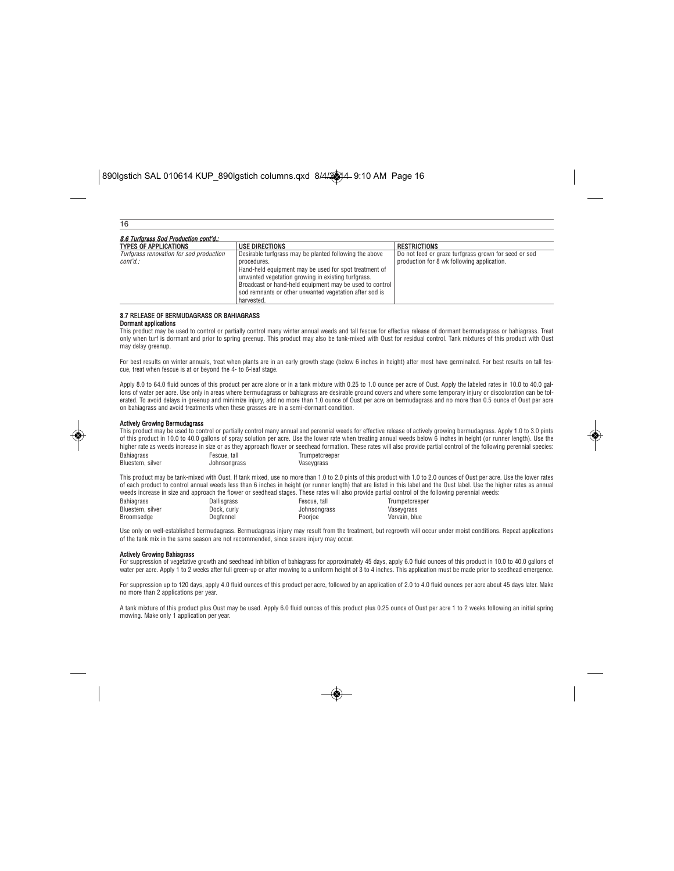| 16                                                  |                                                                                                                                                                                                                                                                                                                         |                                                                                                    |  |  |
|-----------------------------------------------------|-------------------------------------------------------------------------------------------------------------------------------------------------------------------------------------------------------------------------------------------------------------------------------------------------------------------------|----------------------------------------------------------------------------------------------------|--|--|
| 8.6 Turfarass Sod Production cont'd.:               |                                                                                                                                                                                                                                                                                                                         |                                                                                                    |  |  |
| <b>TYPES OF APPLICATIONS</b>                        | <b>USE DIRECTIONS</b>                                                                                                                                                                                                                                                                                                   | <b>RESTRICTIONS</b>                                                                                |  |  |
| Turfarass renovation for sod production<br>cont'd.: | Desirable turfgrass may be planted following the above<br>procedures.<br>Hand-held equipment may be used for spot treatment of<br>unwanted vegetation growing in existing turforass.<br>Broadcast or hand-held equipment may be used to control<br>sod remnants or other unwanted vegetation after sod is<br>harvested. | Do not feed or graze turfgrass grown for seed or sod<br>production for 8 wk following application. |  |  |

#### 8.7 RELEASE OF BERMUDAGRASS OR BAHIAGRASS

Dormant applications

This product may be used to control or partially control many winter annual weeds and tall fescue for effective release of dormant bermudagrass or bahiagrass. Treat only when turf is dormant and prior to spring greenup. This product may also be tank-mixed with Oust for residual control. Tank mixtures of this product with Oust may delay greenup.

For best results on winter annuals, treat when plants are in an early growth stage (below 6 inches in height) after most have germinated. For best results on tall fes-<br>cue, treat when fescue is at or beyond the 4- to 6-lea

Apply 8.0 to 64.0 fluid ounces of this product per acre alone or in a tank mixture with 0.25 to 1.0 ounce per acre of Oust. Apply the labeled rates in 10.0 to 40.0 gal-<br>Ions of water per acre. Use only in areas where bermu erated. To avoid delays in greenup and minimize injury, add no more than 1.0 ounce of Oust per acre on bermudagrass and no more than 0.5 ounce of Oust per acre on bahiagrass and avoid treatments when these grasses are in a semi-dormant condition.



#### Actively Growing Bermudagrass

This product may be used to control or partially control many annual and perennial weeds for effective release of actively growing bermudagrass. Apply 1.0 to 3.0 pints<br>of this product in 10.0 to 40.0 gallons of spray solut higher rate as weeds increase in size or as they approach flower or seedhead formation. These rates will also provide partial control of the following perennial species: Bahiagrass Bluestem, silver Fescue, tall Johnsongrass Trumpetcreeper **Vaseygrass** 

This product may be tank-mixed with Oust. If tank mixed, use no more than 1.0 to 2.0 pints of this product with 1.0 to 2.0 ounces of Oust per acre. Use the lower rates of each product to control annual weeds less than 6 inches in height (or runner length) that are listed in this label and the Oust label. Use the higher rates as annual weeds increase in size and approach the flower or seedhead stages. These rates will also provide partial control of the following perennial weeds: Bahiagrass Bluestem, silver Dallisgrass Dock, curly Fescue, tall Johnsongrass Trumpetcreeper Vaseygrass

Vervain, blue

Use only on well-established bermudagrass. Bermudagrass injury may result from the treatment, but regrowth will occur under moist conditions. Repeat applications of the tank mix in the same season are not recommended, since severe injury may occur.

Poorjoe

#### Actively Growing Bahiagrass

Dogfennel

Broomsedge

For suppression of vegetative growth and seedhead inhibition of bahiagrass for approximately 45 days, apply 6.0 fluid ounces of this product in 10.0 to 40.0 gallons of water per acre. Apply 1 to 2 weeks after full green-up or after mowing to a uniform height of 3 to 4 inches. This application must be made prior to seedhead emergence.

For suppression up to 120 days, apply 4.0 fluid ounces of this product per acre, followed by an application of 2.0 to 4.0 fluid ounces per acre about 45 days later. Make no more than 2 applications per year.

A tank mixture of this product plus Oust may be used. Apply 6.0 fluid ounces of this product plus 0.25 ounce of Oust per acre 1 to 2 weeks following an initial spring mowing. Make only 1 application per year.

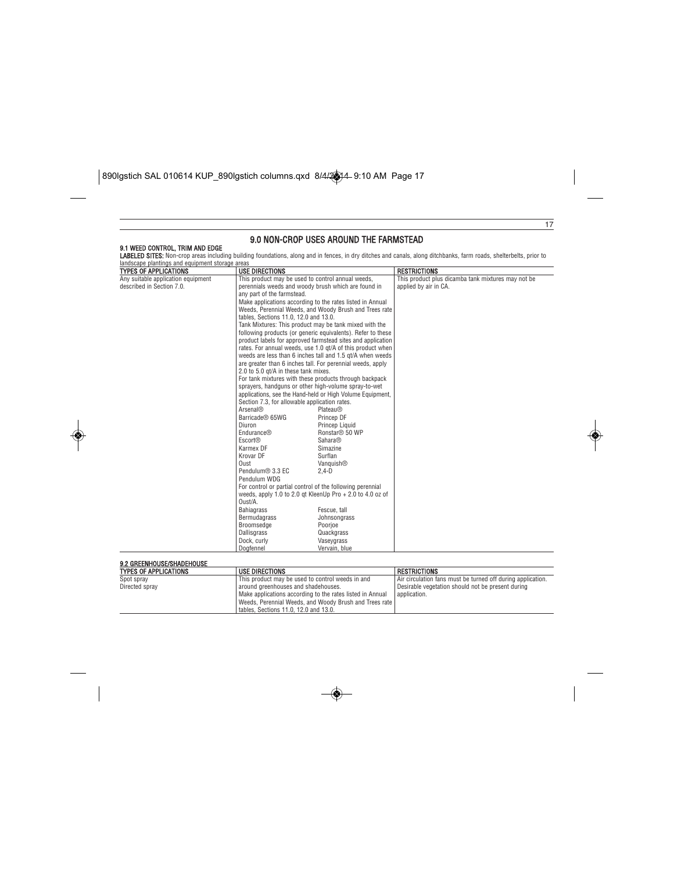$\boxed{\text{890I}\text{g}\text{stich SAL 010614 KUP\_890I}\text{g}\text{stich columns.} \text{qxd } \frac{8}{4\sqrt{2}}\text{4-9:10 AM Page 17}}$ 

 $\bigcirc$ 

| <b>TYPES OF APPLICATIONS</b><br>Any suitable application equipment<br>described in Section 7.0. | <b>USE DIRECTIONS</b>                                                                                                                                                                                                                                                                                                                                                                                                                 |                                                                                                                                                                                                                                                                                                                                                                                                                                                                                                                                                                                                                                                                                                                                                                                                                                                                                                                                                                                                                                                                                                                                                                            | <b>RESTRICTIONS</b>                                                         |  |
|-------------------------------------------------------------------------------------------------|---------------------------------------------------------------------------------------------------------------------------------------------------------------------------------------------------------------------------------------------------------------------------------------------------------------------------------------------------------------------------------------------------------------------------------------|----------------------------------------------------------------------------------------------------------------------------------------------------------------------------------------------------------------------------------------------------------------------------------------------------------------------------------------------------------------------------------------------------------------------------------------------------------------------------------------------------------------------------------------------------------------------------------------------------------------------------------------------------------------------------------------------------------------------------------------------------------------------------------------------------------------------------------------------------------------------------------------------------------------------------------------------------------------------------------------------------------------------------------------------------------------------------------------------------------------------------------------------------------------------------|-----------------------------------------------------------------------------|--|
|                                                                                                 | any part of the farmstead.<br>tables, Sections 11.0, 12.0 and 13.0.<br>2.0 to 5.0 at/A in these tank mixes.<br>Section 7.3, for allowable application rates.<br>Arsenal®<br>Barricade <sup>®</sup> 65WG<br>Diuron<br>Endurance®<br>Escort®<br>Karmex DF<br>Krovar DF<br>Oust<br>Pendulum <sup>®</sup> 3.3 EC<br>Pendulum WDG<br>Oust/A.<br><b>Bahiagrass</b><br>Bermudagrass<br>Broomsedge<br>Dallisgrass<br>Dock, curly<br>Dogfennel | This product may be used to control annual weeds,<br>perennials weeds and woody brush which are found in<br>Make applications according to the rates listed in Annual<br>Weeds, Perennial Weeds, and Woody Brush and Trees rate<br>Tank Mixtures: This product may be tank mixed with the<br>following products (or generic equivalents). Refer to these<br>product labels for approved farmstead sites and application<br>rates. For annual weeds, use 1.0 gt/A of this product when<br>weeds are less than 6 inches tall and 1.5 gt/A when weeds<br>are greater than 6 inches tall. For perennial weeds, apply<br>For tank mixtures with these products through backpack<br>sprayers, handquns or other high-volume spray-to-wet<br>applications, see the Hand-held or High Volume Equipment,<br>Plateau <sup>®</sup><br>Princep DF<br>Princep Liquid<br>Ronstar <sup>®</sup> 50 WP<br><b>Sahara®</b><br>Simazine<br>Surflan<br>Vanquish®<br>$2.4-D$<br>For control or partial control of the following perennial<br>weeds, apply 1.0 to 2.0 gt KleenUp Pro $+ 2.0$ to 4.0 oz of<br>Fescue, tall<br>Johnsongrass<br>Poorioe<br>Quackgrass<br>Vaseygrass<br>Vervain, blue | This product plus dicamba tank mixtures may not be<br>applied by air in CA. |  |

◈

| __________________________   |                                                           |                                                             |
|------------------------------|-----------------------------------------------------------|-------------------------------------------------------------|
| <b>TYPES OF APPLICATIONS</b> | <b>USE DIRECTIONS</b>                                     | <b>RESTRICTIONS</b>                                         |
| Spot spray                   | This product may be used to control weeds in and          | Air circulation fans must be turned off during application. |
| Directed spray               | around greenhouses and shadehouses.                       | Desirable vegetation should not be present during           |
|                              | Make applications according to the rates listed in Annual | l application.                                              |
|                              | Weeds, Perennial Weeds, and Woody Brush and Trees rate    |                                                             |
|                              | tables. Sections 11.0, 12.0 and 13.0.                     |                                                             |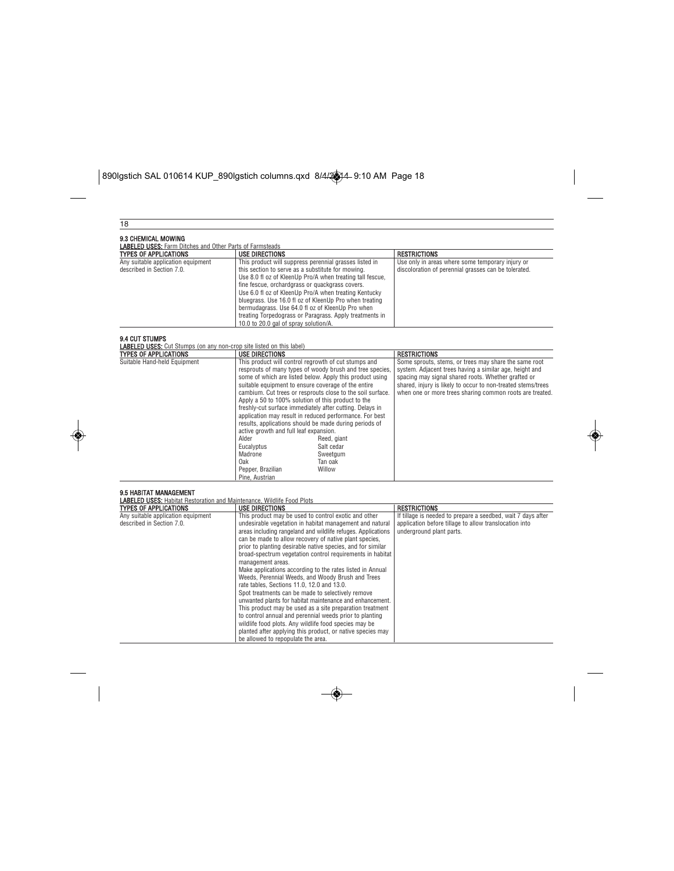# $\boxed{\text{890I}\text{g}\text{stich SAL 010614 KUP\_890I}\text{g}\text{stich columns.qxd } 8/4/24-9:10\text{ AM Page 18}}$

 $\bigcirc$ 

| 18                                                                                                   |                                                                                                                                                                                                                                                                                                                                                                                                                                                                                                                                                                                                                                                                                                                                                                                                                                                                                                                                                                  |                                                                                                                                                                                                                                                                                                     |  |
|------------------------------------------------------------------------------------------------------|------------------------------------------------------------------------------------------------------------------------------------------------------------------------------------------------------------------------------------------------------------------------------------------------------------------------------------------------------------------------------------------------------------------------------------------------------------------------------------------------------------------------------------------------------------------------------------------------------------------------------------------------------------------------------------------------------------------------------------------------------------------------------------------------------------------------------------------------------------------------------------------------------------------------------------------------------------------|-----------------------------------------------------------------------------------------------------------------------------------------------------------------------------------------------------------------------------------------------------------------------------------------------------|--|
| 9.3 CHEMICAL MOWING                                                                                  |                                                                                                                                                                                                                                                                                                                                                                                                                                                                                                                                                                                                                                                                                                                                                                                                                                                                                                                                                                  |                                                                                                                                                                                                                                                                                                     |  |
| <b>LABELED USES:</b> Farm Ditches and Other Parts of Farmsteads                                      |                                                                                                                                                                                                                                                                                                                                                                                                                                                                                                                                                                                                                                                                                                                                                                                                                                                                                                                                                                  |                                                                                                                                                                                                                                                                                                     |  |
| <b>TYPES OF APPLICATIONS</b>                                                                         | <b>USE DIRECTIONS</b>                                                                                                                                                                                                                                                                                                                                                                                                                                                                                                                                                                                                                                                                                                                                                                                                                                                                                                                                            | <b>RESTRICTIONS</b>                                                                                                                                                                                                                                                                                 |  |
| Any suitable application equipment<br>described in Section 7.0.                                      | This product will suppress perennial grasses listed in<br>this section to serve as a substitute for mowing.<br>Use 8.0 fl oz of KleenUp Pro/A when treating tall fescue,<br>fine fescue, orchardgrass or quackgrass covers.<br>Use 6.0 fl oz of KleenUp Pro/A when treating Kentucky<br>bluegrass. Use 16.0 fl oz of KleenUp Pro when treating<br>bermudagrass. Use 64.0 fl oz of KleenUp Pro when<br>treating Torpedograss or Paragrass. Apply treatments in<br>10.0 to 20.0 gal of spray solution/A.                                                                                                                                                                                                                                                                                                                                                                                                                                                           | Use only in areas where some temporary injury or<br>discoloration of perennial grasses can be tolerated.                                                                                                                                                                                            |  |
| <b>9.4 CUT STUMPS</b><br><b>LABELED USES:</b> Cut Stumps (on any non-crop site listed on this label) |                                                                                                                                                                                                                                                                                                                                                                                                                                                                                                                                                                                                                                                                                                                                                                                                                                                                                                                                                                  |                                                                                                                                                                                                                                                                                                     |  |
| <b>TYPES OF APPLICATIONS</b>                                                                         | <b>USE DIRECTIONS</b>                                                                                                                                                                                                                                                                                                                                                                                                                                                                                                                                                                                                                                                                                                                                                                                                                                                                                                                                            | <b>RESTRICTIONS</b>                                                                                                                                                                                                                                                                                 |  |
| Suitable Hand-held Equipment                                                                         | This product will control regrowth of cut stumps and<br>resprouts of many types of woody brush and tree species.<br>some of which are listed below. Apply this product using<br>suitable equipment to ensure coverage of the entire<br>cambium. Cut trees or resprouts close to the soil surface.<br>Apply a 50 to 100% solution of this product to the<br>freshly-cut surface immediately after cutting. Delays in<br>application may result in reduced performance. For best<br>results, applications should be made during periods of<br>active growth and full leaf expansion.<br>Alder<br>Reed, giant<br>Eucalyptus<br>Salt cedar<br>Madrone<br>Sweetgum<br>Oak<br>Tan oak<br>Willow<br>Pepper, Brazilian<br>Pine, Austrian                                                                                                                                                                                                                                 | Some sprouts, stems, or trees may share the same root<br>system. Adjacent trees having a similar age, height and<br>spacing may signal shared roots. Whether grafted or<br>shared, injury is likely to occur to non-treated stems/trees<br>when one or more trees sharing common roots are treated. |  |
| 9.5 HABITAT MANAGEMENT                                                                               |                                                                                                                                                                                                                                                                                                                                                                                                                                                                                                                                                                                                                                                                                                                                                                                                                                                                                                                                                                  |                                                                                                                                                                                                                                                                                                     |  |
| <b>LABELED USES:</b> Habitat Restoration and Maintenance, Wildlife Food Plots                        |                                                                                                                                                                                                                                                                                                                                                                                                                                                                                                                                                                                                                                                                                                                                                                                                                                                                                                                                                                  |                                                                                                                                                                                                                                                                                                     |  |
| <b>TYPES OF APPLICATIONS</b>                                                                         | <b>USE DIRECTIONS</b>                                                                                                                                                                                                                                                                                                                                                                                                                                                                                                                                                                                                                                                                                                                                                                                                                                                                                                                                            | <b>RESTRICTIONS</b>                                                                                                                                                                                                                                                                                 |  |
| Any suitable application equipment<br>described in Section 7.0.                                      | This product may be used to control exotic and other<br>undesirable vegetation in habitat management and natural<br>areas including rangeland and wildlife refuges. Applications<br>can be made to allow recovery of native plant species,<br>prior to planting desirable native species, and for similar<br>broad-spectrum vegetation control requirements in habitat<br>management areas.<br>Make applications according to the rates listed in Annual<br>Weeds, Perennial Weeds, and Woody Brush and Trees<br>rate tables, Sections 11.0, 12.0 and 13.0.<br>Spot treatments can be made to selectively remove<br>unwanted plants for habitat maintenance and enhancement.<br>This product may be used as a site preparation treatment<br>to control annual and perennial weeds prior to planting<br>wildlife food plots. Any wildlife food species may be<br>planted after applying this product, or native species may<br>be allowed to repopulate the area. | If tillage is needed to prepare a seedbed, wait 7 days after<br>application before tillage to allow translocation into<br>underground plant parts.                                                                                                                                                  |  |

◈

 $\overline{\bullet}$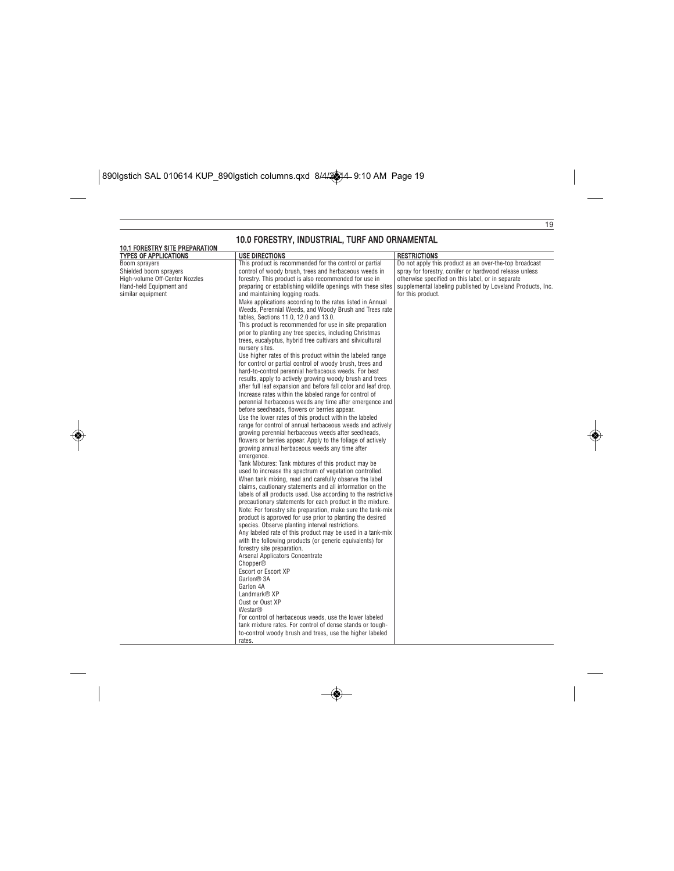$\boxed{\text{890I}\text{g}\text{stich SAL 010614 KUP\_890I}\text{g}\text{stich columns.} \text{qxd } \frac{8}{4\sqrt{3}}\text{4-9:10 AM Page 19}}$ 

◈

|                                                                       | 10.0 FORESTRY, INDUSTRIAL, TURF AND ORNAMENTAL                 |                                                            |
|-----------------------------------------------------------------------|----------------------------------------------------------------|------------------------------------------------------------|
| <b>10.1 FORESTRY SITE PREPARATION</b><br><b>TYPES OF APPLICATIONS</b> | <b>USE DIRECTIONS</b>                                          | <b>RESTRICTIONS</b>                                        |
| Boom sprayers                                                         | This product is recommended for the control or partial         | Do not apply this product as an over-the-top broadcast     |
| Shielded boom sprayers                                                | control of woody brush, trees and herbaceous weeds in          | spray for forestry, conifer or hardwood release unless     |
| High-volume Off-Center Nozzles                                        | forestry. This product is also recommended for use in          | otherwise specified on this label, or in separate          |
| Hand-held Equipment and                                               | preparing or establishing wildlife openings with these sites   | supplemental labeling published by Loveland Products, Inc. |
| similar equipment                                                     | and maintaining logging roads.                                 | for this product.                                          |
|                                                                       | Make applications according to the rates listed in Annual      |                                                            |
|                                                                       | Weeds, Perennial Weeds, and Woody Brush and Trees rate         |                                                            |
|                                                                       | tables, Sections 11.0, 12.0 and 13.0.                          |                                                            |
|                                                                       | This product is recommended for use in site preparation        |                                                            |
|                                                                       | prior to planting any tree species, including Christmas        |                                                            |
|                                                                       | trees, eucalyptus, hybrid tree cultivars and silvicultural     |                                                            |
|                                                                       | nursery sites.                                                 |                                                            |
|                                                                       | Use higher rates of this product within the labeled range      |                                                            |
|                                                                       | for control or partial control of woody brush, trees and       |                                                            |
|                                                                       | hard-to-control perennial herbaceous weeds. For best           |                                                            |
|                                                                       | results, apply to actively growing woody brush and trees       |                                                            |
|                                                                       | after full leaf expansion and before fall color and leaf drop. |                                                            |
|                                                                       | Increase rates within the labeled range for control of         |                                                            |
|                                                                       | perennial herbaceous weeds any time after emergence and        |                                                            |
|                                                                       | before seedheads, flowers or berries appear.                   |                                                            |
|                                                                       | Use the lower rates of this product within the labeled         |                                                            |
|                                                                       | range for control of annual herbaceous weeds and actively      |                                                            |
|                                                                       | growing perennial herbaceous weeds after seedheads,            |                                                            |
|                                                                       | flowers or berries appear. Apply to the foliage of actively    |                                                            |
|                                                                       | growing annual herbaceous weeds any time after                 |                                                            |
|                                                                       | emergence.                                                     |                                                            |
|                                                                       | Tank Mixtures: Tank mixtures of this product may be            |                                                            |
|                                                                       | used to increase the spectrum of vegetation controlled.        |                                                            |
|                                                                       | When tank mixing, read and carefully observe the label         |                                                            |
|                                                                       | claims, cautionary statements and all information on the       |                                                            |
|                                                                       | labels of all products used. Use according to the restrictive  |                                                            |
|                                                                       | precautionary statements for each product in the mixture.      |                                                            |
|                                                                       | Note: For forestry site preparation, make sure the tank-mix    |                                                            |
|                                                                       | product is approved for use prior to planting the desired      |                                                            |
|                                                                       | species. Observe planting interval restrictions.               |                                                            |
|                                                                       | Any labeled rate of this product may be used in a tank-mix     |                                                            |
|                                                                       | with the following products (or generic equivalents) for       |                                                            |
|                                                                       | forestry site preparation.                                     |                                                            |
|                                                                       | Arsenal Applicators Concentrate                                |                                                            |
|                                                                       | <b>Chopper®</b>                                                |                                                            |
|                                                                       | Escort or Escort XP                                            |                                                            |
|                                                                       | Garlon <sup>®</sup> 3A                                         |                                                            |
|                                                                       | Garlon 4A                                                      |                                                            |
|                                                                       | Landmark <sup>®</sup> XP                                       |                                                            |
|                                                                       | Oust or Oust XP                                                |                                                            |
|                                                                       | Westar®                                                        |                                                            |
|                                                                       | For control of herbaceous weeds, use the lower labeled         |                                                            |
|                                                                       | tank mixture rates. For control of dense stands or tough-      |                                                            |
|                                                                       | to-control woody brush and trees, use the higher labeled       |                                                            |
|                                                                       | rates.                                                         |                                                            |

 $\color{red}\blacklozenge$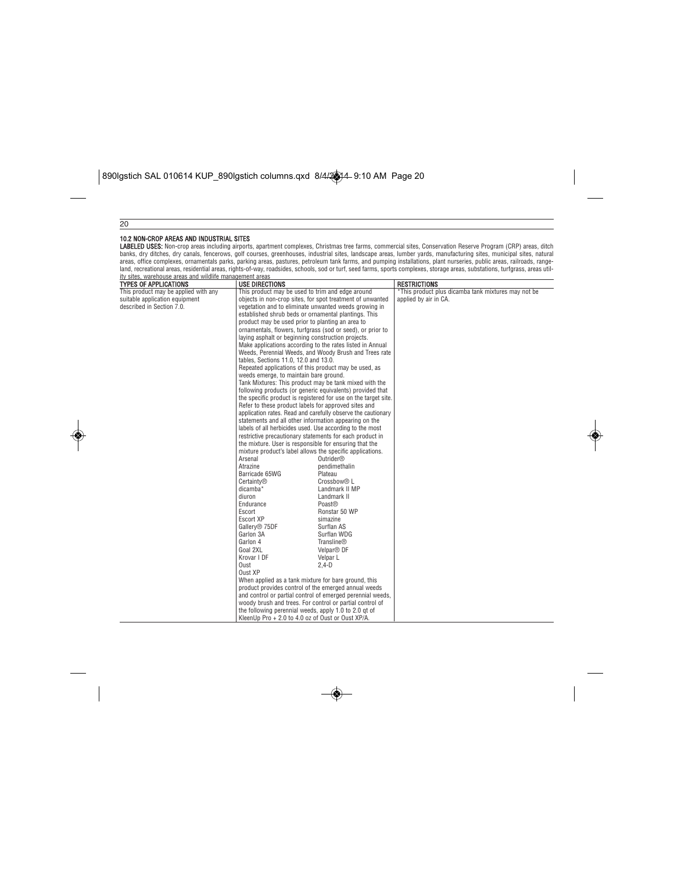$\bigcirc$ 

|                                                          |                                                                                                                 | LABELED USES: Non-crop areas including airports, apartment complexes, Christmas tree farms, commercial sites, Conservation Reserve Program (CRP) areas, ditch | banks, dry ditches, dry canals, fencerows, golf courses, greenhouses, industrial sites, landscape areas, lumber yards, manufacturing sites, municipal sites, natural          |
|----------------------------------------------------------|-----------------------------------------------------------------------------------------------------------------|---------------------------------------------------------------------------------------------------------------------------------------------------------------|-------------------------------------------------------------------------------------------------------------------------------------------------------------------------------|
|                                                          |                                                                                                                 |                                                                                                                                                               | areas, office complexes, ornamentals parks, parking areas, pastures, petroleum tank farms, and pumping installations, plant nurseries, public areas, railroads, range-        |
|                                                          |                                                                                                                 |                                                                                                                                                               | land, recreational areas, residential areas, rights-of-way, roadsides, schools, sod or turf, seed farms, sports complexes, storage areas, substations, turfgrass, areas util- |
| ity sites, warehouse areas and wildlife management areas |                                                                                                                 |                                                                                                                                                               |                                                                                                                                                                               |
| <b>TYPES OF APPLICATIONS</b>                             | <b>USE DIRECTIONS</b>                                                                                           |                                                                                                                                                               | <b>RESTRICTIONS</b>                                                                                                                                                           |
| This product may be applied with any                     | This product may be used to trim and edge around                                                                |                                                                                                                                                               | *This product plus dicamba tank mixtures may not be                                                                                                                           |
| suitable application equipment                           | objects in non-crop sites, for spot treatment of unwanted                                                       |                                                                                                                                                               | applied by air in CA.                                                                                                                                                         |
| described in Section 7.0.                                | vegetation and to eliminate unwanted weeds growing in                                                           |                                                                                                                                                               |                                                                                                                                                                               |
|                                                          | established shrub beds or ornamental plantings. This                                                            |                                                                                                                                                               |                                                                                                                                                                               |
|                                                          | product may be used prior to planting an area to                                                                |                                                                                                                                                               |                                                                                                                                                                               |
|                                                          | ornamentals, flowers, turfgrass (sod or seed), or prior to                                                      |                                                                                                                                                               |                                                                                                                                                                               |
|                                                          | laying asphalt or beginning construction projects.<br>Make applications according to the rates listed in Annual |                                                                                                                                                               |                                                                                                                                                                               |
|                                                          |                                                                                                                 | Weeds, Perennial Weeds, and Woody Brush and Trees rate                                                                                                        |                                                                                                                                                                               |
|                                                          |                                                                                                                 |                                                                                                                                                               |                                                                                                                                                                               |
|                                                          | tables, Sections 11.0, 12.0 and 13.0.<br>Repeated applications of this product may be used, as                  |                                                                                                                                                               |                                                                                                                                                                               |
|                                                          | weeds emerge, to maintain bare ground.                                                                          |                                                                                                                                                               |                                                                                                                                                                               |
|                                                          | Tank Mixtures: This product may be tank mixed with the                                                          |                                                                                                                                                               |                                                                                                                                                                               |
|                                                          | following products (or generic equivalents) provided that                                                       |                                                                                                                                                               |                                                                                                                                                                               |
|                                                          | the specific product is registered for use on the target site.                                                  |                                                                                                                                                               |                                                                                                                                                                               |
|                                                          | Refer to these product labels for approved sites and                                                            |                                                                                                                                                               |                                                                                                                                                                               |
|                                                          | application rates. Read and carefully observe the cautionary                                                    |                                                                                                                                                               |                                                                                                                                                                               |
|                                                          | statements and all other information appearing on the                                                           |                                                                                                                                                               |                                                                                                                                                                               |
|                                                          | labels of all herbicides used. Use according to the most                                                        |                                                                                                                                                               |                                                                                                                                                                               |
|                                                          | restrictive precautionary statements for each product in                                                        |                                                                                                                                                               |                                                                                                                                                                               |
|                                                          | the mixture. User is responsible for ensuring that the                                                          |                                                                                                                                                               |                                                                                                                                                                               |
|                                                          | mixture product's label allows the specific applications.                                                       |                                                                                                                                                               |                                                                                                                                                                               |
|                                                          | Arsenal                                                                                                         | Outrider <sup>®</sup>                                                                                                                                         |                                                                                                                                                                               |
|                                                          | Atrazine                                                                                                        | pendimethalin                                                                                                                                                 |                                                                                                                                                                               |
|                                                          | Barricade 65WG<br>Certainty <sup>®</sup>                                                                        | Plateau<br>Crossbow <sup>®</sup> L                                                                                                                            |                                                                                                                                                                               |
|                                                          | dicamba*                                                                                                        | Landmark II MP                                                                                                                                                |                                                                                                                                                                               |
|                                                          | diuron                                                                                                          | Landmark II                                                                                                                                                   |                                                                                                                                                                               |
|                                                          | Endurance                                                                                                       | Poast®                                                                                                                                                        |                                                                                                                                                                               |
|                                                          | Escort                                                                                                          | Ronstar 50 WP                                                                                                                                                 |                                                                                                                                                                               |
|                                                          | <b>Escort XP</b>                                                                                                | simazine                                                                                                                                                      |                                                                                                                                                                               |
|                                                          | Gallery <sup>®</sup> 75DF                                                                                       | Surflan AS                                                                                                                                                    |                                                                                                                                                                               |
|                                                          | Garlon 3A                                                                                                       | Surflan WDG                                                                                                                                                   |                                                                                                                                                                               |
|                                                          | Garlon 4                                                                                                        | Transline®                                                                                                                                                    |                                                                                                                                                                               |
|                                                          | Goal 2XL                                                                                                        | Velpar <sup>®</sup> DF                                                                                                                                        |                                                                                                                                                                               |
|                                                          | Krovar I DF                                                                                                     | Velpar L                                                                                                                                                      |                                                                                                                                                                               |
|                                                          | Oust                                                                                                            | $2,4-D$                                                                                                                                                       |                                                                                                                                                                               |
|                                                          | Oust XP                                                                                                         |                                                                                                                                                               |                                                                                                                                                                               |
|                                                          | When applied as a tank mixture for bare ground, this                                                            |                                                                                                                                                               |                                                                                                                                                                               |
|                                                          | product provides control of the emerged annual weeds                                                            |                                                                                                                                                               |                                                                                                                                                                               |
|                                                          |                                                                                                                 | and control or partial control of emerged perennial weeds,                                                                                                    |                                                                                                                                                                               |
|                                                          | woody brush and trees. For control or partial control of                                                        |                                                                                                                                                               |                                                                                                                                                                               |
|                                                          | the following perennial weeds, apply 1.0 to 2.0 gt of<br>KleenUp Pro + 2.0 to 4.0 oz of Oust or Oust XP/A.      |                                                                                                                                                               |                                                                                                                                                                               |

 $\quad \bullet$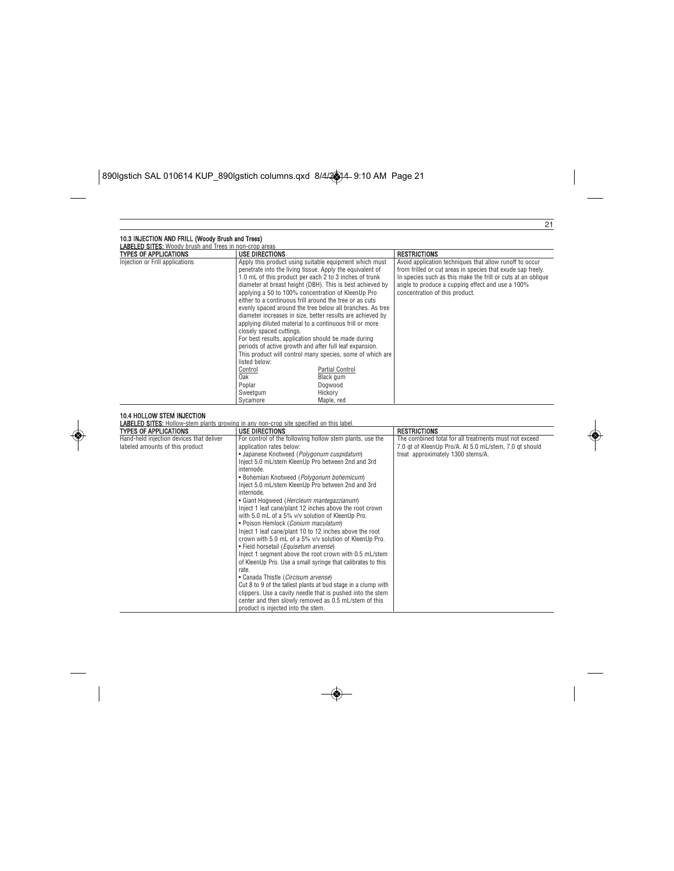$\boxed{\text{890I}\text{g}\text{stich SAL 010614 KUP\_890I}\text{g}\text{stich columns.} \text{qxd } \frac{8}{4\sqrt{2}}\text{A} - 9:10 \text{ AM} \text{ Page 21}}$ 

 $\bigcirc$ 

| <b>LABELED SITES:</b> Woody brush and Trees in non-crop areas               |                                                                                                                                                                                                                                                                                                                                                                                                                                                                                                                                                                                                                                                                                                                                                                                                                                                                                                       |                                                                                                                                                                                                                                                                              |  |
|-----------------------------------------------------------------------------|-------------------------------------------------------------------------------------------------------------------------------------------------------------------------------------------------------------------------------------------------------------------------------------------------------------------------------------------------------------------------------------------------------------------------------------------------------------------------------------------------------------------------------------------------------------------------------------------------------------------------------------------------------------------------------------------------------------------------------------------------------------------------------------------------------------------------------------------------------------------------------------------------------|------------------------------------------------------------------------------------------------------------------------------------------------------------------------------------------------------------------------------------------------------------------------------|--|
| <b>TYPES OF APPLICATIONS</b>                                                | <b>USE DIRECTIONS</b>                                                                                                                                                                                                                                                                                                                                                                                                                                                                                                                                                                                                                                                                                                                                                                                                                                                                                 | <b>RESTRICTIONS</b>                                                                                                                                                                                                                                                          |  |
| Injection or Frill applications                                             | Apply this product using suitable equipment which must<br>penetrate into the living tissue. Apply the equivalent of<br>1.0 mL of this product per each 2 to 3 inches of trunk<br>diameter at breast height (DBH). This is best achieved by<br>applying a 50 to 100% concentration of KleenUp Pro<br>either to a continuous frill around the tree or as cuts<br>evenly spaced around the tree below all branches. As tree<br>diameter increases in size, better results are achieved by<br>applying diluted material to a continuous frill or more<br>closely spaced cuttings.<br>For best results, application should be made during<br>periods of active growth and after full leaf expansion.<br>This product will control many species, some of which are<br>listed below:<br>Control<br>Partial Control<br>Oak<br>Black gum<br>Poplar<br>Dogwood<br>Sweetgum<br>Hickory<br>Svcamore<br>Maple, red | Avoid application techniques that allow runoff to occur<br>from frilled or cut areas in species that exude sap freely.<br>In species such as this make the frill or cuts at an oblique<br>angle to produce a cupping effect and use a 100%<br>concentration of this product. |  |
| 10.4 HOLLOW STEM INJECTION<br><b>TYPES OF APPLICATIONS</b>                  | <b>LABELED SITES:</b> Hollow-stem plants growing in any non-crop site specified on this label.<br><b>USE DIRECTIONS</b>                                                                                                                                                                                                                                                                                                                                                                                                                                                                                                                                                                                                                                                                                                                                                                               | <b>RESTRICTIONS</b>                                                                                                                                                                                                                                                          |  |
| Hand-held injection devices that deliver<br>labeled amounts of this product | For control of the following hollow stem plants, use the<br>application rates below:<br>• Japanese Knotweed (Polygonum cuspidatum)<br>Inject 5.0 mL/stem KleenUp Pro between 2nd and 3rd<br>internode.<br>• Bohemian Knotweed (Polygonum bohemicum)<br>Inject 5.0 mL/stem KleenUp Pro between 2nd and 3rd<br>internode.<br>• Giant Hogweed (Hercleum mantegazzianum)<br>Inject 1 leaf cane/plant 12 inches above the root crown<br>with 5.0 mL of a 5% v/v solution of KleenUp Pro.<br>• Poison Hemlock (Conium maculatum)<br>Inject 1 leaf cane/plant 10 to 12 inches above the root<br>crown with 5.0 mL of a 5% v/v solution of KleenUp Pro.<br>· Field horsetail (Equisetum arvense)<br>Inject 1 segment above the root crown with 0.5 mL/stem<br>of KleenUp Pro. Use a small syringe that calibrates to this<br>rate.<br>• Canada Thistle (Circisum arvense)                                     | The combined total for all treatments must not exceed<br>7.0 gt of KleenUp Pro/A. At 5.0 mL/stem, 7.0 gt should<br>treat approximately 1300 stems/A.                                                                                                                         |  |

◈

 $\overline{\bullet}$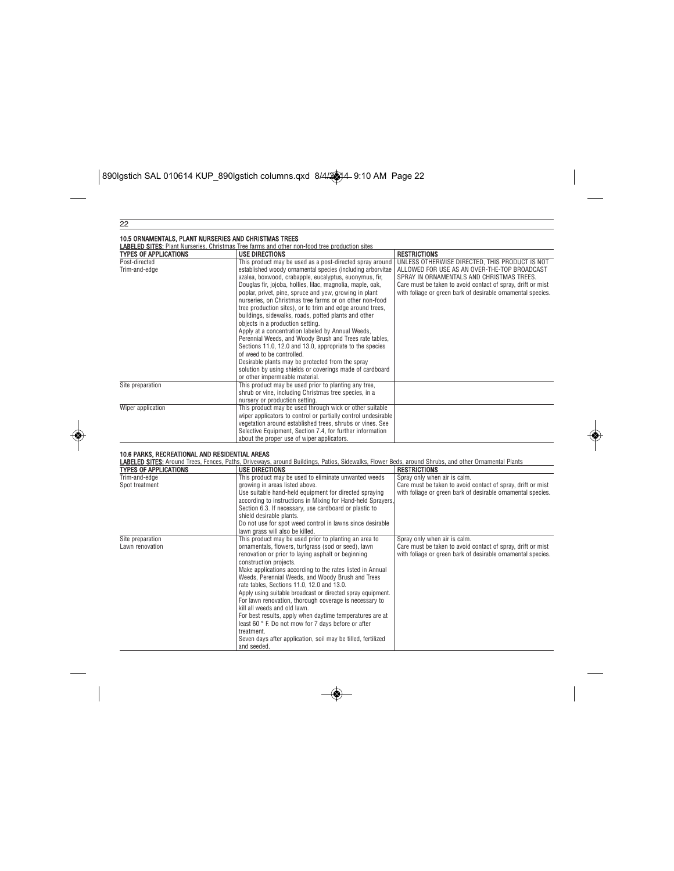$\begin{array}{|l|l|}\hline \text{890I}\text{gstich SAL 010614 KUP\_890I}\text{gstich columns.qxd }&\text{8/4/24-9:10 AM Page 22}\hline \end{array}$ 

◈

|                                                                                | <b>LABELED SITES:</b> Plant Nurseries, Christmas Tree farms and other non-food tree production sites                                                                                                                                                                                                                                                                                                                                                                                                                                                                                                                                                                                                                                                                                                                                                  |                                                                                                                                                                                                                                                                           |
|--------------------------------------------------------------------------------|-------------------------------------------------------------------------------------------------------------------------------------------------------------------------------------------------------------------------------------------------------------------------------------------------------------------------------------------------------------------------------------------------------------------------------------------------------------------------------------------------------------------------------------------------------------------------------------------------------------------------------------------------------------------------------------------------------------------------------------------------------------------------------------------------------------------------------------------------------|---------------------------------------------------------------------------------------------------------------------------------------------------------------------------------------------------------------------------------------------------------------------------|
| <b>TYPES OF APPLICATIONS</b>                                                   | <b>USE DIRECTIONS</b>                                                                                                                                                                                                                                                                                                                                                                                                                                                                                                                                                                                                                                                                                                                                                                                                                                 | <b>RESTRICTIONS</b>                                                                                                                                                                                                                                                       |
| Post-directed<br>Trim-and-edge                                                 | This product may be used as a post-directed spray around<br>established woody ornamental species (including arborvitae<br>azalea, boxwood, crabapple, eucalyptus, euonymus, fir,<br>Douglas fir, jojoba, hollies, lilac, magnolia, maple, oak,<br>poplar, privet, pine, spruce and yew, growing in plant<br>nurseries, on Christmas tree farms or on other non-food<br>tree production sites), or to trim and edge around trees,<br>buildings, sidewalks, roads, potted plants and other<br>objects in a production setting.<br>Apply at a concentration labeled by Annual Weeds,<br>Perennial Weeds, and Woody Brush and Trees rate tables,<br>Sections 11.0, 12.0 and 13.0, appropriate to the species<br>of weed to be controlled.<br>Desirable plants may be protected from the spray<br>solution by using shields or coverings made of cardboard | UNLESS OTHERWISE DIRECTED, THIS PRODUCT IS NOT<br>ALLOWED FOR USE AS AN OVER-THE-TOP BROADCAST<br>SPRAY IN ORNAMENTALS AND CHRISTMAS TREES.<br>Care must be taken to avoid contact of spray, drift or mist<br>with foliage or green bark of desirable ornamental species. |
|                                                                                | or other impermeable material.                                                                                                                                                                                                                                                                                                                                                                                                                                                                                                                                                                                                                                                                                                                                                                                                                        |                                                                                                                                                                                                                                                                           |
| Site preparation                                                               | This product may be used prior to planting any tree,<br>shrub or vine, including Christmas tree species, in a<br>nursery or production setting.                                                                                                                                                                                                                                                                                                                                                                                                                                                                                                                                                                                                                                                                                                       |                                                                                                                                                                                                                                                                           |
| Wiper application                                                              | This product may be used through wick or other suitable<br>wiper applicators to control or partially control undesirable<br>vegetation around established trees, shrubs or vines. See<br>Selective Equipment, Section 7.4, for further information<br>about the proper use of wiper applicators.                                                                                                                                                                                                                                                                                                                                                                                                                                                                                                                                                      |                                                                                                                                                                                                                                                                           |
| 10.6 PARKS, RECREATIONAL AND RESIDENTIAL AREAS<br><b>TYPES OF APPLICATIONS</b> | LABELED SITES: Around Trees, Fences, Paths, Driveways, around Buildings, Patios, Sidewalks, Flower Beds, around Shrubs, and other Ornamental Plants<br><b>USE DIRECTIONS</b>                                                                                                                                                                                                                                                                                                                                                                                                                                                                                                                                                                                                                                                                          | <b>RESTRICTIONS</b>                                                                                                                                                                                                                                                       |
| Trim-and-edge                                                                  | This product may be used to eliminate unwanted weeds                                                                                                                                                                                                                                                                                                                                                                                                                                                                                                                                                                                                                                                                                                                                                                                                  | Spray only when air is calm.                                                                                                                                                                                                                                              |
| Spot treatment                                                                 | growing in areas listed above.<br>Use suitable hand-held equipment for directed spraying<br>according to instructions in Mixing for Hand-held Sprayers,<br>Section 6.3. If necessary, use cardboard or plastic to<br>shield desirable plants.<br>Do not use for spot weed control in lawns since desirable<br>lawn grass will also be killed.                                                                                                                                                                                                                                                                                                                                                                                                                                                                                                         | Care must be taken to avoid contact of spray, drift or mist<br>with foliage or green bark of desirable ornamental species.                                                                                                                                                |
| Site preparation<br>Lawn renovation                                            | This product may be used prior to planting an area to<br>ornamentals, flowers, turfgrass (sod or seed), lawn<br>renovation or prior to laying asphalt or beginning<br>construction projects.<br>Make applications according to the rates listed in Annual<br>Weeds, Perennial Weeds, and Woody Brush and Trees<br>rate tables. Sections 11.0, 12.0 and 13.0.<br>Apply using suitable broadcast or directed spray equipment.<br>For lawn renovation, thorough coverage is necessary to<br>kill all weeds and old lawn.<br>For best results, apply when daytime temperatures are at<br>least 60 ° F. Do not mow for 7 days before or after                                                                                                                                                                                                              | Spray only when air is calm.<br>Care must be taken to avoid contact of spray, drift or mist<br>with foliage or green bark of desirable ornamental species.                                                                                                                |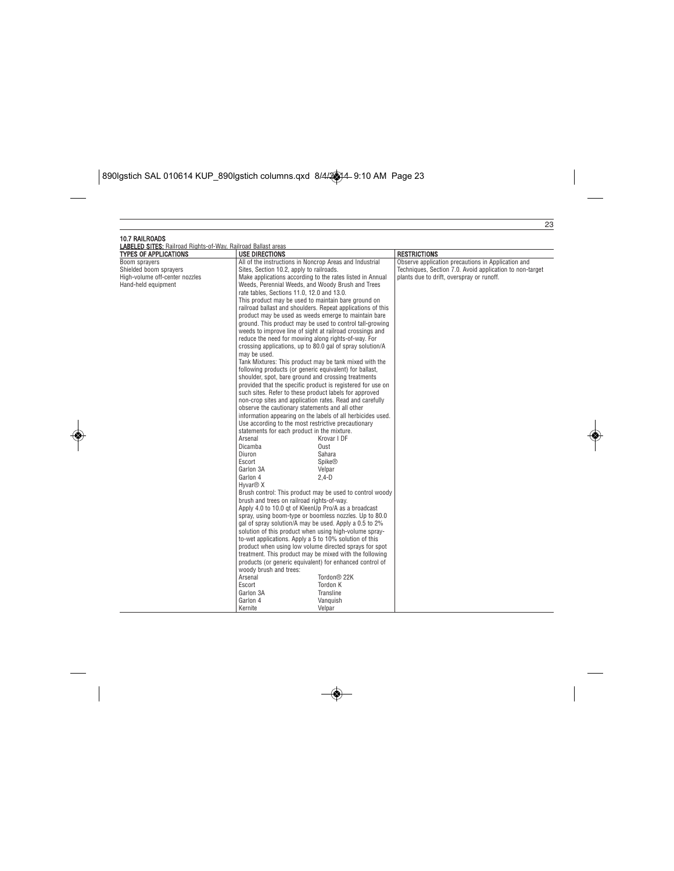# $\boxed{\text{890I}\text{g}\text{stich SAL 010614 KUP\_890I}\text{g}\text{stich columns.qxd } \frac{8}{4\sqrt{3}}\text{4-9:10 AM Page 23}}$

 $\bigcirc$ 

| <b>TYPES OF APPLICATIONS</b>                                                                                                                                             | <b>USE DIRECTIONS</b>                                                                                                                                                                                                                                                                                                                                                                                                                                                                                                                                                                                                                                                                                                                                                                                                                                                                                                                                                                                                                                                                                                                                                                                                                                                                                                                                                                                                                                                                                                                                                                                                                                                                                                                                                                                                                                                                                                                                                                                                                                                                                                                                                   | <b>RESTRICTIONS</b>                                                                                                                                         |
|--------------------------------------------------------------------------------------------------------------------------------------------------------------------------|-------------------------------------------------------------------------------------------------------------------------------------------------------------------------------------------------------------------------------------------------------------------------------------------------------------------------------------------------------------------------------------------------------------------------------------------------------------------------------------------------------------------------------------------------------------------------------------------------------------------------------------------------------------------------------------------------------------------------------------------------------------------------------------------------------------------------------------------------------------------------------------------------------------------------------------------------------------------------------------------------------------------------------------------------------------------------------------------------------------------------------------------------------------------------------------------------------------------------------------------------------------------------------------------------------------------------------------------------------------------------------------------------------------------------------------------------------------------------------------------------------------------------------------------------------------------------------------------------------------------------------------------------------------------------------------------------------------------------------------------------------------------------------------------------------------------------------------------------------------------------------------------------------------------------------------------------------------------------------------------------------------------------------------------------------------------------------------------------------------------------------------------------------------------------|-------------------------------------------------------------------------------------------------------------------------------------------------------------|
| <b>LABELED SITES:</b> Railroad Rights-of-Way, Railroad Ballast areas<br>Boom sprayers<br>Shielded boom sprayers<br>High-volume off-center nozzles<br>Hand-held equipment | All of the instructions in Noncrop Areas and Industrial<br>Sites, Section 10.2, apply to railroads.<br>Make applications according to the rates listed in Annual<br>Weeds, Perennial Weeds, and Woody Brush and Trees<br>rate tables, Sections 11.0, 12.0 and 13.0.<br>This product may be used to maintain bare ground on<br>railroad ballast and shoulders. Repeat applications of this<br>product may be used as weeds emerge to maintain bare<br>ground. This product may be used to control tall-growing<br>weeds to improve line of sight at railroad crossings and<br>reduce the need for mowing along rights-of-way. For<br>crossing applications, up to 80.0 gal of spray solution/A<br>may be used.<br>Tank Mixtures: This product may be tank mixed with the<br>following products (or generic equivalent) for ballast,<br>shoulder, spot, bare ground and crossing treatments<br>provided that the specific product is registered for use on<br>such sites. Refer to these product labels for approved<br>non-crop sites and application rates. Read and carefully<br>observe the cautionary statements and all other<br>information appearing on the labels of all herbicides used.<br>Use according to the most restrictive precautionary<br>statements for each product in the mixture.<br>Arsenal<br>Krovar I DF<br>Dicamba<br>Oust<br>Diuron<br>Sahara<br>Escort<br><b>Spike®</b><br>Garlon 3A<br>Velpar<br>Garlon 4<br>$2.4-D$<br>Hyvar <sup>®</sup> X<br>Brush control: This product may be used to control woody<br>brush and trees on railroad rights-of-way.<br>Apply 4.0 to 10.0 gt of KleenUp Pro/A as a broadcast<br>spray, using boom-type or boomless nozzles. Up to 80.0<br>gal of spray solution/A may be used. Apply a 0.5 to 2%<br>solution of this product when using high-volume spray-<br>to-wet applications. Apply a 5 to 10% solution of this<br>product when using low volume directed sprays for spot<br>treatment. This product may be mixed with the following<br>products (or generic equivalent) for enhanced control of<br>woody brush and trees:<br>Arsenal<br>Tordon® 22K<br>Escort<br>Tordon K<br>Garlon 3A<br>Transline | Observe application precautions in Application and<br>Techniques, Section 7.0. Avoid application to non-target<br>plants due to drift, overspray or runoff. |

◈

 $\overline{\bullet}$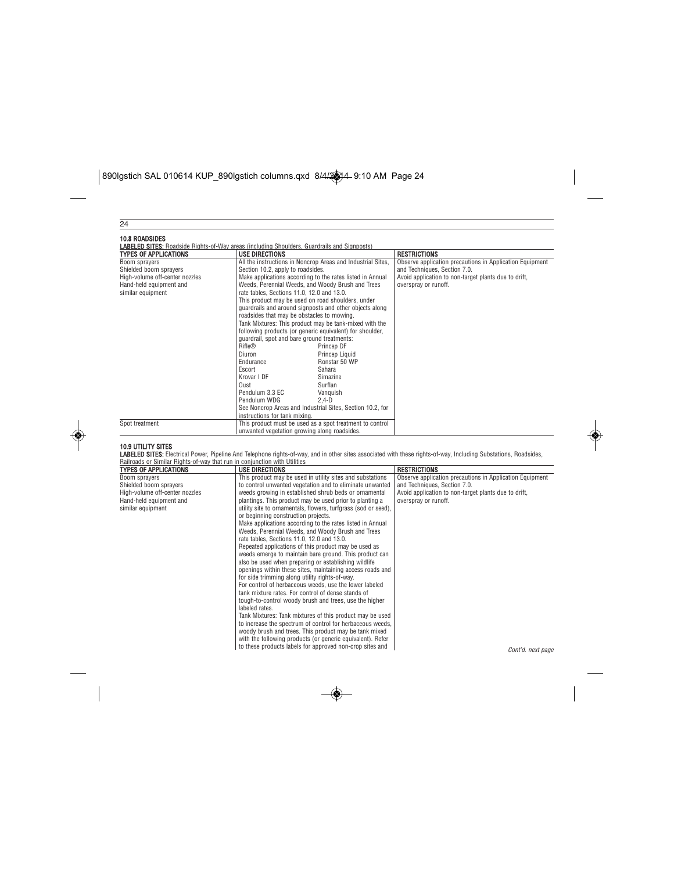# $\boxed{\text{890I}\text{g}\text{stich SAL 010614 KUP\_890I}\text{g}\text{stich columns.}\text{qxd } \frac{8}{4}\mathbf{124}\cdot\mathbf{9:10\text{ AM} \text{ Page 24}}$

| 24                                                                                                                        |                                                                                                                                                                                                                                                                                                                                                                                                                                                                                                                                                                                                                                                                                                                                                                                                                                                                                                                 |                                                                                                                                                                          |
|---------------------------------------------------------------------------------------------------------------------------|-----------------------------------------------------------------------------------------------------------------------------------------------------------------------------------------------------------------------------------------------------------------------------------------------------------------------------------------------------------------------------------------------------------------------------------------------------------------------------------------------------------------------------------------------------------------------------------------------------------------------------------------------------------------------------------------------------------------------------------------------------------------------------------------------------------------------------------------------------------------------------------------------------------------|--------------------------------------------------------------------------------------------------------------------------------------------------------------------------|
| <b>10.8 ROADSIDES</b>                                                                                                     | <b>LABELED SITES:</b> Roadside Rights-of-Way areas (including Shoulders, Guardrails and Signposts)                                                                                                                                                                                                                                                                                                                                                                                                                                                                                                                                                                                                                                                                                                                                                                                                              |                                                                                                                                                                          |
| TYPES OF APPLICATIONS                                                                                                     | <b>USE DIRECTIONS</b>                                                                                                                                                                                                                                                                                                                                                                                                                                                                                                                                                                                                                                                                                                                                                                                                                                                                                           | <b>RESTRICTIONS</b>                                                                                                                                                      |
| Boom sprayers<br>Shielded boom sprayers<br>High-volume off-center nozzles<br>Hand-held equipment and<br>similar equipment | All the instructions in Noncrop Areas and Industrial Sites,<br>Section 10.2, apply to roadsides.<br>Make applications according to the rates listed in Annual<br>Weeds, Perennial Weeds, and Woody Brush and Trees<br>rate tables, Sections 11.0, 12.0 and 13.0.<br>This product may be used on road shoulders, under<br>quardrails and around signposts and other objects along<br>roadsides that may be obstacles to mowing.<br>Tank Mixtures: This product may be tank-mixed with the<br>following products (or generic equivalent) for shoulder,<br>quardrail, spot and bare ground treatments:<br>Rifle®<br>Princep DF<br>Princep Liquid<br>Diuron<br>Ronstar 50 WP<br>Endurance<br>Escort<br>Sahara<br>Krovar I DF<br>Simazine<br>Oust<br>Surflan<br>Pendulum 3.3 EC<br>Vanquish<br>Pendulum WDG<br>$2.4-D$<br>See Noncrop Areas and Industrial Sites, Section 10.2, for<br>instructions for tank mixing. | Observe application precautions in Application Equipment<br>and Techniques, Section 7.0.<br>Avoid application to non-target plants due to drift,<br>overspray or runoff. |
| Spot treatment                                                                                                            | This product must be used as a spot treatment to control<br>unwanted vegetation growing along roadsides.                                                                                                                                                                                                                                                                                                                                                                                                                                                                                                                                                                                                                                                                                                                                                                                                        |                                                                                                                                                                          |

◈

1**0.9 UTILITY SITES**<br>**LABELED SITES:** Electrical Power, Pipeline And Telephone rights-of-way, and in other sites associated with these rights-of-way, Including Substations, Roadsides,<br><u>Railroads or Similar Rights-of-way th</u>

| This product may be used in utility sites and substations<br>Boom sprayers<br>Shielded boom sprayers<br>to control unwanted vegetation and to eliminate unwanted<br>and Techniques, Section 7.0.<br>High-volume off-center nozzles<br>weeds growing in established shrub beds or ornamental<br>Avoid application to non-target plants due to drift,<br>plantings. This product may be used prior to planting a<br>Hand-held equipment and<br>overspray or runoff.<br>similar equipment<br>utility site to ornamentals, flowers, turfgrass (sod or seed),<br>or beginning construction projects.<br>Make applications according to the rates listed in Annual<br>Weeds, Perennial Weeds, and Woody Brush and Trees<br>rate tables. Sections 11.0, 12.0 and 13.0.<br>Repeated applications of this product may be used as<br>weeds emerge to maintain bare ground. This product can<br>also be used when preparing or establishing wildlife<br>openings within these sites, maintaining access roads and<br>for side trimming along utility rights-of-way.<br>For control of herbaceous weeds, use the lower labeled<br>tank mixture rates. For control of dense stands of<br>tough-to-control woody brush and trees, use the higher<br>labeled rates.<br>Tank Mixtures: Tank mixtures of this product may be used<br>to increase the spectrum of control for herbaceous weeds,<br>woody brush and trees. This product may be tank mixed<br>with the following products (or generic equivalent). Refer<br>to these products labels for approved non-crop sites and | <b>TYPES OF APPLICATIONS</b> | USE DIRECTIONS | <b>RESTRICTIONS</b>                                      |
|------------------------------------------------------------------------------------------------------------------------------------------------------------------------------------------------------------------------------------------------------------------------------------------------------------------------------------------------------------------------------------------------------------------------------------------------------------------------------------------------------------------------------------------------------------------------------------------------------------------------------------------------------------------------------------------------------------------------------------------------------------------------------------------------------------------------------------------------------------------------------------------------------------------------------------------------------------------------------------------------------------------------------------------------------------------------------------------------------------------------------------------------------------------------------------------------------------------------------------------------------------------------------------------------------------------------------------------------------------------------------------------------------------------------------------------------------------------------------------------------------------------------------------------------------------------|------------------------------|----------------|----------------------------------------------------------|
|                                                                                                                                                                                                                                                                                                                                                                                                                                                                                                                                                                                                                                                                                                                                                                                                                                                                                                                                                                                                                                                                                                                                                                                                                                                                                                                                                                                                                                                                                                                                                                  |                              |                | Observe application precautions in Application Equipment |
|                                                                                                                                                                                                                                                                                                                                                                                                                                                                                                                                                                                                                                                                                                                                                                                                                                                                                                                                                                                                                                                                                                                                                                                                                                                                                                                                                                                                                                                                                                                                                                  |                              |                |                                                          |
|                                                                                                                                                                                                                                                                                                                                                                                                                                                                                                                                                                                                                                                                                                                                                                                                                                                                                                                                                                                                                                                                                                                                                                                                                                                                                                                                                                                                                                                                                                                                                                  |                              |                |                                                          |
|                                                                                                                                                                                                                                                                                                                                                                                                                                                                                                                                                                                                                                                                                                                                                                                                                                                                                                                                                                                                                                                                                                                                                                                                                                                                                                                                                                                                                                                                                                                                                                  |                              |                |                                                          |
|                                                                                                                                                                                                                                                                                                                                                                                                                                                                                                                                                                                                                                                                                                                                                                                                                                                                                                                                                                                                                                                                                                                                                                                                                                                                                                                                                                                                                                                                                                                                                                  |                              |                |                                                          |
|                                                                                                                                                                                                                                                                                                                                                                                                                                                                                                                                                                                                                                                                                                                                                                                                                                                                                                                                                                                                                                                                                                                                                                                                                                                                                                                                                                                                                                                                                                                                                                  |                              |                |                                                          |
|                                                                                                                                                                                                                                                                                                                                                                                                                                                                                                                                                                                                                                                                                                                                                                                                                                                                                                                                                                                                                                                                                                                                                                                                                                                                                                                                                                                                                                                                                                                                                                  |                              |                |                                                          |
|                                                                                                                                                                                                                                                                                                                                                                                                                                                                                                                                                                                                                                                                                                                                                                                                                                                                                                                                                                                                                                                                                                                                                                                                                                                                                                                                                                                                                                                                                                                                                                  |                              |                |                                                          |
|                                                                                                                                                                                                                                                                                                                                                                                                                                                                                                                                                                                                                                                                                                                                                                                                                                                                                                                                                                                                                                                                                                                                                                                                                                                                                                                                                                                                                                                                                                                                                                  |                              |                |                                                          |
|                                                                                                                                                                                                                                                                                                                                                                                                                                                                                                                                                                                                                                                                                                                                                                                                                                                                                                                                                                                                                                                                                                                                                                                                                                                                                                                                                                                                                                                                                                                                                                  |                              |                |                                                          |
|                                                                                                                                                                                                                                                                                                                                                                                                                                                                                                                                                                                                                                                                                                                                                                                                                                                                                                                                                                                                                                                                                                                                                                                                                                                                                                                                                                                                                                                                                                                                                                  |                              |                |                                                          |
|                                                                                                                                                                                                                                                                                                                                                                                                                                                                                                                                                                                                                                                                                                                                                                                                                                                                                                                                                                                                                                                                                                                                                                                                                                                                                                                                                                                                                                                                                                                                                                  |                              |                |                                                          |
|                                                                                                                                                                                                                                                                                                                                                                                                                                                                                                                                                                                                                                                                                                                                                                                                                                                                                                                                                                                                                                                                                                                                                                                                                                                                                                                                                                                                                                                                                                                                                                  |                              |                |                                                          |
|                                                                                                                                                                                                                                                                                                                                                                                                                                                                                                                                                                                                                                                                                                                                                                                                                                                                                                                                                                                                                                                                                                                                                                                                                                                                                                                                                                                                                                                                                                                                                                  |                              |                |                                                          |
|                                                                                                                                                                                                                                                                                                                                                                                                                                                                                                                                                                                                                                                                                                                                                                                                                                                                                                                                                                                                                                                                                                                                                                                                                                                                                                                                                                                                                                                                                                                                                                  |                              |                |                                                          |
|                                                                                                                                                                                                                                                                                                                                                                                                                                                                                                                                                                                                                                                                                                                                                                                                                                                                                                                                                                                                                                                                                                                                                                                                                                                                                                                                                                                                                                                                                                                                                                  |                              |                |                                                          |
|                                                                                                                                                                                                                                                                                                                                                                                                                                                                                                                                                                                                                                                                                                                                                                                                                                                                                                                                                                                                                                                                                                                                                                                                                                                                                                                                                                                                                                                                                                                                                                  |                              |                |                                                          |
|                                                                                                                                                                                                                                                                                                                                                                                                                                                                                                                                                                                                                                                                                                                                                                                                                                                                                                                                                                                                                                                                                                                                                                                                                                                                                                                                                                                                                                                                                                                                                                  |                              |                |                                                          |
|                                                                                                                                                                                                                                                                                                                                                                                                                                                                                                                                                                                                                                                                                                                                                                                                                                                                                                                                                                                                                                                                                                                                                                                                                                                                                                                                                                                                                                                                                                                                                                  |                              |                |                                                          |
|                                                                                                                                                                                                                                                                                                                                                                                                                                                                                                                                                                                                                                                                                                                                                                                                                                                                                                                                                                                                                                                                                                                                                                                                                                                                                                                                                                                                                                                                                                                                                                  |                              |                |                                                          |
|                                                                                                                                                                                                                                                                                                                                                                                                                                                                                                                                                                                                                                                                                                                                                                                                                                                                                                                                                                                                                                                                                                                                                                                                                                                                                                                                                                                                                                                                                                                                                                  |                              |                |                                                          |
|                                                                                                                                                                                                                                                                                                                                                                                                                                                                                                                                                                                                                                                                                                                                                                                                                                                                                                                                                                                                                                                                                                                                                                                                                                                                                                                                                                                                                                                                                                                                                                  |                              |                |                                                          |
|                                                                                                                                                                                                                                                                                                                                                                                                                                                                                                                                                                                                                                                                                                                                                                                                                                                                                                                                                                                                                                                                                                                                                                                                                                                                                                                                                                                                                                                                                                                                                                  |                              |                | Cont'd. next page                                        |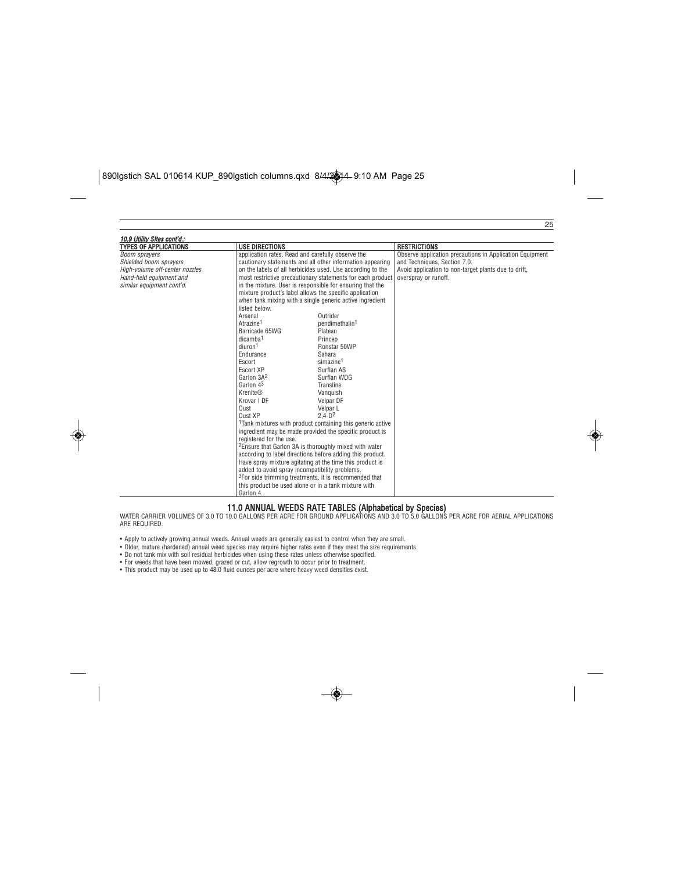| <b>TYPES OF APPLICATIONS</b>   | <b>USE DIRECTIONS</b>   |                                                                        | <b>RESTRICTIONS</b>                                      |
|--------------------------------|-------------------------|------------------------------------------------------------------------|----------------------------------------------------------|
| Boom sprayers                  |                         | application rates. Read and carefully observe the                      | Observe application precautions in Application Equipment |
| Shielded boom sprayers         |                         | cautionary statements and all other information appearing              | and Techniques, Section 7.0.                             |
| High-volume off-center nozzles |                         | on the labels of all herbicides used. Use according to the             | Avoid application to non-target plants due to drift,     |
| Hand-held equipment and        |                         | most restrictive precautionary statements for each product             | overspray or runoff.                                     |
| similar equipment cont'd.      |                         | in the mixture. User is responsible for ensuring that the              |                                                          |
|                                |                         | mixture product's label allows the specific application                |                                                          |
|                                |                         | when tank mixing with a single generic active ingredient               |                                                          |
|                                | listed below.           |                                                                        |                                                          |
|                                | Arsenal                 | Outrider                                                               |                                                          |
|                                | Atrazine <sup>1</sup>   | pendimethalin <sup>1</sup>                                             |                                                          |
|                                | Barricade 65WG          | Plateau                                                                |                                                          |
|                                | dicamba <sup>1</sup>    | Princep                                                                |                                                          |
|                                | diuron <sup>1</sup>     | Ronstar 50WP                                                           |                                                          |
|                                | Endurance               | Sahara                                                                 |                                                          |
|                                | Escort                  | simazine <sup>1</sup>                                                  |                                                          |
|                                | Escort XP               | Surflan AS                                                             |                                                          |
|                                | Garlon 3A <sup>2</sup>  | Surflan WDG                                                            |                                                          |
|                                | Garlon 43               | Transline                                                              |                                                          |
|                                | <b>Krenite®</b>         | Vanguish                                                               |                                                          |
|                                | Krovar I DF             | Velpar DF                                                              |                                                          |
|                                | Oust                    | Velpar L                                                               |                                                          |
|                                | Oust XP                 | $2.4 - D2$                                                             |                                                          |
|                                |                         | <sup>1</sup> Tank mixtures with product containing this generic active |                                                          |
|                                |                         | ingredient may be made provided the specific product is                |                                                          |
|                                | reaistered for the use. |                                                                        |                                                          |
|                                |                         | <sup>2</sup> Ensure that Garlon 3A is thoroughly mixed with water      |                                                          |
|                                |                         | according to label directions before adding this product.              |                                                          |
|                                |                         | Have spray mixture agitating at the time this product is               |                                                          |
|                                |                         | added to avoid spray incompatibility problems.                         |                                                          |
|                                |                         | <sup>3</sup> For side trimming treatments, it is recommended that      |                                                          |
|                                |                         | this product be used alone or in a tank mixture with                   |                                                          |
|                                | Garlon 4.               |                                                                        |                                                          |

 $\overline{25}$ 

**11.0 ANNUAL WEEDS RATE TABLES (Alphabetical by Species)**<br>WATER CARRIER VOLUMES OF 3.0 TO 10.0 GALLONS PER ACRE FOR GROUND APPLICATIONS AND 3.0 TO 5.0 GALLONS PER ACRE FOR AERIAL APPLICATIONS<br>ARE REQUIRED.

- 
- Apply to actively growing annual weeds. Annual weeds are generally easiest to control when they are small.<br>• Older, mature (hardened) annual weed species may require higher rates even if they meet the size requirements.<br>
- 
- 
-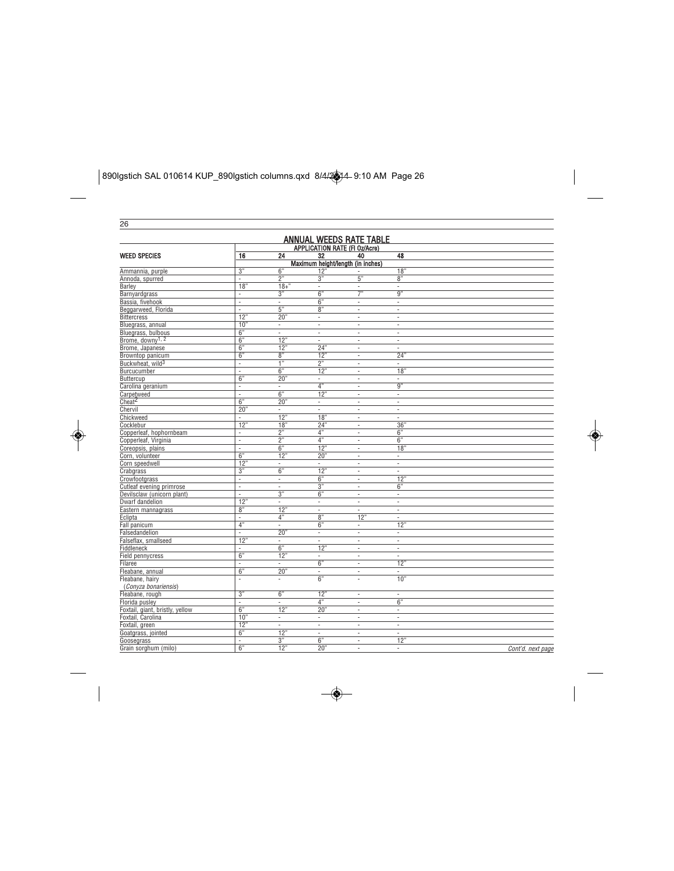| 26                              |                          |                                |                                 |                                   |                          |                   |
|---------------------------------|--------------------------|--------------------------------|---------------------------------|-----------------------------------|--------------------------|-------------------|
| <b>ANNUAL WEEDS RATE TABLE</b>  |                          |                                |                                 |                                   |                          |                   |
| APPLICATION RATE (FI Oz/Acre)   |                          |                                |                                 |                                   |                          |                   |
| <b>WEED SPECIES</b>             | 16                       | $\overline{24}$                | 32                              | 40                                | 48                       |                   |
|                                 |                          |                                |                                 | Maximum height/length (in inches) |                          |                   |
| Ammannia, purple                | $\overline{3"}$          | 6"                             | 12'                             |                                   | 18"                      |                   |
| Annoda, spurred                 | ä,                       | 2"                             | 3"                              | 5"                                | 8"                       |                   |
| Barlev                          | 18"                      | $18+$ "                        | ÷,                              | ä,                                | ä,                       |                   |
| Barnyardgrass                   | $\overline{\phantom{a}}$ | 3"                             | 6"                              | $\overline{7}$ "                  | $\overline{9"}$          |                   |
| Bassia, fivehook                | ä,                       | $\overline{\phantom{a}}$       | 6"                              | ä,                                | $\overline{\phantom{a}}$ |                   |
| Beggarweed, Florida             | ä,                       | 5"                             | 8"                              | ä,                                | ÷,                       |                   |
| <b>Bittercress</b>              | 12"                      | 20"                            | $\overline{\phantom{a}}$        | ÷,                                | ÷,                       |                   |
| Bluegrass, annual               | 10"                      | $\overline{\phantom{a}}$       | ÷,                              | ×.                                | ÷                        |                   |
| Bluegrass, bulbous              | 6"                       | $\overline{\phantom{a}}$       | ÷,                              | ÷,                                | ÷,                       |                   |
| Brome, downy <sup>1, 2</sup>    | 6"                       | 12"                            | $\overline{\phantom{a}}$        | $\overline{\phantom{a}}$          | $\overline{\phantom{a}}$ |                   |
| Brome, Japanese                 | 6"                       | 12"                            | 24"                             | ٠                                 | ä,                       |                   |
| Browntop panicum                | 6"                       | 8"                             | 12"                             | ä,                                | 24"                      |                   |
| Buckwheat, wild <sup>3</sup>    | ×.                       | $\overline{1}$                 | 2"                              | ÷,                                | $\overline{\phantom{a}}$ |                   |
| Burcucumber                     | ÷,                       | 6"                             | 12"                             | $\overline{\phantom{a}}$          | 18"                      |                   |
| Buttercup                       | 6"                       | 20"                            | ÷,                              | ÷,                                | i,                       |                   |
| Carolina geranium               | ×.                       | $\overline{\phantom{a}}$       | 4"                              | $\overline{\phantom{a}}$          | 9"                       |                   |
| Carpetweed                      | ×,                       | 6"                             | 12"                             | $\sim$                            | $\overline{\phantom{a}}$ |                   |
| Cheat <sup>2</sup>              | 6"                       | 20"                            | $\overline{\phantom{a}}$        | ÷,                                | ä,                       |                   |
| Chervil                         | 20"                      | $\omega$                       | ä,                              | ÷,                                | $\bar{z}$                |                   |
| Chickweed                       | ×.                       | 12"                            | 18"                             | ٠                                 | $\overline{\phantom{a}}$ |                   |
| Cocklebur                       | 12"                      | $\overline{18}$ "              | 24"                             | ÷,                                | 36"                      |                   |
| Copperleaf, hophornbeam         | ä,                       | 2"                             | $\frac{1}{4}$                   | $\sim$                            | 6"                       |                   |
| Copperleaf, Virginia            | ÷,                       | 2"                             | 4"                              | ÷,                                | 6"                       |                   |
| Coreopsis, plains               | ä,                       | 6"                             | 12"                             | ä,                                | $\overline{18}$          |                   |
| Corn, volunteer                 | 6"                       | 12"                            | 20"                             | $\sim$                            | $\overline{\phantom{a}}$ |                   |
| Corn speedwell                  | 12"                      |                                |                                 |                                   | ÷,                       |                   |
| Crabgrass                       | 3"                       | $\overline{\phantom{a}}$<br>6" | $\overline{\phantom{a}}$<br>12" | $\blacksquare$<br>÷,              | $\overline{\phantom{a}}$ |                   |
|                                 | ×,                       | $\sim$                         | 6"                              | ×.                                | 12"                      |                   |
| Crowfootgrass                   |                          |                                |                                 |                                   | 6"                       |                   |
| Cutleaf evening primrose        | ÷,                       | $\overline{\phantom{a}}$<br>3" | 3"<br>6"                        | $\overline{\phantom{a}}$          |                          |                   |
| Devilsclaw (unicorn plant)      | ä,                       |                                |                                 | $\bar{z}$                         | $\overline{\phantom{a}}$ |                   |
| Dwarf dandelion                 | 12"                      | ×,                             | ä,                              | ×.                                | ä,                       |                   |
| Eastern mannagrass              | 8"                       | 12"                            | $\overline{\phantom{a}}$        | $\overline{\phantom{a}}$          | $\overline{\phantom{a}}$ |                   |
| Eclipta                         | ä,                       | 4"                             | 8"                              | 12"                               | ä,                       |                   |
| Fall panicum                    | 4"                       | ×.                             | 6"                              | ×.                                | 12"                      |                   |
| Falsedandelion                  | ÷,                       | 20"                            | $\overline{\phantom{a}}$        | $\overline{\phantom{a}}$          | $\overline{\phantom{a}}$ |                   |
| Falseflax, smallseed            | 12"                      | $\overline{\phantom{a}}$       | ÷,                              | $\bar{z}$                         | ÷.                       |                   |
| Fiddleneck                      | ä,                       | 6"                             | 12"                             | à.                                | ä,                       |                   |
| <b>Field pennycress</b>         | 6"                       | 12"                            | $\overline{\phantom{a}}$        | ä,                                | $\overline{\phantom{a}}$ |                   |
| Filaree                         | ä,                       | $\sim$                         | 6"                              | $\bar{z}$                         | 12"                      |                   |
| Fleabane, annual                | 6"                       | 20"                            | ä,                              | ä,                                | ä,                       |                   |
| Fleabane, hairy                 | $\blacksquare$           | $\overline{\phantom{a}}$       | 6"                              | ä,                                | 10"                      |                   |
| (Conyza bonariensis)            |                          |                                |                                 |                                   |                          |                   |
| Fleabane, rough                 | $\overline{3"}$          | 6"                             | 12"                             | $\overline{\phantom{a}}$          | ä,                       |                   |
| Florida pusley                  | ÷,                       | ×,                             | 4"                              | ÷,                                | 6"                       |                   |
| Foxtail, giant, bristly, yellow | 6"                       | 12"                            | 20"                             | ÷,                                | ä,                       |                   |
| Foxtail, Carolina               | 10"                      | $\overline{\phantom{a}}$       | ٠                               | ×.                                | $\sim$                   |                   |
| Foxtail, green                  | 12                       | $\overline{\phantom{a}}$       | $\overline{\phantom{a}}$        | $\overline{\phantom{a}}$          | $\overline{\phantom{a}}$ |                   |
| Goatgrass, jointed              | 6"                       | 12"                            | ÷,                              | ÷,                                | ä,                       |                   |
| Goosegrass                      | ×,                       | 3"                             | 6"                              | ×,                                | 12"                      |                   |
| Grain sorghum (milo)            | 6"                       | 12"                            | 20"                             | ä,                                | ×.                       | Cont'd. next page |

 $\boxed{\text{890I}\text{g} \text{stich SAL 010614 KUP\_890}\text{I}\text{g} \text{stich columns.} \text{q} \text{xd} \text{44/2} \text{A}^{2} \text{A}^{2} \text{A}^{2} \text{A}^{2} \text{A}}$ 

◈

 $\color{red}\blacklozenge$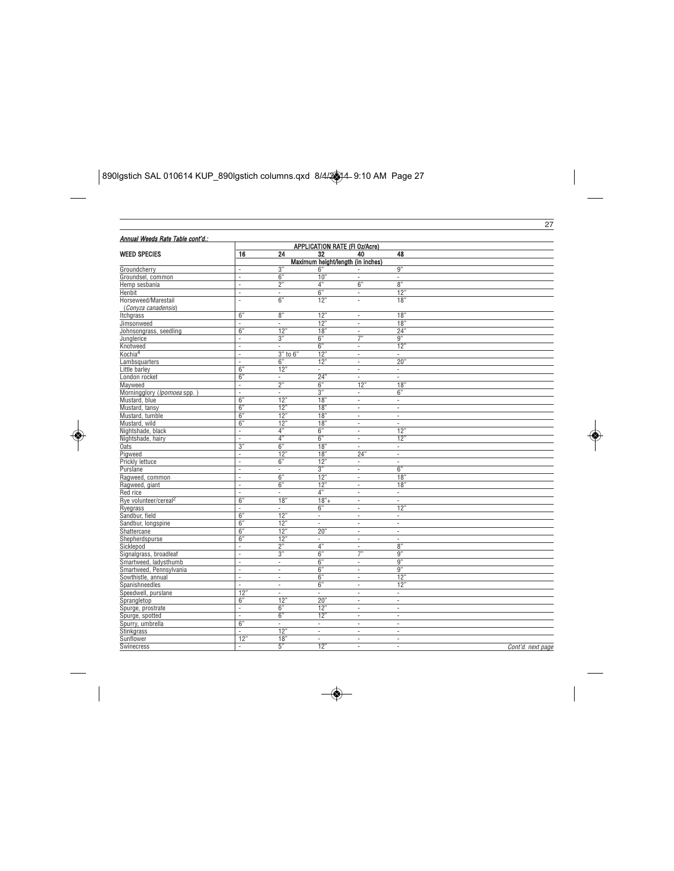$\begin{array}{|l|l|}\hline \text{890I}\text{gstich SAL 010614 KUP\_890I}\text{gstich columns.qxd } \text{8/4/24-9:10 AM Page 27}\hline \end{array}$ 

◈

| Annual Weeds Rate Table cont'd.:  |                                |                          |                          |                                    |                                 |                   |
|-----------------------------------|--------------------------------|--------------------------|--------------------------|------------------------------------|---------------------------------|-------------------|
|                                   |                                |                          |                          | APPLICATION RATE (FI Oz/Acre)      |                                 |                   |
| <b>WEED SPECIES</b>               | 16                             | 24                       | 32                       | 40                                 | 48                              |                   |
|                                   |                                |                          |                          | Maximum height/length (in inches)  |                                 |                   |
| Groundcherry                      | ÷,                             | 3"                       | 6'                       |                                    | $\overline{9"}$                 |                   |
| Groundsel, common                 | $\sim$                         | 6"                       | 10"                      | ×.                                 | ä,                              |                   |
| Hemp sesbania                     | $\bar{z}$                      | 2"                       | 4"                       | 6"                                 | 8"                              |                   |
| Henbit                            | $\sim$                         | ÷,                       | $\overline{6"}$          | $\overline{\phantom{a}}$           | 12"                             |                   |
| Horseweed/Marestail               | ÷,                             | 6"                       | 12"                      | ÷,                                 | 18"                             |                   |
| (Conyza canadensis)               |                                |                          |                          |                                    |                                 |                   |
| Itchgrass                         | 6"<br>÷                        | 8"                       | 12"                      | $\overline{\phantom{a}}$           | 18'                             |                   |
| Jimsonweed                        |                                | $\bar{z}$                | 12"                      | $\bar{z}$                          | 18"                             |                   |
| Johnsongrass, seedling            | 6"                             | 12"                      | 18"                      | $\bar{z}$<br>$\overline{7}$        | 24"<br>$\overline{9"}$          |                   |
| Junglerice                        | $\overline{\phantom{a}}$<br>à. | 3"<br>$\sim$             | 6"                       | à.                                 |                                 |                   |
| Knotweed                          |                                |                          | 6"                       |                                    | 12"                             |                   |
| Kochia <sup>4</sup>               | $\bar{z}$<br>÷,                | $3"$ to $6"$<br>6"       | 12"<br>12"               | $\sim$<br>$\overline{\phantom{a}}$ | $\overline{\phantom{a}}$<br>20" |                   |
| Lambsquarters<br>Little barley    | 6"                             | 12"                      | ä,                       | à.                                 | ÷,                              |                   |
|                                   | 6"                             | $\overline{\phantom{a}}$ | 24"                      | $\sim$                             | ä,                              |                   |
| London rocket                     | $\overline{\phantom{a}}$       | 2"                       | $\overline{6"}$          | 12"                                | $\overline{18}$                 |                   |
| Mayweed                           | $\sim$                         | $\sim$                   | 3"                       | $\sim$                             | 6"                              |                   |
| Morningglory (Ipomoea spp.        | 6"                             | 12"                      | $\overline{18}$ "        |                                    |                                 |                   |
| Mustard, blue                     | 6"                             | 12"                      | 18"                      | $\overline{\phantom{a}}$           | $\overline{\phantom{a}}$        |                   |
| Mustard, tansy                    | 6"                             |                          |                          | $\overline{\phantom{a}}$<br>×.     | $\blacksquare$<br>×.            |                   |
| Mustard, tumble                   | 6"                             | 12"<br>12"               | 18"<br>18"               |                                    |                                 |                   |
| Mustard, wild                     |                                | 4"                       | 6"                       | $\sim$                             | ä,<br>12"                       |                   |
| Nightshade, black                 | ÷,<br>$\sim$                   | 4"                       | 6"                       | ÷,<br>$\sim$                       |                                 |                   |
| Nightshade, hairy                 | 3"                             | 6"                       | 18"                      | ÷,                                 | 12"                             |                   |
| Oats<br>Pigweed                   |                                | 12'                      | 18"                      |                                    | $\overline{\phantom{a}}$        |                   |
|                                   | ÷,<br>÷,                       | 6"                       | 12"                      | 24"<br>×                           | ÷,<br>ä,                        |                   |
| Prickly lettuce                   |                                |                          |                          |                                    | 6"                              |                   |
| Purslane                          | ÷,<br>$\bar{z}$                | ÷,<br>6"                 | 3"                       | ÷,                                 |                                 |                   |
| Ragweed, common                   | $\sim$                         | 6"                       | 12"                      | ×,                                 | 18'                             |                   |
| Ragweed, giant                    |                                |                          | 12"                      | ×                                  | 18"                             |                   |
| Red rice                          | ÷,                             | $\overline{\phantom{a}}$ | 4"                       | ÷,                                 | $\overline{\phantom{a}}$        |                   |
| Rye volunteer/cereal <sup>2</sup> | 6"                             | 18"                      | $18"+$                   | $\overline{\phantom{a}}$           | ×.                              |                   |
| Ryegrass                          | ÷,                             | $\sim$                   | 6"                       | $\overline{\phantom{a}}$           | 12"                             |                   |
| Sandbur, field                    | 6"                             | 12"                      | ä,                       | $\overline{\phantom{a}}$           | ÷,                              |                   |
| Sandbur, longspine                | $\overline{6"}$                | 12"                      | i,                       | $\overline{\phantom{a}}$           | ×,                              |                   |
| Shattercane                       | 6"                             | 12"                      | 20'                      | $\overline{\phantom{a}}$           | ä,                              |                   |
| Shepherdspurse                    | 6"                             | 12"                      | $\overline{\phantom{a}}$ | $\overline{\phantom{a}}$           | ×,                              |                   |
| Sicklepod                         | ÷,                             | $\overline{2"}$          | 4"                       | ÷,                                 | $\overline{8"}$                 |                   |
| Signalgrass, broadleaf            | ÷,                             | 3"                       | 6"                       | 7"                                 | 9"                              |                   |
| Smartweed, ladysthumb             | $\overline{\phantom{a}}$       | $\overline{\phantom{a}}$ | 6"                       | $\overline{\phantom{a}}$           | 9"                              |                   |
| Smartweed, Pennsylvania           | τ                              | $\overline{\phantom{a}}$ | $\overline{6"}$          | ÷,                                 | $\overline{9"}$                 |                   |
| Sowthistle, annual                | $\bar{z}$                      | ÷,                       | 6"                       | $\bar{z}$                          | 12'                             |                   |
| Spanishneedles                    | ×.                             | $\overline{\phantom{a}}$ | 6"                       | $\overline{\phantom{a}}$           | 12"                             |                   |
| Speedwell, purslane               | 12"                            | $\overline{\phantom{a}}$ | ä,                       | ÷,                                 | $\blacksquare$                  |                   |
| Sprangletop                       | 6"                             | 12"                      | 20'                      | $\overline{\phantom{a}}$           | ä,                              |                   |
| Spurge, prostrate                 | ä,                             | 6"                       | 12"                      | $\overline{\phantom{a}}$           | ٠                               |                   |
| Spurge, spotted                   | T                              | 6"                       | 12"                      | ÷,                                 | ä,                              |                   |
| Spurry, umbrella                  | 6"                             | ×                        | $\overline{\phantom{a}}$ | $\sim$                             | ä,                              |                   |
| Stinkgrass                        | ä,                             | 12"                      | ä,                       | $\sim$                             | ٠                               |                   |
| Sunflower                         | 12"                            | 18"                      | ä,                       | $\overline{\phantom{a}}$           | ÷,                              |                   |
| Swinecress                        | ×                              | 5"                       | 12"                      | ×.                                 | $\sim$                          | Cont'd. next page |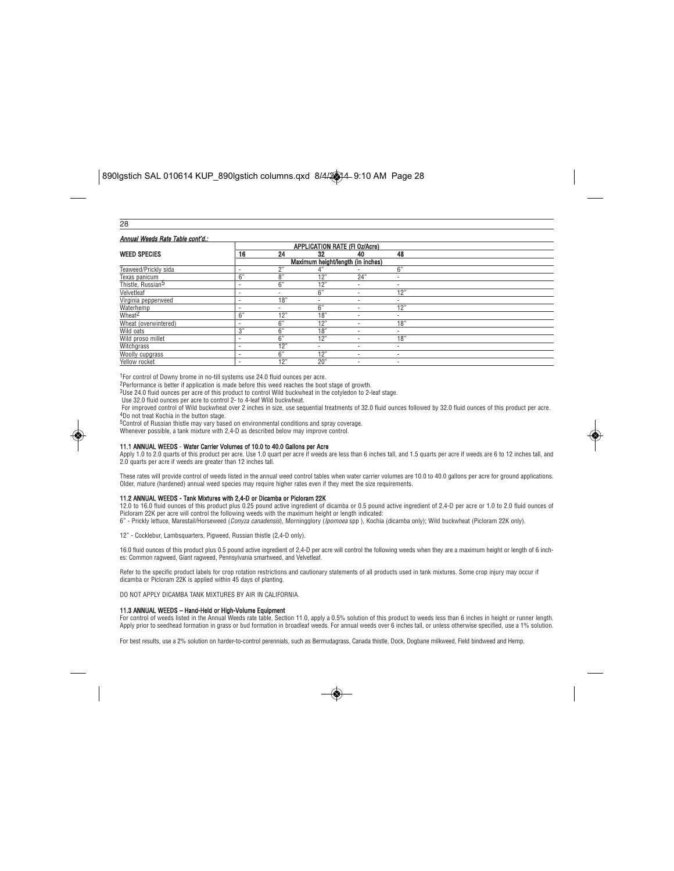| ۰. |  |
|----|--|
|    |  |

| Annual Weeds Rate Table cont'd.: |                          |     |                          |                                   |                          |  |
|----------------------------------|--------------------------|-----|--------------------------|-----------------------------------|--------------------------|--|
|                                  |                          |     |                          | APPLICATION RATE (FI Oz/Acre)     |                          |  |
| <b>WEED SPECIES</b>              | 16                       | 24  | 32                       | 40                                | 48                       |  |
|                                  |                          |     |                          | Maximum height/length (in inches) |                          |  |
| Teaweed/Prickly sida             |                          | 2"  | 4"                       |                                   | $\overline{6}$ "         |  |
| Texas panicum                    | 6"                       | 8"  | 12"                      | 24"                               | $\overline{\phantom{a}}$ |  |
| Thistle, Russian <sup>5</sup>    | -                        | 6"  | 12"                      | ۰                                 | ۰                        |  |
| Velvetleaf                       | ٠                        | ٠   | 6"                       |                                   | 12"                      |  |
| Virginia pepperweed              | ٠                        | 18" | $\overline{\phantom{a}}$ | ۰                                 | $\overline{\phantom{a}}$ |  |
| Waterhemp                        | ٠                        | ۰   | 6"                       | ۰                                 | 12"                      |  |
| Wheat <sup>2</sup>               | $\overline{6}$ "         | 12" | 18"                      | ۰                                 | ۰                        |  |
| Wheat (overwintered)             | ٠                        | 6"  | 12"                      | ۰                                 | 18"                      |  |
| Wild oats                        | 3"                       | 6"  | 18"                      | ۰                                 | $\overline{\phantom{a}}$ |  |
| Wild proso millet                | ٠                        | 6"  | 12"                      |                                   | 18"                      |  |
| Witchgrass                       | ٠                        | 12" | ٠                        | ۰                                 | ٠                        |  |
| <b>Woolly cupgrass</b>           | ٠                        | 6"  | 12"                      | ۰                                 | $\overline{\phantom{a}}$ |  |
| Yellow rocket                    | $\overline{\phantom{a}}$ | 12" | 20"                      | ۰                                 | $\overline{\phantom{a}}$ |  |

<sup>1</sup>For control of Downy brome in no-till systems use 24.0 fluid ounces per acre.

2Performance is better if application is made before this weed reaches the boot stage of growth. 3Use 24.0 fluid ounces per acre of this product to control Wild buckwheat in the cotyledon to 2-leaf stage.

Use 32.0 fluid ounces per acre to control 2- to 4-leaf Wild buckwheat.

For improved control of Wild buckwheat over 2 inches in size, use sequential treatments of 32.0 fluid ounces ob ounces of this product per acre.<br><sup>4</sup>Do not treat Kochia in the button stage.

5Control of Russian thistle may vary based on environmental conditions and spray coverage. Whenever possible, a tank mixture with 2,4-D as described below may improve control.



#### 11.1 ANNUAL WEEDS - Water Carrier Volumes of 10.0 to 40.0 Gallons per Acre

Apply 1.0 to 2.0 quarts of this product per acre. Use 1.0 quart per acre if weeds are less than 6 inches tall, and 1.5 quarts per acre if weeds are 6 to 12 inches tall, and<br>2.0 quarts per acre if weeds are greater than 12

These rates will provide control of weeds listed in the annual weed control tables when water carrier volumes are 10.0 to 40.0 gallons per acre for ground applications. Older, mature (hardened) annual weed species may require higher rates even if they meet the size requirements.

**11.2 ANNUAL WEEDS - Tank Mixtures with 2,4-D or Dicamba or Picloram 22K**<br>12.0 to 16.0 fluid ounces of this product plus 0.25 pound active ingredient of dicamba or 0.5 pound active ingredient of 2,4-D per acre or 1.0 to 2. Picloram 22K per acre will control the following weeds with the maximum height or length indicated: 6" - Prickly lettuce, Marestail/Horseweed (Conyza canadensis), Morningglory (Ipomoea spp ), Kochia (dicamba only); Wild buckwheat (Picloram 22K only).

12" - Cocklebur, Lambsquarters, Pigweed, Russian thistle (2,4-D only).

16.0 fluid ounces of this product plus 0.5 pound active ingredient of 2,4-D per acre will control the following weeds when they are a maximum height or length of 6 inch-<br>es: Common ragweed, Giant ragweed, Pennsylvania smar

Refer to the specific product labels for crop rotation restrictions and cautionary statements of all products used in tank mixtures. Some crop injury may occur if dicamba or Picloram 22K is applied within 45 days of planting.

DO NOT APPLY DICAMBA TANK MIXTURES BY AIR IN CALIFORNIA.

#### 11.3 ANNUAL WEEDS – Hand-Held or High-Volume Equipment

For control of weeds listed in the Annual Weeds rate table, Section 11.0, apply a 0.5% solution of this product to weeds less than 6 inches in height or runner length. Apply prior to seedhead formation in grass or bud formation in broadleaf weeds. For annual weeds over 6 inches tall, or unless otherwise specified, use a 1% solution.

For best results, use a 2% solution on harder-to-control perennials, such as Bermudagrass, Canada thistle, Dock, Dogbane milkweed, Field bindweed and Hemp.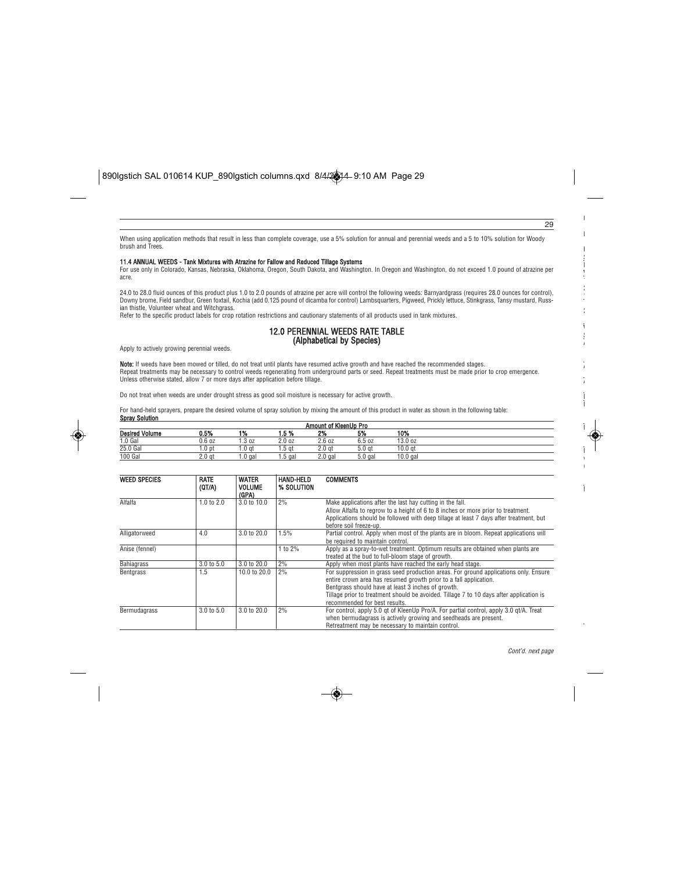When using application methods that result in less than complete coverage, use a 5% solution for annual and perennial weeds and a 5 to 10% solution for Woody brush and Trees.

## 11.4 ANNUAL WEEDS - Tank Mixtures with Atrazine for Fallow and Reduced Tillage Systems

For use only in Colorado, Kansas, Nebraska, Oklahoma, Oregon, South Dakota, and Washington. In Oregon and Washington, do not exceed 1.0 pound of atrazine per acre.

24.0 to 28.0 fluid ounces of this product plus 1.0 to 2.0 pounds of atrazine per acre will control the following weeds: Barnyardgrass (requires 28.0 ounces for control),<br>Downy brome, Field sandbur, Green foxtail, Kochia (a

Refer to the specific product labels for crop rotation restrictions and cautionary statements of all products used in tank mixtures.

### 12.0 PERENNIAL WEEDS RATE TABLE (Alphabetical by Species)

Apply to actively growing perennial weeds.

Note: If weeds have been mowed or tilled, do not treat until plants have resumed active growth and have reached the recommended stages. Repeat treatments may be necessary to control weeds regenerating from underground parts or seed. Repeat treatments must be made prior to crop emergence. Unless otherwise stated, allow 7 or more days after application before tillage.

Do not treat when weeds are under drought stress as good soil moisture is necessary for active growth.

For hand-held sprayers, prepare the desired volume of spray solution by mixing the amount of this product in water as shown in the following table: Spray Solution

| Amount of KleenUp Pro |                   |         |        |                   |                   |            |  |
|-----------------------|-------------------|---------|--------|-------------------|-------------------|------------|--|
| <b>Desired Volume</b> | 0.5%              | 1%      | 1.5%   | 2%                | 5%                | 10%        |  |
| 1.0 Gal               | 0.6 oz            | .3 oz   | 2.0oz  | 2.6oz             | 6.5 oz            | 13.0 oz    |  |
| 25.0 Gal              | 1.0 pt            | 1.0 at  | 1.5 at | 2.0 <sub>at</sub> | 5.0 <sub>at</sub> | 10.0 at    |  |
| 100 Gal               | 2.0 <sub>at</sub> | 1.0 gal | 5 gal  | $2.0$ gal         | $5.0$ gal         | $10.0$ gal |  |

| <b>WEED SPECIES</b> | <b>RATE</b><br>(QT/A) | <b>WATER</b><br><b>VOLUME</b><br>(GPA) | <b>HAND-HELD</b><br>% SOLUTION | <b>COMMENTS</b>                                                                                                                                                                                                                                                                                                                             |
|---------------------|-----------------------|----------------------------------------|--------------------------------|---------------------------------------------------------------------------------------------------------------------------------------------------------------------------------------------------------------------------------------------------------------------------------------------------------------------------------------------|
| Alfalfa             | 1.0 to $2.0$          | 3.0 to 10.0                            | 2%                             | Make applications after the last hay cutting in the fall.<br>Allow Alfalfa to regrow to a height of 6 to 8 inches or more prior to treatment.<br>Applications should be followed with deep tillage at least 7 days after treatment, but<br>before soil freeze-up.                                                                           |
| Alligatorweed       | 4.0                   | 3.0 to 20.0                            | 1.5%                           | Partial control. Apply when most of the plants are in bloom. Repeat applications will<br>be required to maintain control.                                                                                                                                                                                                                   |
| Anise (fennel)      |                       |                                        | 1 to 2%                        | Apply as a spray-to-wet treatment. Optimum results are obtained when plants are<br>treated at the bud to full-bloom stage of growth.                                                                                                                                                                                                        |
| <b>Bahiagrass</b>   | 3.0 to 5.0            | 3.0 to 20.0                            | 2%                             | Apply when most plants have reached the early head stage.                                                                                                                                                                                                                                                                                   |
| Bentgrass           | 1.5                   | 10.0 to $20.0$                         | 2%                             | For suppression in grass seed production areas. For ground applications only. Ensure<br>entire crown area has resumed growth prior to a fall application.<br>Bentgrass should have at least 3 inches of growth.<br>Tillage prior to treatment should be avoided. Tillage 7 to 10 days after application is<br>recommended for best results. |
| Bermudagrass        | 3.0 to 5.0            | $3.0 \text{ to } 20.0$                 | 2%                             | For control, apply 5.0 gt of KleenUp Pro/A. For partial control, apply 3.0 gt/A. Treat<br>when bermudagrass is actively growing and seedheads are present.<br>Retreatment may be necessary to maintain control.                                                                                                                             |

Cont'd. next page

29

 $\mathbb{I}$ D F S l. V  $\ddot{\phantom{0}}$ 1  $\ddot{\phantom{0}}$ W S A

A A ļ. l.

l.

l. w (

l,

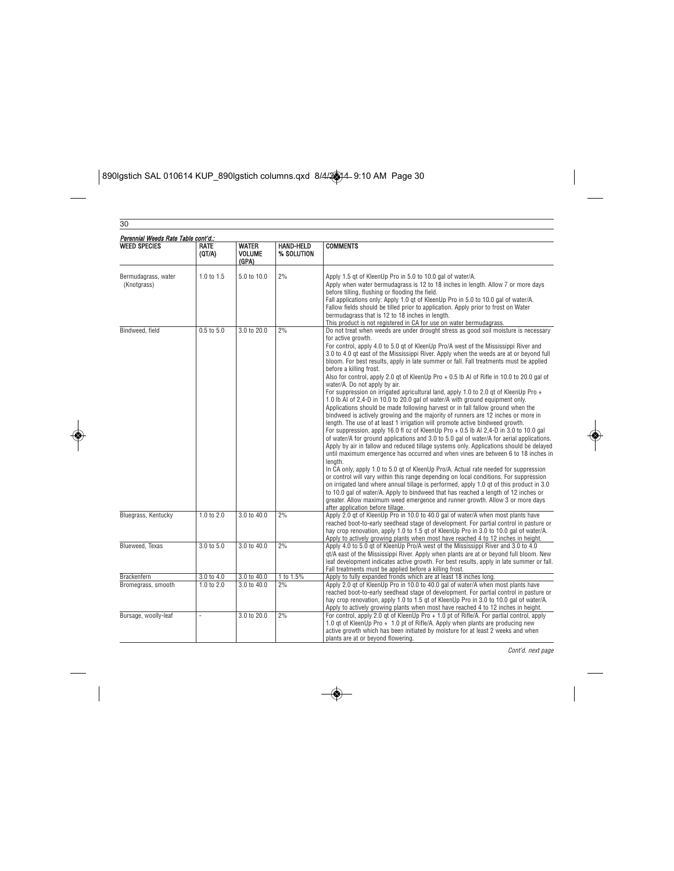$\boxed{\text{890I}\text{g} \text{stich SAL 010614 KUP\_890}\text{I}\text{g} \text{stich columns.} \text{q} \text{xd} \text{44/2} \text{A}^{2} \text{A}^{2} \text{A}^{2} \text{A}^{2} \text{A}^{2} \text{A}^{2} \text{A}^{2} \text{A}^{2} \text{A}^{2} \text{A}^{2} \text{A}^{2} \text{A}^{2} \text{A}^{2} \text{A}^{2} \text{A}^{2} \text{A}^{2} \text{A}^{2} \text{A}^{2} \text{A}^{2}$ 

◈

| Perennial Weeds Rate Table cont'd.:<br><b>WEED SPECIES</b> | <b>RATE</b><br>(QT/A) | <b>WATER</b><br><b>VOLUME</b><br>(GPA) | <b>HAND-HELD</b><br>% SOLUTION | <b>COMMENTS</b>                                                                                                                                                                                                                                                                                                                                                                                                                                                                                                                                                                                                                                                                                                                                                                                                                                                                                                                                                                                                                                                                                                                                                                                                                                                                                                                                                                                                                                                                                                                                                                                                                                                                                                                                                                                                                                               |
|------------------------------------------------------------|-----------------------|----------------------------------------|--------------------------------|---------------------------------------------------------------------------------------------------------------------------------------------------------------------------------------------------------------------------------------------------------------------------------------------------------------------------------------------------------------------------------------------------------------------------------------------------------------------------------------------------------------------------------------------------------------------------------------------------------------------------------------------------------------------------------------------------------------------------------------------------------------------------------------------------------------------------------------------------------------------------------------------------------------------------------------------------------------------------------------------------------------------------------------------------------------------------------------------------------------------------------------------------------------------------------------------------------------------------------------------------------------------------------------------------------------------------------------------------------------------------------------------------------------------------------------------------------------------------------------------------------------------------------------------------------------------------------------------------------------------------------------------------------------------------------------------------------------------------------------------------------------------------------------------------------------------------------------------------------------|
| Bermudagrass, water<br>(Knotgrass)                         | 1.0 to 1.5            | 5.0 to 10.0                            | 2%                             | Apply 1.5 gt of KleenUp Pro in 5.0 to 10.0 gal of water/A.<br>Apply when water bermudagrass is 12 to 18 inches in length. Allow 7 or more days<br>before tilling, flushing or flooding the field.<br>Fall applications only: Apply 1.0 gt of KleenUp Pro in 5.0 to 10.0 gal of water/A.<br>Fallow fields should be tilled prior to application. Apply prior to frost on Water<br>bermudagrass that is 12 to 18 inches in length.<br>This product is not registered in CA for use on water bermudagrass.                                                                                                                                                                                                                                                                                                                                                                                                                                                                                                                                                                                                                                                                                                                                                                                                                                                                                                                                                                                                                                                                                                                                                                                                                                                                                                                                                       |
| Bindweed, field                                            | 0.5 to 5.0            | 3.0 to 20.0                            | 2%                             | Do not treat when weeds are under drought stress as good soil moisture is necessary<br>for active growth.<br>For control, apply 4.0 to 5.0 gt of KleenUp Pro/A west of the Mississippi River and<br>3.0 to 4.0 gt east of the Mississippi River. Apply when the weeds are at or beyond full<br>bloom. For best results, apply in late summer or fall. Fall treatments must be applied<br>before a killing frost.<br>Also for control, apply 2.0 gt of KleenUp Pro + 0.5 lb Al of Rifle in 10.0 to 20.0 gal of<br>water/A. Do not apply by air.<br>For suppression on irrigated agricultural land, apply 1.0 to 2.0 gt of KleenUp Pro +<br>1.0 lb AI of 2.4-D in 10.0 to 20.0 gal of water/A with ground equipment only.<br>Applications should be made following harvest or in fall fallow ground when the<br>bindweed is actively growing and the majority of runners are 12 inches or more in<br>length. The use of at least 1 irrigation will promote active bindweed growth.<br>For suppression, apply 16.0 fl oz of KleenUp Pro $+$ 0.5 lb Al 2,4-D in 3.0 to 10.0 gal<br>of water/A for ground applications and 3.0 to 5.0 gal of water/A for aerial applications.<br>Apply by air in fallow and reduced tillage systems only. Applications should be delayed<br>until maximum emergence has occurred and when vines are between 6 to 18 inches in<br>lenath.<br>In CA only, apply 1.0 to 5.0 gt of KleenUp Pro/A. Actual rate needed for suppression<br>or control will vary within this range depending on local conditions. For suppression<br>on irrigated land where annual tillage is performed, apply 1.0 gt of this product in 3.0<br>to 10.0 gal of water/A. Apply to bindweed that has reached a length of 12 inches or<br>greater. Allow maximum weed emergence and runner growth. Allow 3 or more days<br>after application before tillage. |
| Bluegrass, Kentucky                                        | 1.0 to $2.0$          | 3.0 to 40.0                            | 2%                             | Apply 2.0 at of KleenUp Pro in 10.0 to 40.0 gal of water/A when most plants have<br>reached boot-to-early seedhead stage of development. For partial control in pasture or<br>hay crop renovation, apply 1.0 to 1.5 gt of KleenUp Pro in 3.0 to 10.0 gal of water/A.<br>Apply to actively growing plants when most have reached 4 to 12 inches in height.                                                                                                                                                                                                                                                                                                                                                                                                                                                                                                                                                                                                                                                                                                                                                                                                                                                                                                                                                                                                                                                                                                                                                                                                                                                                                                                                                                                                                                                                                                     |
| Blueweed, Texas                                            | 3.0 to 5.0            | 3.0 to 40.0                            | 2%                             | Apply 4.0 to 5.0 gt of KleenUp Pro/A west of the Mississippi River and 3.0 to 4.0<br>gt/A east of the Mississippi River. Apply when plants are at or beyond full bloom. New<br>leaf development indicates active growth. For best results, apply in late summer or fall.<br>Fall treatments must be applied before a killing frost.                                                                                                                                                                                                                                                                                                                                                                                                                                                                                                                                                                                                                                                                                                                                                                                                                                                                                                                                                                                                                                                                                                                                                                                                                                                                                                                                                                                                                                                                                                                           |
| Brackenfern                                                | 3.0 to 4.0            | 3.0 to 40.0                            | 1 to 1.5%                      | Apply to fully expanded fronds which are at least 18 inches long.                                                                                                                                                                                                                                                                                                                                                                                                                                                                                                                                                                                                                                                                                                                                                                                                                                                                                                                                                                                                                                                                                                                                                                                                                                                                                                                                                                                                                                                                                                                                                                                                                                                                                                                                                                                             |
| Bromegrass, smooth                                         | 1.0 to 2.0            | 3.0 to 40.0                            | 2%                             | Apply 2.0 gt of KleenUp Pro in 10.0 to 40.0 gal of water/A when most plants have<br>reached boot-to-early seedhead stage of development. For partial control in pasture or<br>hay crop renovation, apply 1.0 to 1.5 gt of KleenUp Pro in 3.0 to 10.0 gal of water/A.<br>Apply to actively growing plants when most have reached 4 to 12 inches in height.                                                                                                                                                                                                                                                                                                                                                                                                                                                                                                                                                                                                                                                                                                                                                                                                                                                                                                                                                                                                                                                                                                                                                                                                                                                                                                                                                                                                                                                                                                     |
| Bursage, woolly-leaf                                       |                       | 3.0 to 20.0                            | 2%                             | For control, apply 2.0 gt of KleenUp Pro + 1.0 pt of Rifle/A. For partial control, apply<br>1.0 gt of KleenUp Pro + 1.0 pt of Rifle/A. Apply when plants are producing new<br>active growth which has been initiated by moisture for at least 2 weeks and when<br>plants are at or beyond flowering.                                                                                                                                                                                                                                                                                                                                                                                                                                                                                                                                                                                                                                                                                                                                                                                                                                                                                                                                                                                                                                                                                                                                                                                                                                                                                                                                                                                                                                                                                                                                                          |

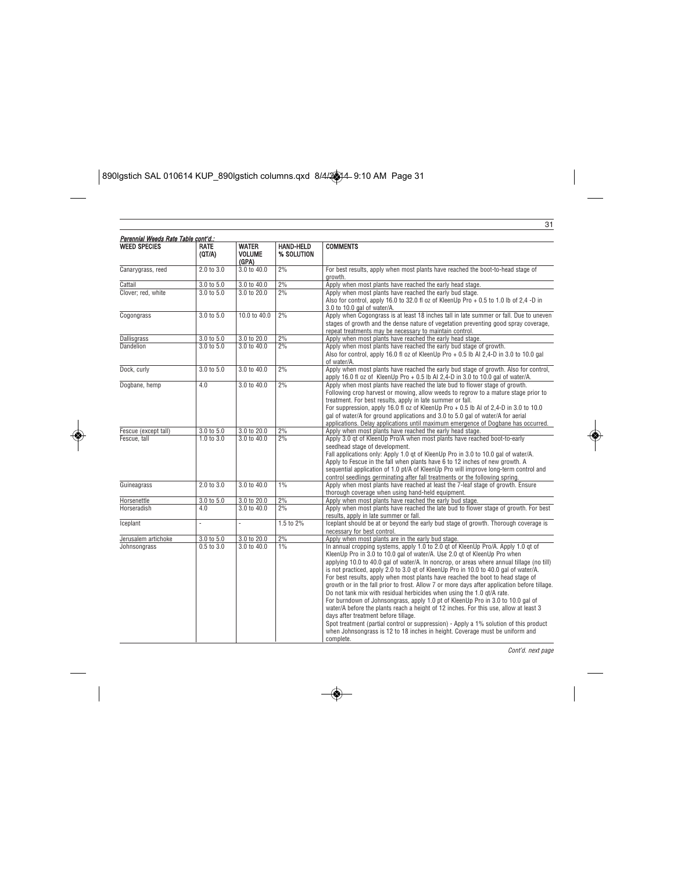$\begin{array}{|l|l|}\hline \text{890I}\text{gstich SAL 010614 KUP\_890I}\text{gstich columns.qxd } \text{8/4/24-9:10 AM Page 31}\hline \end{array}$ 

◈

| Perennial Weeds Rate Table cont'd.: |                       |                                        |                                |                                                                                                                                                                                                                                                                                                                                                                                                                                                                                                                                                                                                                                                                                                                                                                                                                                                                                                                                                                                                                            |
|-------------------------------------|-----------------------|----------------------------------------|--------------------------------|----------------------------------------------------------------------------------------------------------------------------------------------------------------------------------------------------------------------------------------------------------------------------------------------------------------------------------------------------------------------------------------------------------------------------------------------------------------------------------------------------------------------------------------------------------------------------------------------------------------------------------------------------------------------------------------------------------------------------------------------------------------------------------------------------------------------------------------------------------------------------------------------------------------------------------------------------------------------------------------------------------------------------|
| <b>WEED SPECIES</b>                 | RATE<br>(QT/A)        | <b>WATER</b><br><b>VOLUME</b><br>(GPA) | <b>HAND-HELD</b><br>% SOLUTION | <b>COMMENTS</b>                                                                                                                                                                                                                                                                                                                                                                                                                                                                                                                                                                                                                                                                                                                                                                                                                                                                                                                                                                                                            |
| Canarygrass, reed                   | 2.0 to 3.0            | 3.0 to 40.0                            | 2%                             | For best results, apply when most plants have reached the boot-to-head stage of<br>growth.                                                                                                                                                                                                                                                                                                                                                                                                                                                                                                                                                                                                                                                                                                                                                                                                                                                                                                                                 |
| Cattail                             | 3.0 to 5.0            | 3.0 to 40.0                            | 2%                             | Apply when most plants have reached the early head stage.                                                                                                                                                                                                                                                                                                                                                                                                                                                                                                                                                                                                                                                                                                                                                                                                                                                                                                                                                                  |
| Clover; red, white                  | $3.0 \text{ to } 5.0$ | 3.0 to 20.0                            | 2%                             | Apply when most plants have reached the early bud stage.<br>Also for control, apply 16.0 to 32.0 fl oz of KleenUp Pro + 0.5 to 1.0 lb of 2,4 -D in<br>3.0 to 10.0 gal of water/A.                                                                                                                                                                                                                                                                                                                                                                                                                                                                                                                                                                                                                                                                                                                                                                                                                                          |
| Cogongrass                          | 3.0 to 5.0            | 10.0 to 40.0                           | 2%                             | Apply when Cogongrass is at least 18 inches tall in late summer or fall. Due to uneven<br>stages of growth and the dense nature of vegetation preventing good spray coverage,<br>repeat treatments may be necessary to maintain control.                                                                                                                                                                                                                                                                                                                                                                                                                                                                                                                                                                                                                                                                                                                                                                                   |
| Dallisgrass                         | 3.0 to 5.0            | 3.0 to 20.0                            | 2%                             | Apply when most plants have reached the early head stage.                                                                                                                                                                                                                                                                                                                                                                                                                                                                                                                                                                                                                                                                                                                                                                                                                                                                                                                                                                  |
| Dandelion                           | 3.0 to 5.0            | 3.0 to 40.0                            | 2%                             | Apply when most plants have reached the early bud stage of growth.<br>Also for control, apply 16.0 fl oz of KleenUp Pro + 0.5 lb Al 2,4-D in 3.0 to 10.0 gal<br>of water/A.                                                                                                                                                                                                                                                                                                                                                                                                                                                                                                                                                                                                                                                                                                                                                                                                                                                |
| Dock, curly                         | 3.0 t0 5.0            | 3.0 to 40.0                            | 2%                             | Apply when most plants have reached the early bud stage of growth. Also for control,<br>apply 16.0 fl oz of KleenUp Pro $+$ 0.5 lb Al 2,4-D in 3.0 to 10.0 gal of water/A.                                                                                                                                                                                                                                                                                                                                                                                                                                                                                                                                                                                                                                                                                                                                                                                                                                                 |
| Dogbane, hemp                       | 4.0                   | 3.0 to 40.0                            | 2%                             | Apply when most plants have reached the late bud to flower stage of growth.<br>Following crop harvest or mowing, allow weeds to regrow to a mature stage prior to<br>treatment. For best results, apply in late summer or fall.<br>For suppression, apply 16.0 fl oz of KleenUp Pro + 0.5 lb Al of 2,4-D in 3.0 to 10.0<br>gal of water/A for ground applications and 3.0 to 5.0 gal of water/A for aerial<br>applications. Delay applications until maximum emergence of Dogbane has occurred.                                                                                                                                                                                                                                                                                                                                                                                                                                                                                                                            |
| Fescue (except tall)                | 3.0 to 5.0            | 3.0 to 20.0                            | 2%                             | Apply when most plants have reached the early head stage.                                                                                                                                                                                                                                                                                                                                                                                                                                                                                                                                                                                                                                                                                                                                                                                                                                                                                                                                                                  |
| Fescue, tall                        | $1.0$ to $3.0$        | 3.0 to 40.0                            | 2%                             | Apply 3.0 gt of KleenUp Pro/A when most plants have reached boot-to-early<br>seedhead stage of development.<br>Fall applications only: Apply 1.0 gt of KleenUp Pro in 3.0 to 10.0 gal of water/A.<br>Apply to Fescue in the fall when plants have 6 to 12 inches of new growth. A<br>sequential application of 1.0 pt/A of KleenUp Pro will improve long-term control and<br>control seedlings germinating after fall treatments or the following spring.                                                                                                                                                                                                                                                                                                                                                                                                                                                                                                                                                                  |
| Guineagrass                         | 2.0 to 3.0            | 3.0 to 40.0                            | 1%                             | Apply when most plants have reached at least the 7-leaf stage of growth. Ensure<br>thorough coverage when using hand-held equipment.                                                                                                                                                                                                                                                                                                                                                                                                                                                                                                                                                                                                                                                                                                                                                                                                                                                                                       |
| Horsenettle                         | 3.0 to 5.0            | 3.0 to 20.0                            | 2%                             | Apply when most plants have reached the early bud stage.                                                                                                                                                                                                                                                                                                                                                                                                                                                                                                                                                                                                                                                                                                                                                                                                                                                                                                                                                                   |
| <b>Horseradish</b>                  | 4.0                   | 3.0 to 40.0                            | 2%                             | Apply when most plants have reached the late bud to flower stage of growth. For best<br>results, apply in late summer or fall.                                                                                                                                                                                                                                                                                                                                                                                                                                                                                                                                                                                                                                                                                                                                                                                                                                                                                             |
| Iceplant                            | ä,                    |                                        | 1.5 to 2%                      | Iceplant should be at or beyond the early bud stage of growth. Thorough coverage is<br>necessary for best control.                                                                                                                                                                                                                                                                                                                                                                                                                                                                                                                                                                                                                                                                                                                                                                                                                                                                                                         |
| Jerusalem artichoke                 | 3.0 to 5.0            | 3.0 to 20.0                            | 2%                             | Apply when most plants are in the early bud stage.                                                                                                                                                                                                                                                                                                                                                                                                                                                                                                                                                                                                                                                                                                                                                                                                                                                                                                                                                                         |
| Johnsongrass                        | $0.5$ to $3.0$        | 3.0 to 40.0                            | $1\%$                          | In annual cropping systems, apply 1.0 to 2.0 qt of KleenUp Pro/A. Apply 1.0 qt of<br>KleenUp Pro in 3.0 to 10.0 gal of water/A. Use 2.0 gt of KleenUp Pro when<br>applying 10.0 to 40.0 gal of water/A. In noncrop, or areas where annual tillage (no till)<br>is not practiced, apply 2.0 to 3.0 qt of KleenUp Pro in 10.0 to 40.0 gal of water/A.<br>For best results, apply when most plants have reached the boot to head stage of<br>growth or in the fall prior to frost. Allow 7 or more days after application before tillage.<br>Do not tank mix with residual herbicides when using the 1.0 gt/A rate.<br>For burndown of Johnsongrass, apply 1.0 pt of KleenUp Pro in 3.0 to 10.0 gal of<br>water/A before the plants reach a height of 12 inches. For this use, allow at least 3<br>days after treatment before tillage.<br>Spot treatment (partial control or suppression) - Apply a 1% solution of this product<br>when Johnsongrass is 12 to 18 inches in height. Coverage must be uniform and<br>complete. |

◈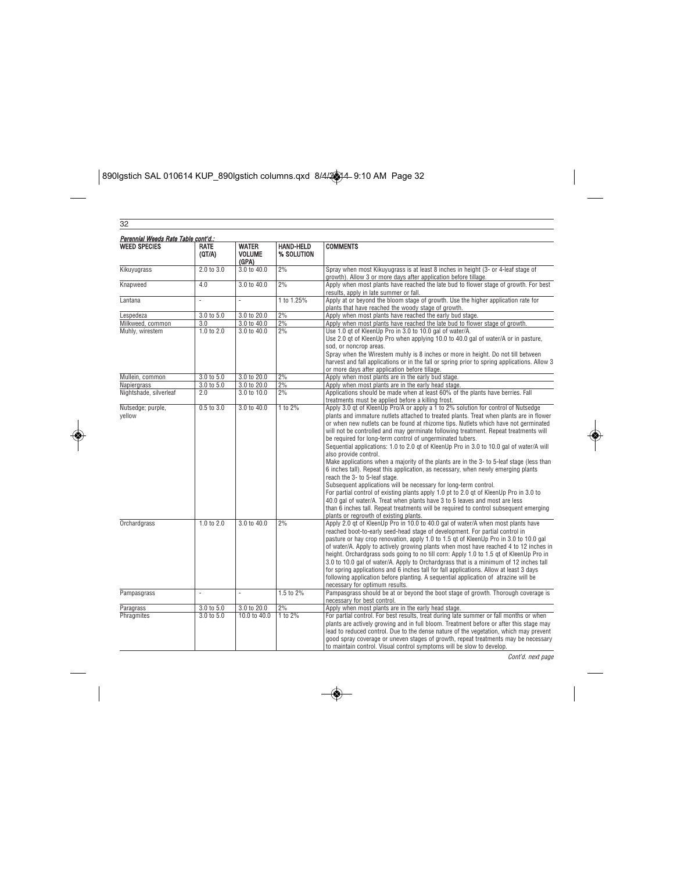$\begin{array}{|l|l|}\hline \text{890I}\text{gstich SAL 010614 KUP\_890I}\text{gstich columns.qxd }&\text{8/4/24-9:10 AM Page 32}\hline \end{array}$ 

◈

| Perennial Weeds Rate Table cont'd.:<br><b>WEED SPECIES</b> | RATE<br>(QT/A)           | <b>WATER</b><br><b>VOLUME</b><br>(GPA) | <b>HAND-HELD</b><br>% SOLUTION | <b>COMMENTS</b>                                                                                                                                                                                                                                                                                                                                                                                                                                                                                                                                                                                                                                                                                                                                                                                                                                                                                                                                                                                                                                           |
|------------------------------------------------------------|--------------------------|----------------------------------------|--------------------------------|-----------------------------------------------------------------------------------------------------------------------------------------------------------------------------------------------------------------------------------------------------------------------------------------------------------------------------------------------------------------------------------------------------------------------------------------------------------------------------------------------------------------------------------------------------------------------------------------------------------------------------------------------------------------------------------------------------------------------------------------------------------------------------------------------------------------------------------------------------------------------------------------------------------------------------------------------------------------------------------------------------------------------------------------------------------|
| Kikuyugrass                                                | 2.0 to 3.0               | 3.0 to 40.0                            | 2%                             | Spray when most Kikuyugrass is at least 8 inches in height (3- or 4-leaf stage of<br>growth). Allow 3 or more days after application before tillage.                                                                                                                                                                                                                                                                                                                                                                                                                                                                                                                                                                                                                                                                                                                                                                                                                                                                                                      |
| Knapweed                                                   | 4.0                      | 3.0 to 40.0                            | 2%                             | Apply when most plants have reached the late bud to flower stage of growth. For best<br>results, apply in late summer or fall.                                                                                                                                                                                                                                                                                                                                                                                                                                                                                                                                                                                                                                                                                                                                                                                                                                                                                                                            |
| Lantana                                                    | i,                       |                                        | 1 to 1.25%                     | Apply at or beyond the bloom stage of growth. Use the higher application rate for<br>plants that have reached the woody stage of growth.                                                                                                                                                                                                                                                                                                                                                                                                                                                                                                                                                                                                                                                                                                                                                                                                                                                                                                                  |
| Lespedeza                                                  | 3.0 to 5.0               | 3.0 to 20.0                            | 2%                             | Apply when most plants have reached the early bud stage.                                                                                                                                                                                                                                                                                                                                                                                                                                                                                                                                                                                                                                                                                                                                                                                                                                                                                                                                                                                                  |
| Milkweed, common                                           | 3.0                      | 3.0 to 40.0                            | 2%                             | Apply when most plants have reached the late bud to flower stage of growth.                                                                                                                                                                                                                                                                                                                                                                                                                                                                                                                                                                                                                                                                                                                                                                                                                                                                                                                                                                               |
| Muhly, wirestem                                            | 1.0 to 2.0               | 3.0 to 40.0                            | 2%                             | Use 1.0 gt of KleenUp Pro in 3.0 to 10.0 gal of water/A.<br>Use 2.0 gt of KleenUp Pro when applying 10.0 to 40.0 gal of water/A or in pasture,<br>sod, or noncrop areas.<br>Spray when the Wirestem muhly is 8 inches or more in height. Do not till between<br>harvest and fall applications or in the fall or spring prior to spring applications. Allow 3                                                                                                                                                                                                                                                                                                                                                                                                                                                                                                                                                                                                                                                                                              |
|                                                            |                          |                                        |                                | or more days after application before tillage.                                                                                                                                                                                                                                                                                                                                                                                                                                                                                                                                                                                                                                                                                                                                                                                                                                                                                                                                                                                                            |
| Mullein, common                                            | 3.0 to 5.0<br>3.0 to 5.0 | 3.0 to 20.0<br>3.0 to 20.0             | 2%<br>2%                       | Apply when most plants are in the early bud stage.<br>Apply when most plants are in the early head stage.                                                                                                                                                                                                                                                                                                                                                                                                                                                                                                                                                                                                                                                                                                                                                                                                                                                                                                                                                 |
| Napiergrass                                                | 2.0                      |                                        | 2%                             | Applications should be made when at least 60% of the plants have berries. Fall                                                                                                                                                                                                                                                                                                                                                                                                                                                                                                                                                                                                                                                                                                                                                                                                                                                                                                                                                                            |
| Nightshade, silverleaf                                     | $0.5$ to $3.0$           | 3.0 to 10.0<br>3.0 to 40.0             | 1 to 2%                        | treatments must be applied before a killing frost.<br>Apply 3.0 gt of KleenUp Pro/A or apply a 1 to 2% solution for control of Nutsedge                                                                                                                                                                                                                                                                                                                                                                                                                                                                                                                                                                                                                                                                                                                                                                                                                                                                                                                   |
| Nutsedge; purple,<br>yellow                                |                          |                                        |                                | plants and immature nutlets attached to treated plants. Treat when plants are in flower<br>or when new nutlets can be found at rhizome tips. Nutlets which have not germinated<br>will not be controlled and may germinate following treatment. Repeat treatments will<br>be required for long-term control of ungerminated tubers.<br>Sequential applications: 1.0 to 2.0 gt of KleenUp Pro in 3.0 to 10.0 gal of water/A will<br>also provide control.<br>Make applications when a majority of the plants are in the 3-to 5-leaf stage (less than<br>6 inches tall). Repeat this application, as necessary, when newly emerging plants<br>reach the 3- to 5-leaf stage.<br>Subsequent applications will be necessary for long-term control.<br>For partial control of existing plants apply 1.0 pt to 2.0 gt of KleenUp Pro in 3.0 to<br>40.0 gal of water/A. Treat when plants have 3 to 5 leaves and most are less<br>than 6 inches tall. Repeat treatments will be required to control subsequent emerging<br>plants or regrowth of existing plants. |
| <b>Orchardgrass</b>                                        | 1.0 to 2.0               | 3.0 to 40.0                            | 2%                             | Apply 2.0 gt of KleenUp Pro in 10.0 to 40.0 gal of water/A when most plants have<br>reached boot-to-early seed-head stage of development. For partial control in<br>pasture or hay crop renovation, apply 1.0 to 1.5 gt of KleenUp Pro in 3.0 to 10.0 gal<br>of water/A. Apply to actively growing plants when most have reached 4 to 12 inches in<br>height. Orchardgrass sods going to no till corn: Apply 1.0 to 1.5 gt of KleenUp Pro in<br>3.0 to 10.0 gal of water/A. Apply to Orchardgrass that is a minimum of 12 inches tall<br>for spring applications and 6 inches tall for fall applications. Allow at least 3 days<br>following application before planting. A sequential application of atrazine will be<br>necessary for optimum results.                                                                                                                                                                                                                                                                                                  |
| Pampasgrass                                                |                          |                                        | 1.5 to 2%                      | Pampasgrass should be at or beyond the boot stage of growth. Thorough coverage is<br>necessary for best control.                                                                                                                                                                                                                                                                                                                                                                                                                                                                                                                                                                                                                                                                                                                                                                                                                                                                                                                                          |
| Paragrass                                                  | 3.0 to 5.0               | 3.0 to 20.0                            | 2%                             | Apply when most plants are in the early head stage.                                                                                                                                                                                                                                                                                                                                                                                                                                                                                                                                                                                                                                                                                                                                                                                                                                                                                                                                                                                                       |
| Phragmites                                                 | 3.0 to 5.0               | 10.0 to 40.0                           | $1$ to $2\%$                   | For partial control. For best results, treat during late summer or fall months or when<br>plants are actively growing and in full bloom. Treatment before or after this stage may<br>lead to reduced control. Due to the dense nature of the vegetation, which may prevent<br>good spray coverage or uneven stages of growth, repeat treatments may be necessary<br>to maintain control. Visual control symptoms will be slow to develop.                                                                                                                                                                                                                                                                                                                                                                                                                                                                                                                                                                                                                 |

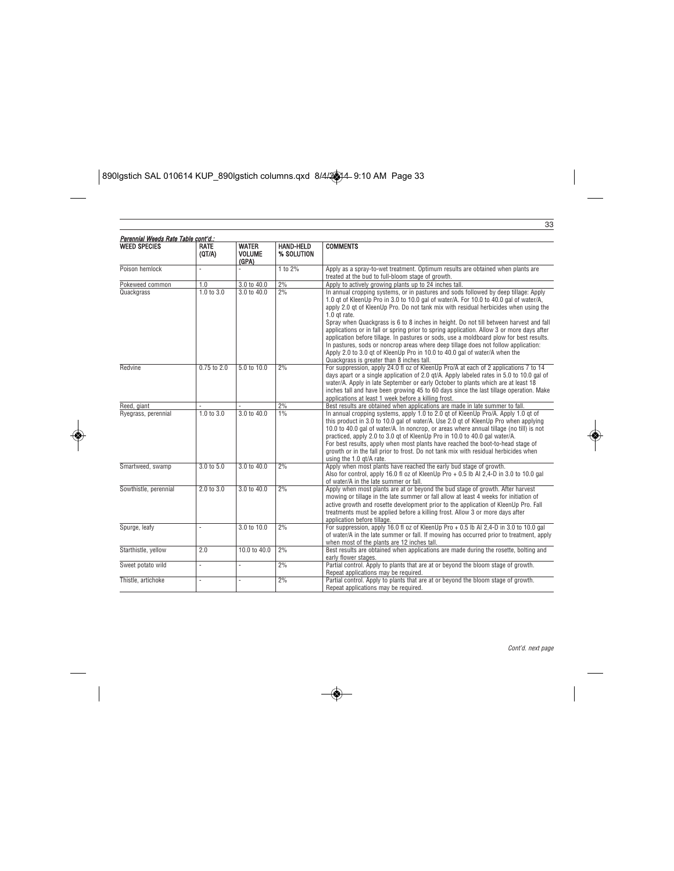$\boxed{\text{890I}\text{g} \text{stich SAL 010614 KUP\_890}\text{I}\text{g} \text{stich columns.} \text{q} \text{xd} \text{44/2} \text{A}^{2} \text{A}^{2} \text{A}^{2} \text{A}^{2} \text{A}^{2} \text{A}^{2} \text{A}^{2} \text{A}^{2} \text{A}^{2} \text{A}^{2} \text{A}^{2} \text{A}^{2} \text{A}^{2} \text{A}^{2} \text{A}^{2} \text{A}^{2} \text{A}^{2} \text{A}^{2} \text{A}^{2}$ 

◈

|                                                            |                       |                                        |                                | 33                                                                                                                                                                                                                                                                                                                                                                                                                                                                                                                                                                                                                                                                                                                                                                                      |
|------------------------------------------------------------|-----------------------|----------------------------------------|--------------------------------|-----------------------------------------------------------------------------------------------------------------------------------------------------------------------------------------------------------------------------------------------------------------------------------------------------------------------------------------------------------------------------------------------------------------------------------------------------------------------------------------------------------------------------------------------------------------------------------------------------------------------------------------------------------------------------------------------------------------------------------------------------------------------------------------|
| Perennial Weeds Rate Table cont'd.:<br><b>WEED SPECIES</b> | <b>RATE</b><br>(QT/A) | <b>WATER</b><br><b>VOLUME</b><br>(GPA) | <b>HAND-HELD</b><br>% SOLUTION | <b>COMMENTS</b>                                                                                                                                                                                                                                                                                                                                                                                                                                                                                                                                                                                                                                                                                                                                                                         |
| Poison hemlock                                             |                       | ä,                                     | 1 to 2%                        | Apply as a spray-to-wet treatment. Optimum results are obtained when plants are<br>treated at the bud to full-bloom stage of growth.                                                                                                                                                                                                                                                                                                                                                                                                                                                                                                                                                                                                                                                    |
| Pokeweed common                                            | 1.0                   | 3.0 to 40.0                            | 2%                             | Apply to actively growing plants up to 24 inches tall.                                                                                                                                                                                                                                                                                                                                                                                                                                                                                                                                                                                                                                                                                                                                  |
| Quackgrass                                                 | 1.0 to 3.0            | 3.0 to 40.0                            | 2%                             | In annual cropping systems, or in pastures and sods followed by deep tillage: Apply<br>1.0 gt of KleenUp Pro in 3.0 to 10.0 gal of water/A. For 10.0 to 40.0 gal of water/A,<br>apply 2.0 qt of KleenUp Pro. Do not tank mix with residual herbicides when using the<br>1.0 gt rate.<br>Spray when Quackgrass is 6 to 8 inches in height. Do not till between harvest and fall<br>applications or in fall or spring prior to spring application. Allow 3 or more days after<br>application before tillage. In pastures or sods, use a moldboard plow for best results.<br>In pastures, sods or noncrop areas where deep tillage does not follow application:<br>Apply 2.0 to 3.0 gt of KleenUp Pro in 10.0 to 40.0 gal of water/A when the<br>Quackgrass is greater than 8 inches tall. |
| Redvine                                                    | $0.75$ to $2.0$       | $5.0 \text{ to } 10.0$                 | 2%                             | For suppression, apply 24.0 fl oz of KleenUp Pro/A at each of 2 applications 7 to 14<br>days apart or a single application of 2.0 gt/A. Apply labeled rates in 5.0 to 10.0 gal of<br>water/A. Apply in late September or early October to plants which are at least 18<br>inches tall and have been growing 45 to 60 days since the last tillage operation. Make<br>applications at least 1 week before a killing frost.                                                                                                                                                                                                                                                                                                                                                                |
| Reed, giant                                                |                       |                                        | 2%                             | Best results are obtained when applications are made in late summer to fall.                                                                                                                                                                                                                                                                                                                                                                                                                                                                                                                                                                                                                                                                                                            |
| Ryegrass, perennial                                        | 1.0 to 3.0            | $3.0 \text{ to } 40.0$                 | 1%                             | In annual cropping systems, apply 1.0 to 2.0 qt of KleenUp Pro/A. Apply 1.0 qt of<br>this product in 3.0 to 10.0 gal of water/A. Use 2.0 gt of KleenUp Pro when applying<br>10.0 to 40.0 gal of water/A. In noncrop, or areas where annual tillage (no till) is not<br>practiced, apply 2.0 to 3.0 gt of KleenUp Pro in 10.0 to 40.0 gal water/A.<br>For best results, apply when most plants have reached the boot-to-head stage of<br>growth or in the fall prior to frost. Do not tank mix with residual herbicides when<br>using the 1.0 gt/A rate.                                                                                                                                                                                                                                 |
| Smartweed, swamp                                           | 3.0 t0 5.0            | $3.0 \text{ to } 40.0$                 | 2%                             | Apply when most plants have reached the early bud stage of growth.<br>Also for control, apply 16.0 fl oz of KleenUp Pro + 0.5 lb Al 2.4-D in 3.0 to 10.0 gal<br>of water/A in the late summer or fall.                                                                                                                                                                                                                                                                                                                                                                                                                                                                                                                                                                                  |
| Sowthistle, perennial                                      | $2.0 \text{ to } 3.0$ | $3.0 \text{ to } 40.0$                 | 2%                             | Apply when most plants are at or beyond the bud stage of growth. After harvest<br>mowing or tillage in the late summer or fall allow at least 4 weeks for initiation of<br>active growth and rosette development prior to the application of KleenUp Pro. Fall<br>treatments must be applied before a killing frost. Allow 3 or more days after<br>application before tillage.                                                                                                                                                                                                                                                                                                                                                                                                          |
| Spurge, leafy                                              |                       | 3.0 to 10.0                            | 2%                             | For suppression, apply 16.0 fl oz of KleenUp Pro $+$ 0.5 lb Al 2,4-D in 3.0 to 10.0 gal<br>of water/A in the late summer or fall. If mowing has occurred prior to treatment, apply<br>when most of the plants are 12 inches tall.                                                                                                                                                                                                                                                                                                                                                                                                                                                                                                                                                       |
| Starthistle, yellow                                        | 2.0                   | 10.0 to 40.0                           | 2%                             | Best results are obtained when applications are made during the rosette, bolting and<br>early flower stages.                                                                                                                                                                                                                                                                                                                                                                                                                                                                                                                                                                                                                                                                            |
| Sweet potato wild                                          | ×.                    | ä,                                     | 2%                             | Partial control. Apply to plants that are at or beyond the bloom stage of growth.<br>Repeat applications may be required.                                                                                                                                                                                                                                                                                                                                                                                                                                                                                                                                                                                                                                                               |
| Thistle, artichoke                                         | ä,                    |                                        | 2%                             | Partial control. Apply to plants that are at or beyond the bloom stage of growth.<br>Repeat applications may be required.                                                                                                                                                                                                                                                                                                                                                                                                                                                                                                                                                                                                                                                               |

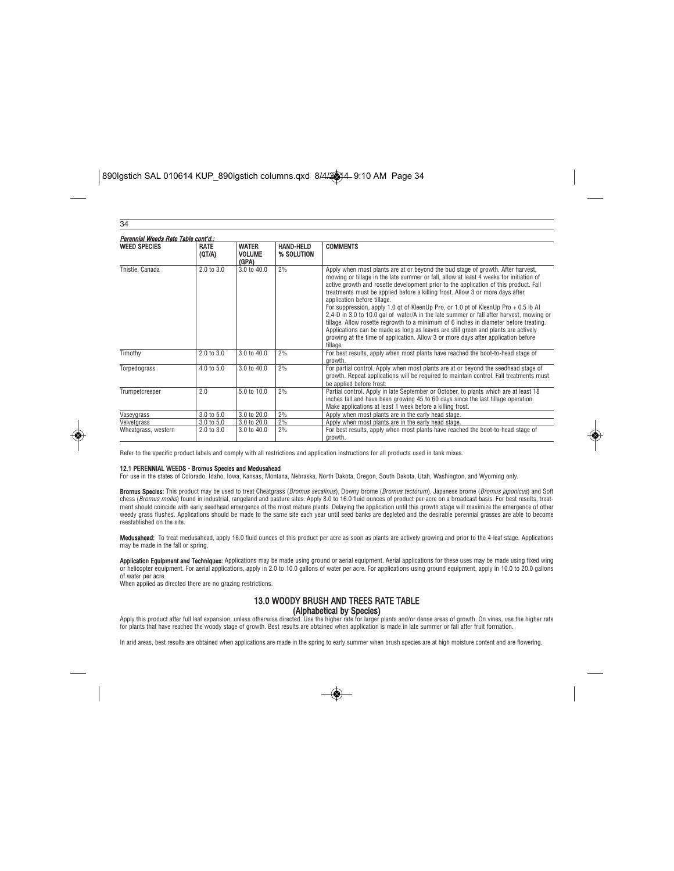| 34                                  |                       |                                        |                                |                                                                                                                                                                                                                                                                                                                                                                                                                                                                                                                                                                                                                                                                                                                                                                                                                                                    |  |
|-------------------------------------|-----------------------|----------------------------------------|--------------------------------|----------------------------------------------------------------------------------------------------------------------------------------------------------------------------------------------------------------------------------------------------------------------------------------------------------------------------------------------------------------------------------------------------------------------------------------------------------------------------------------------------------------------------------------------------------------------------------------------------------------------------------------------------------------------------------------------------------------------------------------------------------------------------------------------------------------------------------------------------|--|
| Perennial Weeds Rate Table cont'd.: |                       |                                        |                                |                                                                                                                                                                                                                                                                                                                                                                                                                                                                                                                                                                                                                                                                                                                                                                                                                                                    |  |
| <b>WEED SPECIES</b>                 | <b>RATE</b><br>(QT/A) | <b>WATER</b><br><b>VOLUME</b><br>(GPA) | <b>HAND-HELD</b><br>% SOLUTION | <b>COMMENTS</b>                                                                                                                                                                                                                                                                                                                                                                                                                                                                                                                                                                                                                                                                                                                                                                                                                                    |  |
| Thistle, Canada                     | $2.0 \text{ to } 3.0$ | 3.0 to 40.0                            | 2%                             | Apply when most plants are at or beyond the bud stage of growth. After harvest,<br>mowing or tillage in the late summer or fall, allow at least 4 weeks for initiation of<br>active growth and rosette development prior to the application of this product. Fall<br>treatments must be applied before a killing frost. Allow 3 or more days after<br>application before tillage.<br>For suppression, apply 1.0 gt of KleenUp Pro, or 1.0 pt of KleenUp Pro + 0.5 lb Al<br>2.4-D in 3.0 to 10.0 gal of water/A in the late summer or fall after harvest, mowing or<br>tillage. Allow rosette regrowth to a minimum of 6 inches in diameter before treating.<br>Applications can be made as long as leaves are still green and plants are actively<br>growing at the time of application. Allow 3 or more days after application before<br>tillage. |  |
| Timothy                             | $2.0 \text{ to } 3.0$ | 3.0 to 40.0                            | 2%                             | For best results, apply when most plants have reached the boot-to-head stage of<br>growth.                                                                                                                                                                                                                                                                                                                                                                                                                                                                                                                                                                                                                                                                                                                                                         |  |
| Torpedograss                        | $4.0 \text{ to } 5.0$ | 3.0 to 40.0                            | 2%                             | For partial control. Apply when most plants are at or beyond the seedhead stage of<br>growth. Repeat applications will be required to maintain control. Fall treatments must<br>be applied before frost.                                                                                                                                                                                                                                                                                                                                                                                                                                                                                                                                                                                                                                           |  |
| Trumpetcreeper                      | 2.0                   | 5.0 to 10.0                            | 2%                             | Partial control. Apply in late September or October, to plants which are at least 18<br>inches tall and have been growing 45 to 60 days since the last tillage operation.<br>Make applications at least 1 week before a killing frost.                                                                                                                                                                                                                                                                                                                                                                                                                                                                                                                                                                                                             |  |
| Vaseygrass                          | 3.0 to 5.0            | 3.0 to 20.0                            | 2%                             | Apply when most plants are in the early head stage.                                                                                                                                                                                                                                                                                                                                                                                                                                                                                                                                                                                                                                                                                                                                                                                                |  |
| Velvetgrass                         | $3.0 \text{ to } 5.0$ | 3.0 to 20.0                            | 2%                             | Apply when most plants are in the early head stage.                                                                                                                                                                                                                                                                                                                                                                                                                                                                                                                                                                                                                                                                                                                                                                                                |  |
| Wheatgrass, western                 | $2.0 \text{ to } 3.0$ | $3.0 \text{ to } 40.0$                 | 2%                             | For best results, apply when most plants have reached the boot-to-head stage of<br>arowth.                                                                                                                                                                                                                                                                                                                                                                                                                                                                                                                                                                                                                                                                                                                                                         |  |

Refer to the specific product labels and comply with all restrictions and application instructions for all products used in tank mixes.

**12.1 PERENNIAL WEEDS - Bromus Species and Medusahead**<br>For use in the states of Colorado, Idaho, Iowa, Kansas, Montana, Nebraska, North Dakota, Oregon, South Dakota, Utah, Washington, and Wyoming only.

**Bromus Species:** This product may be used to treat Cheatgrass (*Bromus secalinus*), Downy brome (*Bromus tectorum*), Japanese brome (*Bromus japonicus*) and Soft<br>chess (*Bromus mollis*) found in industrial, rangeland and ment should coincide with early seedhead emergence of the most mature plants. Delaying the application until this growth stage will maximize the emergence of other<br>weedy grass flushes. Applications should be made to the sa reestablished on the site.

Medusahead: To treat medusahead, apply 16.0 fluid ounces of this product per acre as soon as plants are actively growing and prior to the 4-leaf stage. Applications may be made in the fall or spring.

**Application Equipment and Techniques:** Applications may be made using ground or aerial equipment. Aerial applications for these uses may be made using fixed wing<br>or helicopter equipment. For aerial applications, apply in of water per acre.

When applied as directed there are no grazing restrictions.

### 13.0 WOODY BRUSH AND TREES RATE TABLE (Alphabetical by Species)

Apply this product after full leaf expansion, unless otherwise directed. Use the higher rate for larger plants and/or dense areas of growth. On vines, use the higher rate<br>for plants that have reached the woody stage of gro

In arid areas, best results are obtained when applications are made in the spring to early summer when brush species are at high moisture content and are flowering.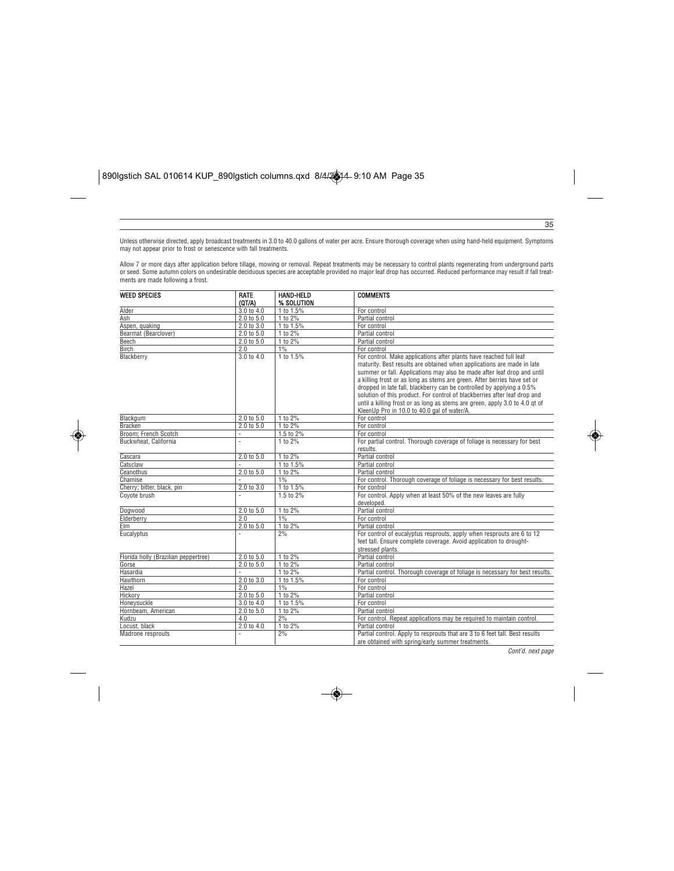Unless otherwise directed, apply broadcast treatments in 3.0 to 40.0 gallons of water per acre. Ensure thorough coverage when using hand-held equipment. Symptoms may not appear prior to frost or senescence with fall treatments.

Allow 7 or more days after application before tillage, mowing or removal. Repeat treatments may be necessary to control plants regenerating from underground parts<br>or seed. Some autumn colors on undesirable deciduous specie

| <b>WEED SPECIES</b>                  | <b>RATE</b> | <b>HAND-HELD</b> | <b>COMMENTS</b>                                                                                                                                                                                                                                                                                                                                                                                                                                                                                                                                                                         |
|--------------------------------------|-------------|------------------|-----------------------------------------------------------------------------------------------------------------------------------------------------------------------------------------------------------------------------------------------------------------------------------------------------------------------------------------------------------------------------------------------------------------------------------------------------------------------------------------------------------------------------------------------------------------------------------------|
|                                      | (QT/A)      | % SOLUTION       |                                                                                                                                                                                                                                                                                                                                                                                                                                                                                                                                                                                         |
| Alder                                | 3.0 to 4.0  | 1 to 1.5%        | For control                                                                                                                                                                                                                                                                                                                                                                                                                                                                                                                                                                             |
| Ash                                  | 2.0 to 5.0  | 1 to 2%          | Partial control                                                                                                                                                                                                                                                                                                                                                                                                                                                                                                                                                                         |
| Aspen, quaking                       | 2.0 to 3.0  | 1 to 1.5%        | For control                                                                                                                                                                                                                                                                                                                                                                                                                                                                                                                                                                             |
| Bearmat (Bearclover)                 | 2.0 to 5.0  | 1 to 2%          | Partial control                                                                                                                                                                                                                                                                                                                                                                                                                                                                                                                                                                         |
| Beech                                | 2.0 to 5.0  | 1 to 2%          | Partial control                                                                                                                                                                                                                                                                                                                                                                                                                                                                                                                                                                         |
| <b>Birch</b>                         | 2.0         | 1%               | For control                                                                                                                                                                                                                                                                                                                                                                                                                                                                                                                                                                             |
| Blackberry                           | 3.0 to 4.0  | 1 to 1.5%        | For control. Make applications after plants have reached full leaf<br>maturity. Best results are obtained when applications are made in late<br>summer or fall. Applications may also be made after leaf drop and until<br>a killing frost or as long as stems are green. After berries have set or<br>dropped in late fall, blackberry can be controlled by applying a 0.5%<br>solution of this product. For control of blackberries after leaf drop and<br>until a killing frost or as long as stems are green, apply 3.0 to 4.0 gt of<br>KleenUp Pro in 10.0 to 40.0 gal of water/A. |
| Blackgum                             | 2.0 t0 5.0  | 1 to 2%          | For control                                                                                                                                                                                                                                                                                                                                                                                                                                                                                                                                                                             |
| <b>Bracken</b>                       | 2.0 t0 5.0  | $1$ to $2%$      | For control                                                                                                                                                                                                                                                                                                                                                                                                                                                                                                                                                                             |
| Broom: French Scotch                 |             | 1.5 to 2%        | For control                                                                                                                                                                                                                                                                                                                                                                                                                                                                                                                                                                             |
| Buckwheat, California                |             | $1$ to $2%$      | For partial control. Thorough coverage of foliage is necessary for best<br>results.                                                                                                                                                                                                                                                                                                                                                                                                                                                                                                     |
| Cascara                              | 2.0 to 5.0  | 1 to 2%          | Partial control                                                                                                                                                                                                                                                                                                                                                                                                                                                                                                                                                                         |
| Catsclaw                             |             | 1 to 1.5%        | Partial control                                                                                                                                                                                                                                                                                                                                                                                                                                                                                                                                                                         |
| Ceanothus                            | 2.0 t0 5.0  | 1 to 2%          | Partial control                                                                                                                                                                                                                                                                                                                                                                                                                                                                                                                                                                         |
| Chamise                              |             | 1%               | For control. Thorough coverage of foliage is necessary for best results.                                                                                                                                                                                                                                                                                                                                                                                                                                                                                                                |
| Cherry; bitter, black, pin           | 2.0 to 3.0  | 1 to 1.5%        | For control                                                                                                                                                                                                                                                                                                                                                                                                                                                                                                                                                                             |
| Covote brush                         |             | 1.5 to 2%        | For control. Apply when at least 50% of the new leaves are fully<br>developed.                                                                                                                                                                                                                                                                                                                                                                                                                                                                                                          |
| Dogwood                              | 2.0 t0 5.0  | 1 to 2%          | Partial control                                                                                                                                                                                                                                                                                                                                                                                                                                                                                                                                                                         |
| Elderberry                           | 2.0         | 1%               | For control                                                                                                                                                                                                                                                                                                                                                                                                                                                                                                                                                                             |
| <b>Elm</b>                           | 2.0 to 5.0  | 1 to 2%          | Partial control                                                                                                                                                                                                                                                                                                                                                                                                                                                                                                                                                                         |
| Eucalyptus                           |             | 2%               | For control of eucalyptus resprouts, apply when resprouts are 6 to 12<br>feet tall. Ensure complete coverage. Avoid application to drought-<br>stressed plants.                                                                                                                                                                                                                                                                                                                                                                                                                         |
| Florida holly (Brazilian peppertree) | 2.0 t0 5.0  | 1 to 2%          | Partial control                                                                                                                                                                                                                                                                                                                                                                                                                                                                                                                                                                         |
| Gorse                                | 2.0 to 5.0  | 1 to 2%          | Partial control                                                                                                                                                                                                                                                                                                                                                                                                                                                                                                                                                                         |
| Hasardia                             |             | 1 to 2%          | Partial control. Thorough coverage of foliage is necessary for best results.                                                                                                                                                                                                                                                                                                                                                                                                                                                                                                            |
| Hawthorn                             | 2.0 to 3.0  | 1 to 1.5%        | For control                                                                                                                                                                                                                                                                                                                                                                                                                                                                                                                                                                             |
| Hazel                                | 2.0         | 1%               | For control                                                                                                                                                                                                                                                                                                                                                                                                                                                                                                                                                                             |
| Hickory                              | 2.0 to 5.0  | 1 to 2%          | Partial control                                                                                                                                                                                                                                                                                                                                                                                                                                                                                                                                                                         |
| Honeysuckle                          | 3.0 to 4.0  | 1 to 1.5%        | For control                                                                                                                                                                                                                                                                                                                                                                                                                                                                                                                                                                             |
| Hornbeam, American                   | 2.0 to 5.0  | 1 to 2%          | Partial control                                                                                                                                                                                                                                                                                                                                                                                                                                                                                                                                                                         |
| Kudzu                                | 4.0         | 2%               | For control. Repeat applications may be required to maintain control.                                                                                                                                                                                                                                                                                                                                                                                                                                                                                                                   |
| Locust, black                        | 2.0 to 4.0  | 1 to 2%          | Partial control                                                                                                                                                                                                                                                                                                                                                                                                                                                                                                                                                                         |
| Madrone resprouts                    |             | 2%               | Partial control. Apply to resprouts that are 3 to 6 feet tall. Best results<br>are obtained with spring/early summer treatments.                                                                                                                                                                                                                                                                                                                                                                                                                                                        |

Cont'd. next page

35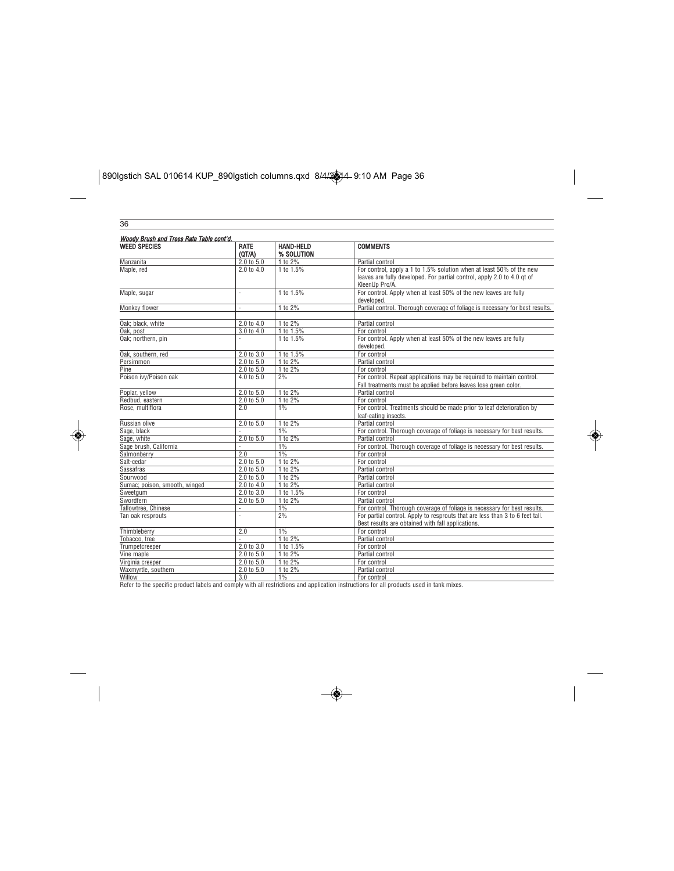$\boxed{\text{890I}\text{g} \text{stich SAL 010614 KUP\_890}\text{I}\text{g} \text{stich columns.} \text{q} \text{xdt } \text{8/4/2} \text{A}^2\text{A}^2\text{B}^2\text{A}^2\text{B}^2\text{A}}$ 

| 36     |  |
|--------|--|
|        |  |
|        |  |
| Woodv  |  |
|        |  |
| WEED : |  |
|        |  |
|        |  |

| <b>WEED SPECIES</b>           | <b>RATE</b><br>(QT/A) | <b>HAND-HELD</b><br>% SOLUTION | <b>COMMENTS</b>                                                                                                                                                   |
|-------------------------------|-----------------------|--------------------------------|-------------------------------------------------------------------------------------------------------------------------------------------------------------------|
| Manzanita                     | 2.0 to 5.0            | 1 to 2%                        | Partial control                                                                                                                                                   |
| Maple, red                    | 2.0 t0 4.0            | 1 to 1.5%                      | For control, apply a 1 to 1.5% solution when at least 50% of the new<br>leaves are fully developed. For partial control, apply 2.0 to 4.0 gt of<br>KleenUp Pro/A. |
| Maple, sugar                  |                       | 1 to 1.5%                      | For control. Apply when at least 50% of the new leaves are fully<br>developed.                                                                                    |
| Monkey flower                 | ä,                    | 1 to 2%                        | Partial control. Thorough coverage of foliage is necessary for best results.                                                                                      |
| Oak; black, white             | 2.0 to 4.0            | 1 to 2%                        | Partial control                                                                                                                                                   |
| Oak, post                     | 3.0 to 4.0            | 1 to 1.5%                      | For control                                                                                                                                                       |
| Oak; northern, pin            |                       | 1 to 1.5%                      | For control. Apply when at least 50% of the new leaves are fully<br>developed.                                                                                    |
| Oak, southern, red            | 2.0 to 3.0            | 1 to 1.5%                      | For control                                                                                                                                                       |
| Persimmon                     | 2.0 to 5.0            | 1 to 2%                        | Partial control                                                                                                                                                   |
| Pine                          | 2.0 to 5.0            | 1 to 2%                        | For control                                                                                                                                                       |
| Poison ivv/Poison oak         | 4.0 to 5.0            | 2%                             | For control. Repeat applications may be required to maintain control.<br>Fall treatments must be applied before leaves lose green color.                          |
| Poplar, yellow                | 2.0 t0 5.0            | 1 to 2%                        | Partial control                                                                                                                                                   |
| Redbud, eastern               | $2.0$ to $5.0$        | 1 to 2%                        | For control                                                                                                                                                       |
| Rose, multiflora              | 2.0                   | $1\%$                          | For control. Treatments should be made prior to leaf deterioration by<br>leaf-eating insects.                                                                     |
| Russian olive                 | 2.0 to 5.0            | 1 to 2%                        | Partial control                                                                                                                                                   |
| Sage, black                   |                       | $1\%$                          | For control. Thorough coverage of foliage is necessary for best results.                                                                                          |
| Sage, white                   | 2.0 to 5.0            | 1 to 2%                        | Partial control                                                                                                                                                   |
| Sage brush, California        |                       | 1%                             | For control. Thorough coverage of foliage is necessary for best results.                                                                                          |
| Salmonberry                   | 2.0                   | 1%                             | For control                                                                                                                                                       |
| Salt-cedar                    | 2.0 to 5.0            | 1 to 2%                        | For control                                                                                                                                                       |
| Sassafras                     | 2.0 t0 5.0            | 1 to 2%                        | Partial control                                                                                                                                                   |
| Sourwood                      | 2.0 t0 5.0            | 1 to 2%                        | Partial control                                                                                                                                                   |
| Sumac; poison, smooth, winged | 2.0 to 4.0            | 1 to 2%                        | Partial control                                                                                                                                                   |
| Sweetgum                      | 2.0 to 3.0            | 1 to 1.5%                      | For control                                                                                                                                                       |
| Swordfern                     | 2.0 to 5.0            | 1 to 2%                        | Partial control                                                                                                                                                   |
| Tallowtree, Chinese           | ä,                    | 1%                             | For control. Thorough coverage of foliage is necessary for best results.                                                                                          |
| Tan oak resprouts             | i,                    | 2%                             | For partial control. Apply to resprouts that are less than 3 to 6 feet tall.<br>Best results are obtained with fall applications.                                 |
| Thimbleberry                  | 2.0                   | 1%                             | For control                                                                                                                                                       |
| Tobacco, tree                 |                       | 1 to 2%                        | Partial control                                                                                                                                                   |
| Trumpetcreeper                | 2.0 to 3.0            | 1 to 1.5%                      | For control                                                                                                                                                       |
| Vine maple                    | 2.0 to 5.0            | 1 to 2%                        | Partial control                                                                                                                                                   |
| Virginia creeper              | 2.0 to 5.0            | 1 to 2%                        | For control                                                                                                                                                       |
| Waxmyrtle, southern           | 2.0 to 5.0            | 1 to 2%                        | Partial control                                                                                                                                                   |
| Willow                        | 3.0                   | 1%                             | For control                                                                                                                                                       |

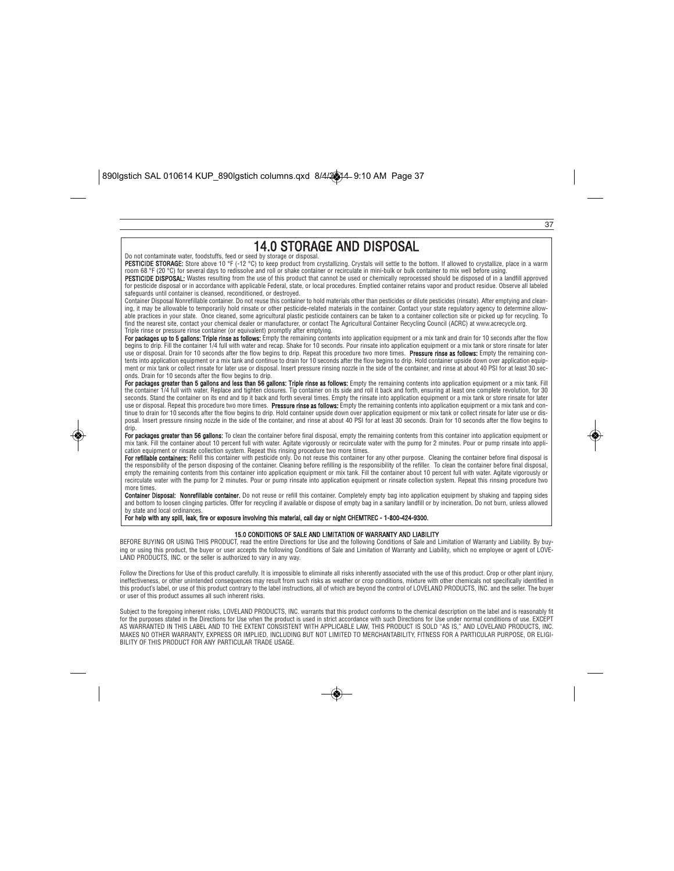## 14.0 STORAGE AND DISPOSAL Do not contaminate water, foodstuffs, feed or seed by storage or disposal. PESTICIDE STORAGE: Store above 10 °F (-12 °C) to keep product from crystallizing. Crystals will settle to the bottom. If allowed to crystallize, place in a warm room 68 °F (20 °C) for several days to redissolve and roll or shake container or recirculate in mini-bulk or bulk container to mix well before using. PESTICIDE DISPOSAL: Wastes resulting from the use of this product that cannot be used or chemically reprocessed should be disposed of in a landfill approved for pesticide disposal or in accordance with applicable Federal, state, or local procedures. Emptied container retains vapor and product residue. Observe all labeled<br>safeguards until container is cleansed, reconditioned, o Container Disposal Nonrefillable container. Do not reuse this container to hold materials other than pesticides or dilute pesticides (rinsate). After emptying and clean-<br>ing, it may be allowable to temporarily hold rinsate

37

able practices in your state. Once cleaned, some agricultural plastic pesticide containers can be taken to a container collection site or picked up for recycling. To find the nearest site, contact your chemical dealer or manufacturer, or contact The Agricultural Container Recycling Council (ACRC) at www.acrecycle.org. Triple rinse or pressure rinse container (or equivalent) promptly after emptying.

**For packages up to 5 gallons: Triple rinse as follows:** Empty the remaining contents into application equipment or a mix tank and drain for 10 seconds after the flow<br>begins to drip. Fill the container 1/4 full with water use or disposal. Drain for 10 seconds after the flow begins to drip. Repeat this procedure two more times. **Pressure rinse as follows:** Empty the remaining con-<br>tents into application equipment or a mix tank and continue t ment or mix tank or collect rinsate for later use or disposal. Insert pressure rinsing nozzle in the side of the container, and rinse at about 40 PSI for at least 30 sec-<br>onds. Drain for 10 seconds after the flow begins to

For packages greater than 5 gallons and less than 56 gallons: Triple rinse as follows: Empty the remaining contents into application equipment or a mix tank. Fill the container 1/4 full with water. Replace and tighten closures. Tip container on its side and forll, ensuring at least one complete revolution, for 30<br>seconds. Stand the container on its end and tip it back and forth seve use or disposal. Repeat this procedure two more times. **Pressure rinse as follows:** Empty the remaining contents into application equipment or a mix tank and con-<br>tinue to drain for 10 seconds after the flow begins to dri posal. Insert pressure rinsing nozzle in the side of the container, and rinse at about 40 PSI for at least 30 seconds. Drain for 10 seconds after the flow begins to drip.

For packages greater than 56 gallons: To clean the container before final disposal, empty the remaining contents from this container into application equipment or mix tank. Fill the container about 10 percent full with water. Agitate vigorously or recirculate water with the pump for 2 minutes. Pour or pump rinsate into appli-<br>cation equipment or rinsate collection system. Repeat thi

**For refillable containers:** Refill this container with pesticide only. Do not reuse this container for any other purpose. Cleaning the container before final disposal is<br>the responsibility of the person disposing of the c empty the remaining contents from this container into application equipment or mix tank. Fill the container about 10 percent full with water. Agitate vigorously or recirculate water with the pump for 2 minutes. Pour or pump rinsate into application equipment or rinsate collection system. Repeat this rinsing procedure two more times.

**Container Disposal: Nonrefillable container.** Do not reuse or refill this container. Completely empty bag into application equipment by shaking and tapping sides<br>and bottom to loosen clinging particles. Offer for recyclin state and local ordinar

#### For help with any spill, leak, fire or exposure involving this material, call day or night CHEMTREC - 1-800-424-9300.

#### 15.0 CONDITIONS OF SALE AND LIMITATION OF WARRANTY AND LIABILITY

BEFORE BUYING OR USING THIS PRODUCT, read the entire Directions for Use and the following Conditions of Sale and Limitation of Warranty and Liability. By buying or using this product, the buyer or user accepts the following Conditions of Sale and Limitation of Warranty and Liability, which no employee or agent of LOVE-LAND PRODUCTS, INC. or the seller is authorized to vary in any way.

Follow the Directions for Use of this product carefully. It is impossible to eliminate all risks inherently associated with the use of this product. Crop or other plant injury,<br>ineffectiveness, or other unintended conseque this product's label, or use of this product contrary to the label instructions, all of which are beyond the control of LOVELAND PRODUCTS, INC. and the seller. The buyer or user of this product assumes all such inherent risks.

Subject to the foregoing inherent risks, LOVELAND PRODUCTS, INC. warrants that this product conforms to the chemical description on the label and is reasonably fit for the purposes stated in the Directions for Use when the product is used in strict accordance with such Directions for Use under normal conditions of use. EXCEPT AS WARRANTED IN THIS LABEL AND TO THE EXTENT CONSISTENT WITH APPLICABLE LAW, THIS PRODUCT IS SOLD "AS IS," AND LOVELAND PRODUCTS, INC.<br>MAKES NO OTHER WARRANTY, EXPRESS OR IMPLIED, INCLUDING BUT NOT LIMITED TO MERCHANTABILI BILITY OF THIS PRODUCT FOR ANY PARTICULAR TRADE USAGE.